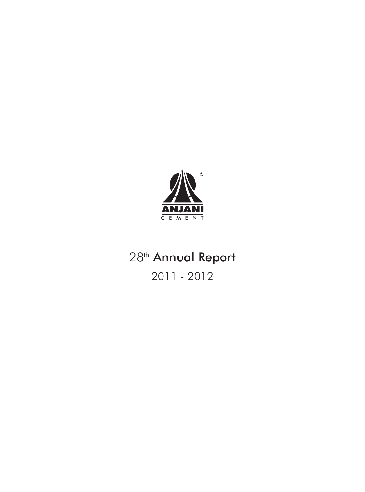

# 28<sup>th</sup> Annual Report

2011 - 2012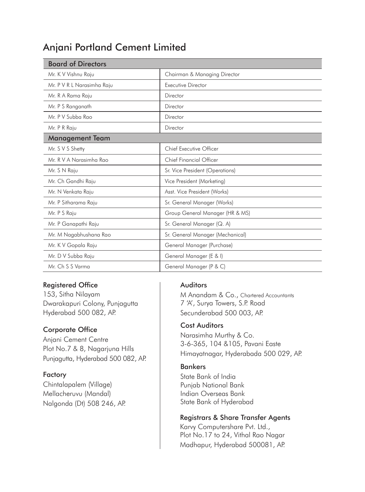# Anjani Portland Cement Limited

| <b>Board of Directors</b>  |                                  |
|----------------------------|----------------------------------|
| Mr. K V Vishnu Raju        | Chairman & Managing Director     |
| Mr. P V R L Narasimha Raju | <b>Executive Director</b>        |
| Mr. R A Rama Raju          | Director                         |
| Mr. P S Ranganath          | Director                         |
| Mr. P V Subba Rao          | Director                         |
| Mr. P R Raju               | Director                         |
| <b>Management Team</b>     |                                  |
| Mr. S V S Shetty           | Chief Executive Officer          |
| Mr. R V A Narasimha Rao    | <b>Chief Financial Officer</b>   |
| Mr. S N Raju               | Sr. Vice President (Operations)  |
| Mr. Ch Gandhi Raju         | Vice President (Marketing)       |
| Mr. N Venkata Raju         | Asst. Vice President (Works)     |
| Mr. P Sitharama Raju       | Sr. General Manager (Works)      |
| Mr. P S Raju               | Group General Manager (HR & MS)  |
| Mr. P Ganapathi Raju       | Sr. General Manager (Q. A)       |
| Mr. M Nagabhushana Rao     | Sr. General Manager (Mechanical) |
| Mr. K V Gopala Raju        | General Manager (Purchase)       |
| Mr. D V Subba Raju         | General Manager (E & I)          |
| Mr. Ch S S Varma           | General Manager (P & C)          |

### Registered Office

153, Sitha Nilayam Dwarakapuri Colony, Punjagutta Hyderabad 500 082, AP.

#### Corporate Office

Anjani Cement Centre Plot No.7 & 8, Nagarjuna Hills Punjagutta, Hyderabad 500 082, AP.

#### Factory

Chintalapalem (Village) Mellacheruvu (Mandal) Nalgonda (Dt) 508 246, AP.

### Auditors

M Anandam & Co., Chartered Accountants 7 'A', Surya Towers, S.P. Road Secunderabad 500 003, AP.

#### Cost Auditors

Narasimha Murthy & Co. 3-6-365, 104 &105, Pavani Easte Himayatnagar, Hyderabada 500 029, AP.

#### Bankers

State Bank of India Punjab National Bank Indian Overseas Bank State Bank of Hyderabad

#### Registrars & Share Transfer Agents

Karvy Computershare Pvt. Ltd., Plot No.17 to 24, Vithal Rao Nagar Madhapur, Hyderabad 500081, AP.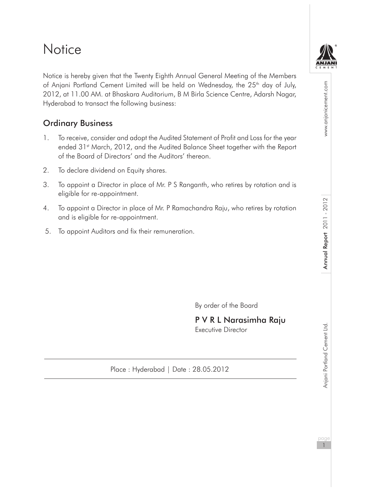# **Notice**

Notice is hereby given that the Twenty Eighth Annual General Meeting of the Members of Anjani Portland Cement Limited will be held on Wednesday, the 25<sup>th</sup> day of July, 2012, at 11.00 AM. at Bhaskara Auditorium, B M Birla Science Centre, Adarsh Nagar, Hyderabad to transact the following business:

## Ordinary Business

- 1. To receive, consider and adopt the Audited Statement of Profit and Loss for the year ended 31<sup>st</sup> March, 2012, and the Audited Balance Sheet together with the Report of the Board of Directors' and the Auditors' thereon.
- 2. To declare dividend on Equity shares.
- 3. To appoint a Director in place of Mr. P S Ranganth, who retires by rotation and is eligible for re-appointment.
- 4. To appoint a Director in place of Mr. P Ramachandra Raju, who retires by rotation and is eligible for re-appointment.
- 5. To appoint Auditors and fix their remuneration.

By order of the Board

P V R L Narasimha Raju Executive Director

Place : Hyderabad | Date : 28.05.2012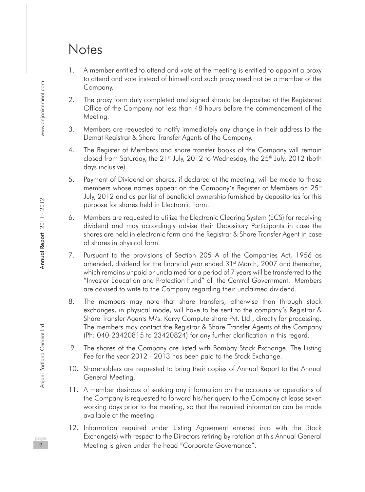# **Notes**

- 1. A member entitled to attend and vote at the meeting is entitled to appoint a proxy to attend and vote instead of himself and such proxy need not be a member of the Company.
- 2. The proxy form duly completed and signed should be deposited at the Registered Office of the Company not less than 48 hours before the commencement of the Meeting.
- 3. Members are requested to notify immediately any change in their address to the Demat Registrar & Share Transfer Agents of the Company.
- 4. The Register of Members and share transfer books of the Company will remain closed from Saturday, the 21<sup>st</sup> July, 2012 to Wednesday, the 25<sup>th</sup> July, 2012 (both days inclusive).
- 5. Payment of Dividend on shares, if declared at the meeting, will be made to those members whose names appear on the Company's Register of Members on  $25<sup>th</sup>$ July, 2012 and as per list of beneficial ownership furnished by depositories for this purpose for shares held in Electronic Form.
- 6. Members are requested to utilize the Electronic Clearing System (ECS) for receiving dividend and may accordingly advise their Depository Participants in case the shares are held in electronic form and the Registrar & Share Transfer Agent in case of shares in physical form.
- 7. Pursuant to the provisions of Section 205 A of the Companies Act, 1956 as amended, dividend for the financial year ended 31<sup>st</sup> March, 2007 and thereafter, which remains unpaid or unclaimed for a period of 7 years will be transferred to the "Investor Education and Protection Fund" of the Central Government. Members are advised to write to the Company regarding their unclaimed dividend.
- 8. The members may note that share transfers, otherwise than through stock exchanges, in physical mode, will have to be sent to the company's Registrar & Share Transfer Agents M/s. Karvy Computershare Pvt. Ltd., directly for processing. The members may contact the Registrar & Share Transfer Agents of the Company (Ph: 040-23420815 to 23420824) for any further clarification in this regard.
- 9. The shares of the Company are listed with Bombay Stock Exchange. The Listing Fee for the year 2012 - 2013 has been paid to the Stock Exchange.
- 10. Shareholders are requested to bring their copies of Annual Report to the Annual General Meeting.
- 11. A member desirous of seeking any information on the accounts or operations of the Company is requested to forward his/her query to the Company at lease seven working days prior to the meeting, so that the required information can be made available at the meeting.
- 12. Information required under Listing Agreement entered into with the Stock Exchange(s) with respect to the Directors retiring by rotation at this Annual General Meeting is given under the head "Corporate Governance".

www.anjanicement.com

naa 2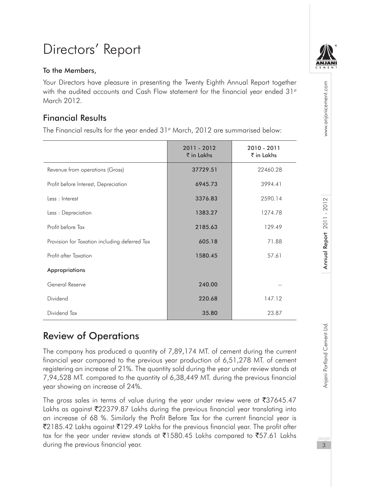# Directors' Report

#### To the Members,

Your Directors have pleasure in presenting the Twenty Eighth Annual Report together with the audited accounts and Cash Flow statement for the financial year ended  $31<sup>st</sup>$ March 2012.

## Financial Results

The Financial results for the year ended 31<sup>st</sup> March, 2012 are summarised below:

|                                               | 2011 - 2012<br>$\bar{\tau}$ in Lakhs | 2010 - 2011<br>$\bar{\tau}$ in Lakhs |
|-----------------------------------------------|--------------------------------------|--------------------------------------|
| Revenue from operations (Gross)               | 37729.51                             | 22460.28                             |
| Profit before Interest, Depreciation          | 6945.73                              | 3994.41                              |
| Less · Interest                               | 3376.83                              | 2590.14                              |
| Less: Depreciation                            | 1383.27                              | 1274.78                              |
| Profit before Tax                             | 2185.63                              | 129.49                               |
| Provision for Taxation including deferred Tax | 605.18                               | 71.88                                |
| Profit after Taxation                         | 1580.45                              | 57.61                                |
| Appropriations                                |                                      |                                      |
| General Reserve                               | 240.00                               |                                      |
| Dividend                                      | 220.68                               | 147.12                               |
| Dividend Tax                                  | 35.80                                | 23.87                                |

# Review of Operations

The company has produced a quantity of 7,89,174 MT. of cement during the current financial year compared to the previous year production of 6,51,278 MT. of cement registering an increase of 21%. The quantity sold during the year under review stands at 7,94,528 MT. compared to the quantity of 6,38,449 MT. during the previous financial year showing an increase of 24%.

The gross sales in terms of value during the year under review were at  $\overline{3}37645.47$ Lakhs as against  $\overline{2}2379.87$  Lakhs during the previous financial year translating into an increase of 68 %. Similarly the Profit Before Tax for the current financial year is  $\mathcal{Z}$ 185.42 Lakhs against  $\mathcal{Z}$ 129.49 Lakhs for the previous financial year. The profit after tax for the year under review stands at  $\overline{5}1580.45$  Lakhs compared to  $\overline{5}57.61$  Lakhs during the previous financial year.



www.anjanicement.com

Annual Report 2011 - 2012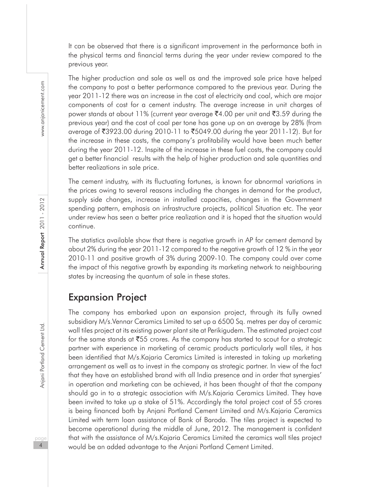It can be observed that there is a significant improvement in the performance both in the physical terms and financial terms during the year under review compared to the previous year.

The higher production and sale as well as and the improved sale price have helped the company to post a better performance compared to the previous year. During the year 2011-12 there was an increase in the cost of electricity and coal, which are major components of cost for a cement industry. The average increase in unit charges of power stands at about 11% (current year average  $\bar{e}4.00$  per unit and  $\bar{e}3.59$  during the previous year) and the cost of coal per tone has gone up on an average by 28% (from average of ₹3923.00 during 2010-11 to ₹5049.00 during the year 2011-12). But for the increase in these costs, the company's profitability would have been much better during the year 2011-12. Inspite of the increase in these fuel costs, the company could get a better financial results with the help of higher production and sale quantities and better realizations in sale price.

The cement industry, with its fluctuating fortunes, is known for abnormal variations in the prices owing to several reasons including the changes in demand for the product, supply side changes, increase in installed capacities, changes in the Government spending pattern, emphasis on infrastructure projects, political Situation etc. The year under review has seen a better price realization and it is hoped that the situation would continue.

The statistics available show that there is negative growth in AP for cement demand by about 2% during the year 2011-12 compared to the negative growth of 12 % in the year 2010-11 and positive growth of 3% during 2009-10. The company could over come the impact of this negative growth by expanding its marketing network to neighbouring states by increasing the quantum of sale in these states.

## Expansion Project

The company has embarked upon an expansion project, through its fully owned subsidiary M/s.Vennar Ceramics Limited to set up a 6500 Sq. metres per day of ceramic wall tiles project at its existing power plant site at Perikigudem. The estimated project cost for the same stands at  $\overline{555}$  crores. As the company has started to scout for a strategic partner with experience in marketing of ceramic products particularly wall tiles, it has been identified that M/s.Kajaria Ceramics Limited is interested in taking up marketing arrangement as well as to invest in the company as strategic partner. In view of the fact that they have an established brand with all India presence and in order that synergies' in operation and marketing can be achieved, it has been thought of that the company should go in to a strategic association with M/s.Kajaria Ceramics Limited. They have been invited to take up a stake of 51%. Accordingly the total project cost of 55 crores is being financed both by Anjani Portland Cement Limited and M/s.Kajaria Ceramics Limited with term loan assistance of Bank of Baroda. The tiles project is expected to become operational during the middle of June, 2012. The management is confident that with the assistance of M/s.Kajaria Ceramics Limited the ceramics wall tiles project would be an added advantage to the Anjani Portland Cement Limited.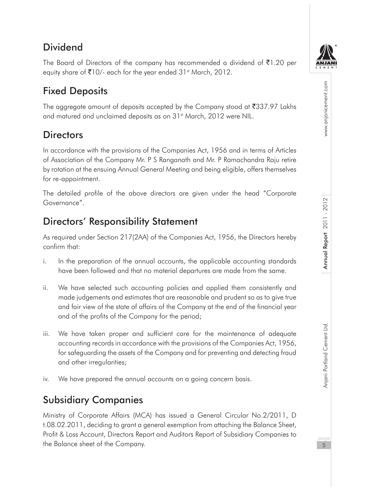# **Dividend**

The Board of Directors of the company has recommended a dividend of  $\bar{\mathfrak{e}}$ 1.20 per equity share of  $\bar{\mathfrak{E}}$ 10/- each for the year ended 31st March, 2012.

# Fixed Deposits

The aggregate amount of deposits accepted by the Company stood at  $\overline{\mathfrak{3}37.97}$  Lakhs and matured and unclaimed deposits as on 31<sup>st</sup> March, 2012 were NIL.

# **Directors**

In accordance with the provisions of the Companies Act, 1956 and in terms of Articles of Association of the Company Mr. P S Ranganath and Mr. P Ramachandra Raju retire by rotation at the ensuing Annual General Meeting and being eligible, offers themselves for re-appointment.

The detailed profile of the above directors are given under the head "Corporate Governance".

# Directors' Responsibility Statement

As required under Section 217(2AA) of the Companies Act, 1956, the Directors hereby confirm that:

- i. In the preparation of the annual accounts, the applicable accounting standards have been followed and that no material departures are made from the same.
- ii. We have selected such accounting policies and applied them consistently and made judgements and estimates that are reasonable and prudent so as to give true and fair view of the state of affairs of the Company at the end of the financial year and of the profits of the Company for the period;
- iii. We have taken proper and sufficient care for the maintenance of adequate accounting records in accordance with the provisions of the Companies Act, 1956, for safeguarding the assets of the Company and for preventing and detecting fraud and other irregularities;
- iv. We have prepared the annual accounts on a going concern basis.

# Subsidiary Companies

Ministry of Corporate Affairs (MCA) has issued a General Circular No.2/2011, D t.08.02.2011, deciding to grant a general exemption from attaching the Balance Sheet, Profit & Loss Account, Directors Report and Auditors Report of Subsidiary Companies to the Balance sheet of the Company.



www.anjanicement.com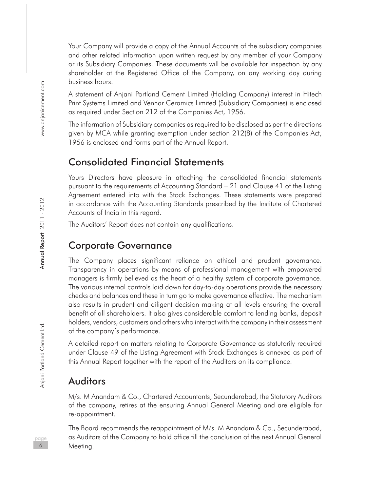Your Company will provide a copy of the Annual Accounts of the subsidiary companies and other related information upon written request by any member of your Company or its Subsidiary Companies. These documents will be available for inspection by any shareholder at the Registered Office of the Company, on any working day during business hours.

A statement of Anjani Portland Cement Limited (Holding Company) interest in Hitech Print Systems Limited and Vennar Ceramics Limited (Subsidiary Companies) is enclosed as required under Section 212 of the Companies Act, 1956.

The information of Subsidiary companies as required to be disclosed as per the directions given by MCA while granting exemption under section 212(8) of the Companies Act, 1956 is enclosed and forms part of the Annual Report.

## Consolidated Financial Statements

Yours Directors have pleasure in attaching the consolidated financial statements pursuant to the requirements of Accounting Standard – 21 and Clause 41 of the Listing Agreement entered into with the Stock Exchanges. These statements were prepared in accordance with the Accounting Standards prescribed by the Institute of Chartered Accounts of India in this regard.

The Auditors' Report does not contain any qualifications.

## Corporate Governance

The Company places significant reliance on ethical and prudent governance. Transparency in operations by means of professional management with empowered managers is firmly believed as the heart of a healthy system of corporate governance. The various internal controls laid down for day-to-day operations provide the necessary checks and balances and these in turn go to make governance effective. The mechanism also results in prudent and diligent decision making at all levels ensuring the overall benefit of all shareholders. It also gives considerable comfort to lending banks, deposit holders, vendors, customers and others who interact with the company in their assessment of the company's performance.

A detailed report on matters relating to Corporate Governance as statutorily required under Clause 49 of the Listing Agreement with Stock Exchanges is annexed as part of this Annual Report together with the report of the Auditors on its compliance.

## Auditors

M/s. M Anandam & Co., Chartered Accountants, Secunderabad, the Statutory Auditors of the company, retires at the ensuring Annual General Meeting and are eligible for re-appointment.

The Board recommends the reappointment of M/s. M Anandam & Co., Secunderabad, as Auditors of the Company to hold office till the conclusion of the next Annual General Meeting.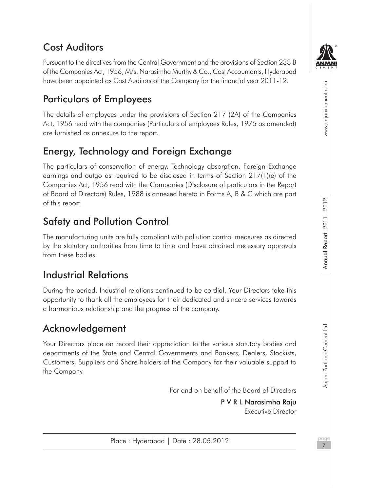# Cost Auditors

Pursuant to the directives from the Central Government and the provisions of Section 233 B of the Companies Act, 1956, M/s. Narasimha Murthy & Co., Cost Accountants, Hyderabad have been appointed as Cost Auditors of the Company for the financial year 2011-12.

# Particulars of Employees

The details of employees under the provisions of Section 217 (2A) of the Companies Act, 1956 read with the companies (Particulars of employees Rules, 1975 as amended) are furnished as annexure to the report.

# Energy, Technology and Foreign Exchange

The particulars of conservation of energy, Technology absorption, Foreign Exchange earnings and outgo as required to be disclosed in terms of Section 217(1)(e) of the Companies Act, 1956 read with the Companies (Disclosure of particulars in the Report of Board of Directors) Rules, 1988 is annexed hereto in Forms A, B & C which are part of this report.

# Safety and Pollution Control

The manufacturing units are fully compliant with pollution control measures as directed by the statutory authorities from time to time and have obtained necessary approvals from these bodies.

# Industrial Relations

During the period, Industrial relations continued to be cordial. Your Directors take this opportunity to thank all the employees for their dedicated and sincere services towards a harmonious relationship and the progress of the company.

# Acknowledgement

Your Directors place on record their appreciation to the various statutory bodies and departments of the State and Central Governments and Bankers, Dealers, Stockists, Customers, Suppliers and Share holders of the Company for their valuable support to the Company.

For and on behalf of the Board of Directors

P V R L Narasimha Raju Executive Director

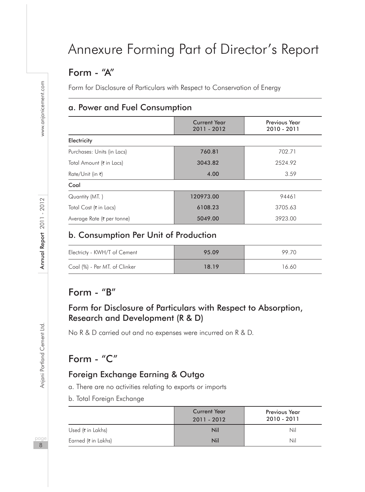# Annexure Forming Part of Director's Report

# Form - "A"

Form for Disclosure of Particulars with Respect to Conservation of Energy

## a. Power and Fuel Consumption

|                            | <b>Current Year</b><br>2011 - 2012 | Previous Year<br>2010 - 2011 |
|----------------------------|------------------------------------|------------------------------|
| Electricity                |                                    |                              |
| Purchases: Units (in Lacs) | 760.81                             | 702.71                       |
| Total Amount (₹ in Lacs)   | 3043.82                            | 2524.92                      |
| Rate/Unit (in ₹)           | 4.00                               | 3.59                         |
| Coal                       |                                    |                              |
| Quantity (MT.)             | 120973.00                          | 94461                        |
| Total Cost (₹ in Lacs)     | 6108.23                            | 3705.63                      |
| Average Rate (₹ per tonne) | 5049.00                            | 3923.00                      |

### b. Consumption Per Unit of Production

| Electricty - KWH/T of Cement  | 95.09 | 99.70 |
|-------------------------------|-------|-------|
| Coal (%) - Per MT. of Clinker | 18.19 | 16.60 |

## Form - "B"

### Form for Disclosure of Particulars with Respect to Absorption, Research and Development (R & D)

No R & D carried out and no expenses were incurred on R & D.

# Form - "C"

## Foreign Exchange Earning & Outgo

a. There are no activities relating to exports or imports

b. Total Foreign Exchange

|                    | <b>Current Year</b><br>$2011 - 2012$ | <b>Previous Year</b><br>2010 - 2011 |
|--------------------|--------------------------------------|-------------------------------------|
| Used (₹ in Lakhs)  | Nil                                  | Nil                                 |
| Earned (₹in Lakhs) | Nil                                  | Nil                                 |

naa 8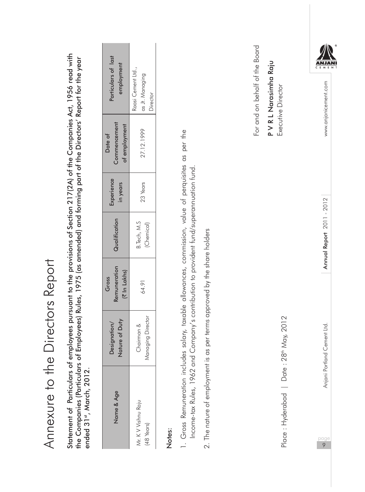| Annexure to the                                                                                                                                                                  |                                 | Directors Report                                                                                            |                             |                        |                                          |                                                                                                                                                                                           |
|----------------------------------------------------------------------------------------------------------------------------------------------------------------------------------|---------------------------------|-------------------------------------------------------------------------------------------------------------|-----------------------------|------------------------|------------------------------------------|-------------------------------------------------------------------------------------------------------------------------------------------------------------------------------------------|
| the Companies (Particulars of<br>Statement of Particulars of er<br>ended 31st, March, 2012.                                                                                      |                                 |                                                                                                             |                             |                        |                                          | mployees pursuant to the provisions of Section 217(2A) of the Companies Act, 1956 read with<br>Employees) Rules, 1975 (as amended) and forming part of the Directors' Report for the year |
| Name & Age                                                                                                                                                                       | Nature of Duty<br>Designation/  | Remuneration<br>(₹ In Lakhs)<br>Gross                                                                       | Qualification               | Experience<br>in years | Commencement<br>of employment<br>Date of | Particulars of last<br>employment                                                                                                                                                         |
| Mr. K V Vishnu Raju<br>(48 Years)                                                                                                                                                | Managing Director<br>Chairman & | 64.91                                                                                                       | B. Tech, M.S.<br>(Chemical) | 23 Years               | 27.12.1999                               | Raasi Cement Ltd.,<br>as Jt. Managing<br>Director                                                                                                                                         |
| 1. Gross Remuneration includes salary, taxable allowances, commission, value of perquisites as per the<br>Income-tax Rules, 1962 and<br>2. The nature of employment is<br>Notes: |                                 | Company's contribution to provident fund/superannuation fund.<br>as per terms approved by the share holders |                             |                        |                                          |                                                                                                                                                                                           |
|                                                                                                                                                                                  |                                 |                                                                                                             |                             |                        |                                          | For and on behalf of the Board                                                                                                                                                            |
| Place : Hyderabad   Date : 28 <sup>th</sup> May, 2012                                                                                                                            |                                 |                                                                                                             |                             |                        |                                          | P V R L Narasimha Raju<br>Executive Director                                                                                                                                              |
| $\frac{page}{9}$                                                                                                                                                                 | Anjani Portland Cement Ltd.     |                                                                                                             | Annual Report 2011 - 2012   |                        |                                          | C E M E N<br>www.anjanicement.com                                                                                                                                                         |
|                                                                                                                                                                                  |                                 |                                                                                                             |                             |                        |                                          |                                                                                                                                                                                           |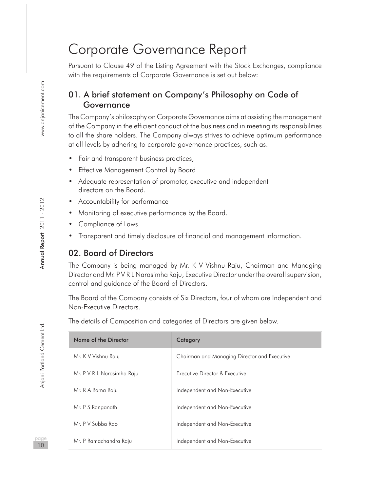# Corporate Governance Report

Pursuant to Clause 49 of the Listing Agreement with the Stock Exchanges, compliance with the requirements of Corporate Governance is set out below:

## 01. A brief statement on Company's Philosophy on Code of Governance

The Company's philosophy on Corporate Governance aims at assisting the management of the Company in the efficient conduct of the business and in meeting its responsibilities to all the share holders. The Company always strives to achieve optimum performance at all levels by adhering to corporate governance practices, such as:

- Fair and transparent business practices,
- **Effective Management Control by Board**
- Adequate representation of promoter, executive and independent directors on the Board.
- Accountability for performance
- Monitoring of executive performance by the Board.
- Compliance of Laws.
- Transparent and timely disclosure of financial and management information.

## 02. Board of Directors

The Company is being managed by Mr. K V Vishnu Raju, Chairman and Managing Director and Mr. P V R L Narasimha Raju, Executive Director under the overall supervision, control and guidance of the Board of Directors.

The Board of the Company consists of Six Directors, four of whom are Independent and Non-Executive Directors.

The details of Composition and categories of Directors are given below.

| Name of the Director       | Category                                     |  |
|----------------------------|----------------------------------------------|--|
| Mr. K V Vishnu Raju        | Chairman and Managing Director and Executive |  |
| Mr. P V R L Narasimha Raju | Executive Director & Executive               |  |
| Mr. R A Rama Raju          | Independent and Non-Executive                |  |
| Mr. P S Ranganath          | Independent and Non-Executive                |  |
| Mr. P V Subba Rao          | Independent and Non-Executive                |  |
| Mr. P Ramachandra Raju     | Independent and Non-Executive                |  |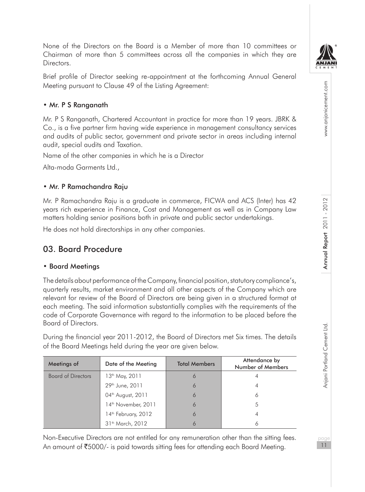

www.anjanicement.com

None of the Directors on the Board is a Member of more than 10 committees or Chairman of more than 5 committees across all the companies in which they are **Directors** 

Brief profile of Director seeking re-appointment at the forthcoming Annual General Meeting pursuant to Clause 49 of the Listing Agreement:

#### • Mr. P S Ranganath

Mr. P S Ranganath, Chartered Accountant in practice for more than 19 years. JBRK & Co., is a five partner firm having wide experience in management consultancy services and audits of public sector, government and private sector in areas including internal audit, special audits and Taxation.

Name of the other companies in which he is a Director

Alta-moda Garments Ltd.,

#### • Mr. P Ramachandra Raju

Mr. P Ramachandra Raju is a graduate in commerce, FICWA and ACS (Inter) has 42 years rich experience in Finance, Cost and Management as well as in Company Law matters holding senior positions both in private and public sector undertakings.

He does not hold directorships in any other companies.

## 03. Board Procedure

#### • Board Meetings

The details about performance of the Company, financial position, statutory compliance's, quarterly results, market environment and all other aspects of the Company which are relevant for review of the Board of Directors are being given in a structured format at each meeting. The said information substantially complies with the requirements of the code of Corporate Governance with regard to the information to be placed before the Board of Directors.

During the financial year 2011-2012, the Board of Directors met Six times. The details of the Board Meetings held during the year are given below.

| Meetings of               | Date of the Meeting             | <b>Total Members</b> | Attendance by<br>Number of Members |
|---------------------------|---------------------------------|----------------------|------------------------------------|
| <b>Board of Directors</b> | 13 <sup>th</sup> May, 2011      | Ó                    |                                    |
|                           | 29 <sup>th</sup> June, 2011     | 6                    |                                    |
|                           | 04 <sup>th</sup> August, 2011   | 6                    | 6                                  |
|                           | 14 <sup>th</sup> November, 2011 | 6                    | 5                                  |
|                           | 14 <sup>th</sup> February, 2012 | 6                    |                                    |
|                           | 31 <sup>th</sup> March, 2012    |                      |                                    |

Non-Executive Directors are not entitled for any remuneration other than the sitting fees. An amount of  $\text{\textsterling}5000/4$  is paid towards sitting fees for attending each Board Meeting.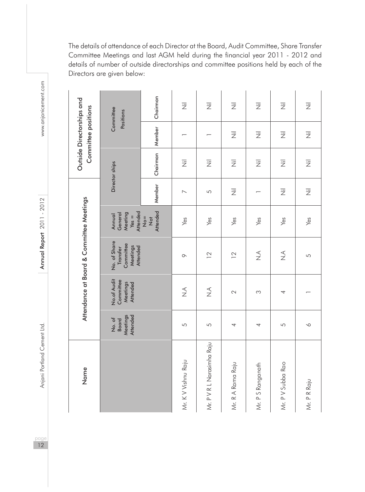The details of attendance of each Director at the Board, Audit Committee, Share Transfer Committee Meetings and last AGM held during the financial year 2011 - 2012 and details of number of outside directorships and committee positions held by each of the Directors are given below:

| Name                       |                                                       |                                                         | Attendance at Board & Committee Meetings                      |                                                     |                           |                           | Outside Directorships and<br>Committee positions |                           |
|----------------------------|-------------------------------------------------------|---------------------------------------------------------|---------------------------------------------------------------|-----------------------------------------------------|---------------------------|---------------------------|--------------------------------------------------|---------------------------|
|                            | Meetings<br><b>Attended</b><br>No. of<br><b>Board</b> | No.of Audit<br>Committee<br>Meetings<br><b>Attended</b> | No. of Share<br>Committee<br>Transfer<br>Meetings<br>Attended | Attended<br>Meeting<br>General<br>Annual<br>$Yes =$ |                           | Director ships            |                                                  | Committee<br>Positions    |
|                            |                                                       |                                                         |                                                               | Attended<br>$\frac{1}{2}$<br>$\frac{1}{2}$          | Member                    | Chairman   Member         |                                                  | Chairman                  |
| Mr. K V Vishnu Raju        | 5                                                     | $\breve{\vec{z}}$                                       | $\circ$                                                       | Yes                                                 | $\overline{\phantom{0}}$  | $\overline{\overline{z}}$ |                                                  | $\overline{\overline{z}}$ |
| Mr. P V R L Narasimha Raju | 5                                                     | $\stackrel{\triangleleft}{\geq}$                        | $\overline{2}$                                                | Yes                                                 | 5                         | $\overline{\overline{z}}$ |                                                  | $\overline{\overline{z}}$ |
| Mr. R A Rama Raju          | 4                                                     | $\mathbb{C}$                                            | $\overline{2}$                                                | Yes                                                 | $\overline{\overline{z}}$ | 运                         | $\overline{\overline{z}}$                        | $\overline{\overline{z}}$ |
| Mr. P S Ranganath          | 4                                                     | S                                                       | $\stackrel{\triangleleft}{\geq}$                              | Yes                                                 |                           | $\overline{\overline{z}}$ | $\overline{\overline{z}}$                        | $\overline{\overline{z}}$ |
| Mr. P V Subba Rao          | 5                                                     | 4                                                       | $\stackrel{\triangleleft}{\geq}$                              | Yes                                                 | $\overline{\overline{z}}$ | 艺                         | $\overline{\overline{z}}$                        | $\overline{\overline{z}}$ |
| Mr. P R Raju               | $\sim$                                                |                                                         | 5                                                             | Yes                                                 | $\overline{\overline{z}}$ | 云                         | $\overline{\overline{z}}$                        | $\overline{\overline{z}}$ |

www.anjanicement.com

pageannia Portland Cement Ltd. Annual Report 2011 - 2012 Annual Report 2012 Www.anjanicement.com Annual Report 2011 - 2012

Anjani Portland Cement Ltd.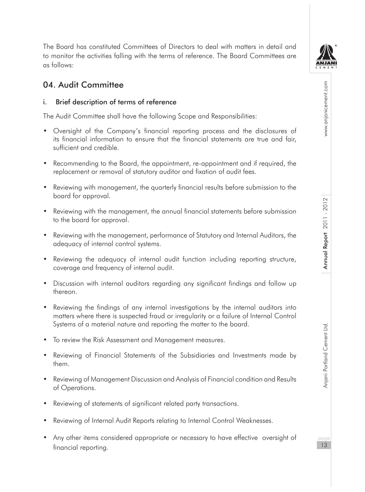

www.anjanicement.com

## 04. Audit Committee

#### i. Brief description of terms of reference

The Audit Committee shall have the following Scope and Responsibilities:

- Oversight of the Company's financial reporting process and the disclosures of its financial information to ensure that the financial statements are true and fair, sufficient and credible.
- Recommending to the Board, the appointment, re-appointment and if required, the replacement or removal of statutory auditor and fixation of audit fees.
- Reviewing with management, the quarterly financial results before submission to the board for approval.
- Reviewing with the management, the annual financial statements before submission to the board for approval.
- Reviewing with the management, performance of Statutory and Internal Auditors, the adequacy of internal control systems.
- Reviewing the adequacy of internal audit function including reporting structure, coverage and frequency of internal audit.
- Discussion with internal auditors regarding any significant findings and follow up thereon.
- Reviewing the findings of any internal investigations by the internal auditors into matters where there is suspected fraud or irregularity or a failure of Internal Control Systems of a material nature and reporting the matter to the board.
- • To review the Risk Assessment and Management measures.
- • Reviewing of Financial Statements of the Subsidiaries and Investments made by them.
- • Reviewing of Management Discussion and Analysis of Financial condition and Results of Operations.
- Reviewing of statements of significant related party transactions.
- Reviewing of Internal Audit Reports relating to Internal Control Weaknesses.
- Any other items considered appropriate or necessary to have effective oversight of financial reporting.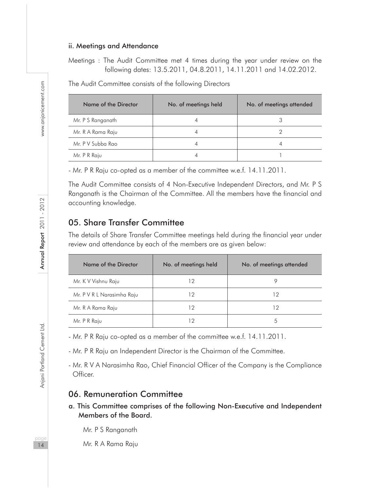#### ii. Meetings and Attendance

Meetings : The Audit Committee met 4 times during the year under review on the following dates: 13.5.2011, 04.8.2011, 14.11.2011 and 14.02.2012.

The Audit Committee consists of the following Directors

| Name of the Director | No. of meetings held | No. of meetings attended |
|----------------------|----------------------|--------------------------|
| Mr. P S Ranganath    |                      |                          |
| Mr. R A Rama Raju    |                      |                          |
| Mr. P V Subba Rao    |                      |                          |
| Mr. P R Raju         |                      |                          |

- Mr. P R Raju co-opted as a member of the committee w.e.f. 14.11.2011.

The Audit Committee consists of 4 Non-Executive Independent Directors, and Mr. P S Ranganath is the Chairman of the Committee. All the members have the financial and accounting knowledge.

#### 05. Share Transfer Committee

The details of Share Transfer Committee meetings held during the financial year under review and attendance by each of the members are as given below:

| Name of the Director       | No. of meetings held | No. of meetings attended |
|----------------------------|----------------------|--------------------------|
| Mr. K V Vishnu Raju        | 12                   | O                        |
| Mr. P V R L Narasimha Raju | 12                   | 12                       |
| Mr. R A Rama Raju          | 12                   | 12                       |
| Mr. P R Raju               | 12                   | 5                        |

- Mr. P R Raju co-opted as a member of the committee w.e.f. 14.11.2011.

- Mr. P R Raju an Independent Director is the Chairman of the Committee.

- Mr. R V A Narasimha Rao, Chief Financial Officer of the Company is the Compliance Officer.

#### 06. Remuneration Committee

a. This Committee comprises of the following Non-Executive and Independent Members of the Board.

Mr. P S Ranganath

Mr. R A Rama Raju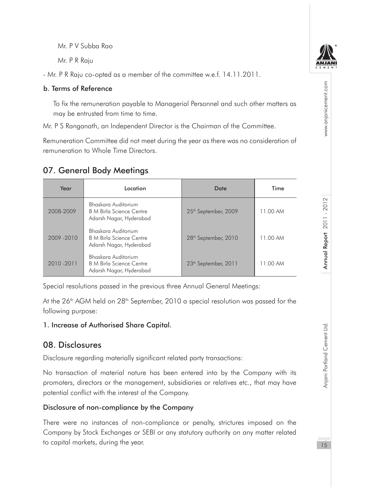Mr. P V Subba Rao

Mr. P R Raju

- Mr. P R Raju co-opted as a member of the committee w.e.f. 14.11.2011.

#### b. Terms of Reference

To fix the remuneration payable to Managerial Personnel and such other matters as may be entrusted from time to time.

Mr. P S Ranganath, an Independent Director is the Chairman of the Committee.

Remuneration Committee did not meet during the year as there was no consideration of remuneration to Whole Time Directors.

## 07. General Body Meetings

| Year        | Location                                                                          | Date                             | Time     |
|-------------|-----------------------------------------------------------------------------------|----------------------------------|----------|
| 2008-2009   | Bhaskara Auditorium<br><b>B</b> M Birla Science Centre<br>Adarsh Nagar, Hyderabad | 25 <sup>th</sup> September, 2009 | 11.00 AM |
| 2009 - 2010 | Bhaskara Auditorium<br><b>B</b> M Birla Science Centre<br>Adarsh Nagar, Hyderabad | 28 <sup>th</sup> September, 2010 | 11.00 AM |
| 2010-2011   | Bhaskara Auditorium<br><b>B</b> M Birla Science Centre<br>Adarsh Nagar, Hyderabad | 23 <sup>th</sup> September, 2011 | 11.00 AM |

Special resolutions passed in the previous three Annual General Meetings:

At the  $26<sup>th</sup>$  AGM held on  $28<sup>th</sup>$  September, 2010 a special resolution was passed for the following purpose:

### 1. Increase of Authorised Share Capital.

## 08. Disclosures

Disclosure regarding materially significant related party transactions:

No transaction of material nature has been entered into by the Company with its promoters, directors or the management, subsidiaries or relatives etc., that may have potential conflict with the interest of the Company.

### Disclosure of non-compliance by the Company

There were no instances of non-compliance or penalty, strictures imposed on the Company by Stock Exchanges or SEBI or any statutory authority on any matter related to capital markets, during the year.



www.anjanicement.com

Annual Report 2011 - 2012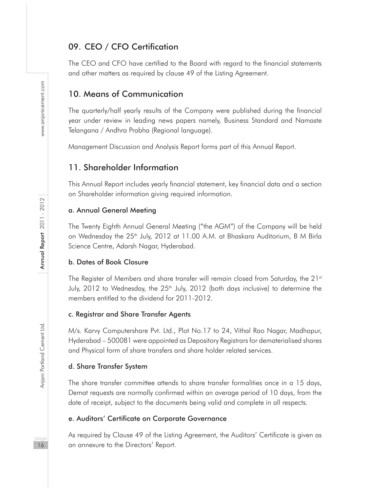## 09. CEO / CFO Certification

The CEO and CFO have certified to the Board with regard to the financial statements and other matters as required by clause 49 of the Listing Agreement.

### 10. Means of Communication

The quarterly/half yearly results of the Company were published during the financial year under review in leading news papers namely, Business Standard and Namaste Telangana / Andhra Prabha (Regional language).

Management Discussion and Analysis Report forms part of this Annual Report.

### 11. Shareholder Information

This Annual Report includes yearly financial statement, key financial data and a section on Shareholder information giving required information.

#### a. Annual General Meeting

The Twenty Eighth Annual General Meeting ("the AGM") of the Company will be held on Wednesday the 25<sup>th</sup> July, 2012 at 11.00 A.M. at Bhaskara Auditorium, B M Birla Science Centre, Adarsh Nagar, Hyderabad.

#### b. Dates of Book Closure

The Register of Members and share transfer will remain closed from Saturday, the 21st July, 2012 to Wednesday, the 25<sup>th</sup> July, 2012 (both days inclusive) to determine the members entitled to the dividend for 2011-2012.

#### c. Registrar and Share Transfer Agents

M/s. Karvy Computershare Pvt. Ltd., Plot No.17 to 24, Vithal Rao Nagar, Madhapur, Hyderabad – 500081 were appointed as Depository Registrars for dematerialised shares and Physical form of share transfers and share holder related services.

#### d. Share Transfer System

The share transfer committee attends to share transfer formalities once in a 15 days, Demat requests are normally confirmed within an average period of 10 days, from the date of receipt, subject to the documents being valid and complete in all respects.

#### e. Auditors' Certificate on Corporate Governance

As required by Clause 49 of the Listing Agreement, the Auditors' Certificate is given as an annexure to the Directors' Report.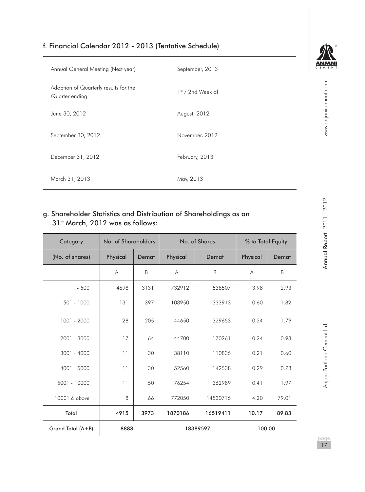#### f. Financial Calendar 2012 - 2013 (Tentative Schedule)

| Annual General Meeting (Next year)                                                                    | September, 2013     |       |          |                   |                   | ANJAN<br>C F M F N |                           |
|-------------------------------------------------------------------------------------------------------|---------------------|-------|----------|-------------------|-------------------|--------------------|---------------------------|
| Adoption of Quarterly results for the<br>Quarter ending                                               |                     |       |          | 1st / 2nd Week of |                   |                    |                           |
| June 30, 2012                                                                                         |                     |       |          | August, 2012      |                   |                    | www.anjanicement.com      |
| September 30, 2012                                                                                    |                     |       |          | November, 2012    |                   |                    |                           |
| February, 2013<br>December 31, 2012                                                                   |                     |       |          |                   |                   |                    |                           |
| March 31, 2013                                                                                        | May, 2013           |       |          |                   |                   |                    |                           |
| J. Shareholder Statistics and Distribution of Shareholdings as on<br>31st March, 2012 was as follows: |                     |       |          |                   |                   |                    | Annual Report 2011 - 2012 |
| Category                                                                                              | No. of Shareholders |       |          | No. of Shares     | % to Total Equity |                    |                           |
| (No. of shares)                                                                                       |                     |       |          |                   |                   |                    |                           |
|                                                                                                       | Physical            | Demat | Physical | Demat             | Physical          | Demat              |                           |
|                                                                                                       | Α                   | B     | Α        | B                 | Α                 | B                  |                           |
| $1 - 500$                                                                                             | 4698                | 3131  | 732912   | 538507            | 3.98              | 2.93               |                           |
| 501 - 1000                                                                                            | 131                 | 397   | 108950   | 333913            | 0.60              | 1.82               |                           |
| 1001 - 2000                                                                                           | 28                  | 205   | 44650    | 329653            | 0.24              | 1.79               |                           |
| 2001 - 3000                                                                                           | 17                  | 64    | 44700    | 170261            | 0.24              | 0.93               |                           |
| 3001 - 4000                                                                                           | 11                  | 30    | 38110    | 110835            | 0.21              | 0.60               |                           |
| 4001 - 5000                                                                                           | 11                  | 30    | 52560    | 142538            | 0.29              | 0.78               | Portland Cement Ltd.      |
| 5001 - 10000                                                                                          | 11                  | 50    | 76254    | 362989            | 0.41              | 1.97               | Anjani                    |
| 10001 & above                                                                                         | 8                   | 66    | 772050   | 14530715          | 4.20              | 79.01              |                           |
| Total                                                                                                 | 4915                | 3973  | 1870186  | 16519411          | 10.17             | 89.83              |                           |
| Grand Total (A+B)                                                                                     | 8888                |       |          | 18389597          | 100.00            |                    | page                      |

#### g. Shareholder Statistics and Distribution of Shareholdings as on 31<sup>st</sup> March, 2012 was as follows:

÷,

| Category          | No. of Shareholders |       | No. of Shares |          | % to Total Equity |        |  |
|-------------------|---------------------|-------|---------------|----------|-------------------|--------|--|
| (No. of shares)   | Physical            | Demat | Physical      | Demat    | Physical          | Demat  |  |
|                   | Α                   | B     | A             | B        | A                 | B      |  |
| $1 - 500$         | 4698                | 3131  | 732912        | 538507   | 3.98              | 2.93   |  |
| $501 - 1000$      | 131                 | 397   | 108950        | 333913   | 0.60              | 1.82   |  |
| 1001 - 2000       | 28                  | 205   | 44650         | 329653   | 0.24              | 1.79   |  |
| 2001 - 3000       | 17                  | 64    | 44700         | 170261   | 0.24              | 0.93   |  |
| $3001 - 4000$     | 11                  | 30    | 38110         | 110835   | 0.21              | 0.60   |  |
| 4001 - 5000       | 11                  | 30    | 52560         | 142538   | 0.29              | 0.78   |  |
| 5001 - 10000      | 11                  | 50    | 76254         | 362989   | 0.41              | 1.97   |  |
| 10001 & above     | 8                   | 66    | 772050        | 14530715 | 4.20              | 79.01  |  |
| Total             | 4915                | 3973  | 1870186       | 16519411 | 10.17             | 89.83  |  |
| Grand Total (A+B) | 8888                |       |               | 18389597 |                   | 100.00 |  |

 $\sqrt{\mathbb{N}}$ 

page  $17$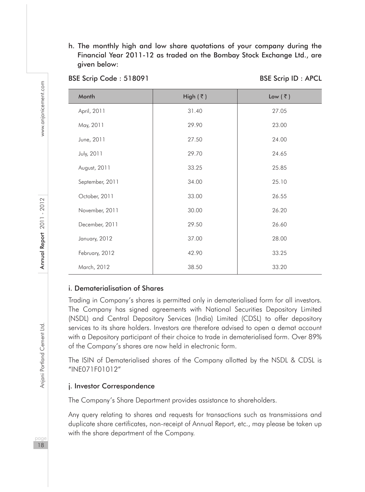h. The monthly high and low share quotations of your company during the Financial Year 2011-12 as traded on the Bombay Stock Exchange Ltd., are given below:

| Month           | High $(\bar{z})$ | Low $(\bar{z})$ |
|-----------------|------------------|-----------------|
| April, 2011     | 31.40            | 27.05           |
| May, 2011       | 29.90            | 23.00           |
| June, 2011      | 27.50            | 24.00           |
| July, 2011      | 29.70            | 24.65           |
| August, 2011    | 33.25            | 25.85           |
| September, 2011 | 34.00            | 25.10           |
| October, 2011   | 33.00            | 26.55           |
| November, 2011  | 30.00            | 26.20           |
| December, 2011  | 29.50            | 26.60           |
| January, 2012   | 37.00            | 28.00           |
| February, 2012  | 42.90            | 33.25           |
| March, 2012     | 38.50            | 33.20           |

#### BSE Scrip Code : 518091 BSE Scrip ID : APCL

#### i. Dematerialisation of Shares

Trading in Company's shares is permitted only in dematerialised form for all investors. The Company has signed agreements with National Securities Depository Limited (NSDL) and Central Depository Services (India) Limited (CDSL) to offer depository services to its share holders. Investors are therefore advised to open a demat account with a Depository participant of their choice to trade in dematerialised form. Over 89% of the Company's shares are now held in electronic form.

The ISIN of Dematerialised shares of the Company allotted by the NSDL & CDSL is "INE071F01012"

#### j. Investor Correspondence

The Company's Share Department provides assistance to shareholders.

Any query relating to shares and requests for transactions such as transmissions and duplicate share certificates, non-receipt of Annual Report, etc., may please be taken up with the share department of the Company.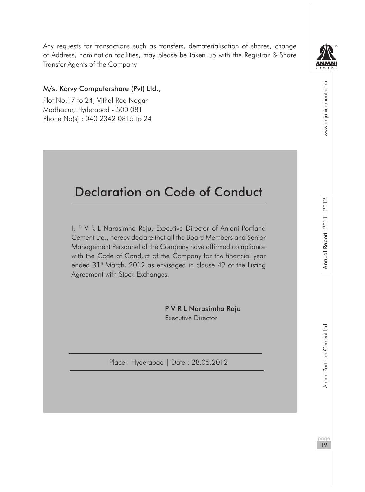Any requests for transactions such as transfers, dematerialisation of shares, change of Address, nomination facilities, may please be taken up with the Registrar & Share Transfer Agents of the Company

#### M/s. Karvy Computershare (Pvt) Ltd.,

Plot No.17 to 24, Vithal Rao Nagar Madhapur, Hyderabad - 500 081 Phone No(s) : 040 2342 0815 to 24

# Declaration on Code of Conduct

I, P V R L Narasimha Raju, Executive Director of Anjani Portland Cement Ltd., hereby declare that all the Board Members and Senior Management Personnel of the Company have affirmed compliance with the Code of Conduct of the Company for the financial year ended 31<sup>st</sup> March, 2012 as envisaged in clause 49 of the Listing Agreement with Stock Exchanges.

> P V R L Narasimha Raju Executive Director

Place : Hyderabad | Date : 28.05.2012



www.anjanicement.com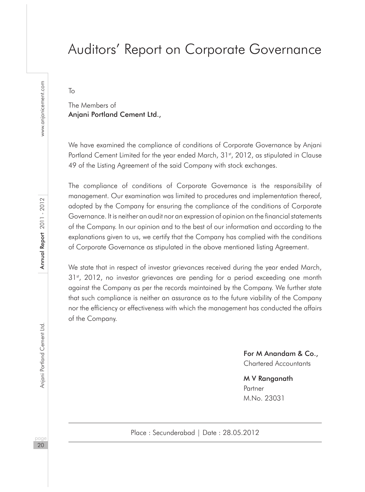# Auditors' Report on Corporate Governance

To

The Members of Anjani Portland Cement Ltd.,

We have examined the compliance of conditions of Corporate Governance by Anjani Portland Cement Limited for the year ended March, 31<sup>st</sup>, 2012, as stipulated in Clause 49 of the Listing Agreement of the said Company with stock exchanges.

The compliance of conditions of Corporate Governance is the responsibility of management. Our examination was limited to procedures and implementation thereof, adopted by the Company for ensuring the compliance of the conditions of Corporate Governance. It is neither an audit nor an expression of opinion on the financial statements of the Company. In our opinion and to the best of our information and according to the explanations given to us, we certify that the Company has complied with the conditions of Corporate Governance as stipulated in the above mentioned listing Agreement.

We state that in respect of investor grievances received during the year ended March,  $31<sup>st</sup>$ , 2012, no investor grievances are pending for a period exceeding one month against the Company as per the records maintained by the Company. We further state that such compliance is neither an assurance as to the future viability of the Company nor the efficiency or effectiveness with which the management has conducted the affairs of the Company.

> For M Anandam & Co., Chartered Accountants

M V Ranganath Partner M.No. 23031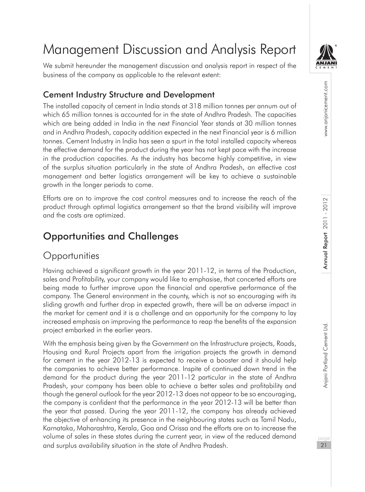

www.anjanicement.com

# Management Discussion and Analysis Report

We submit hereunder the management discussion and analysis report in respect of the business of the company as applicable to the relevant extent:

## Cement Industry Structure and Development

The installed capacity of cement in India stands at 318 million tonnes per annum out of which 65 million tonnes is accounted for in the state of Andhra Pradesh. The capacities which are being added in India in the next Financial Year stands at 30 million tonnes and in Andhra Pradesh, capacity addition expected in the next Financial year is 6 million tonnes. Cement Industry in India has seen a spurt in the total installed capacity whereas the effective demand for the product during the year has not kept pace with the increase in the production capacities. As the industry has become highly competitive, in view of the surplus situation particularly in the state of Andhra Pradesh, an effective cost management and better logistics arrangement will be key to achieve a sustainable growth in the longer periods to come.

Efforts are on to improve the cost control measures and to increase the reach of the product through optimal logistics arrangement so that the brand visibility will improve and the costs are optimized.

# Opportunities and Challenges

## **Opportunities**

Having achieved a significant growth in the year 2011-12, in terms of the Production, sales and Profitability, your company would like to emphasise, that concerted efforts are being made to further improve upon the financial and operative performance of the company. The General environment in the county, which is not so encouraging with its sliding growth and further drop in expected growth, there will be an adverse impact in the market for cement and it is a challenge and an opportunity for the company to lay increased emphasis on improving the performance to reap the benefits of the expansion project embarked in the earlier years.

With the emphasis being given by the Government on the Infrastructure projects, Roads, Housing and Rural Projects apart from the irrigation projects the growth in demand for cement in the year 2012-13 is expected to receive a booster and it should help the companies to achieve better performance. Inspite of continued down trend in the demand for the product during the year 2011-12 particular in the state of Andhra Pradesh, your company has been able to achieve a better sales and profitability and though the general outlook for the year 2012-13 does not appear to be so encouraging, the company is confident that the performance in the year 2012-13 will be better than the year that passed. During the year 2011-12, the company has already achieved the objective of enhancing its presence in the neighbouring states such as Tamil Nadu, Karnataka, Maharashtra, Kerala, Goa and Orissa and the efforts are on to increase the volume of sales in these states during the current year, in view of the reduced demand and surplus availability situation in the state of Andhra Pradesh.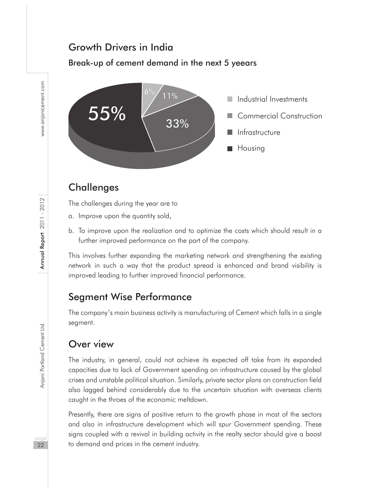## Growth Drivers in India

#### Break-up of cement demand in the next 5 yeears



## **Challenges**

The challenges during the year are to

- a. Improve upon the quantity sold,
- b. To improve upon the realization and to optimize the costs which should result in a further improved performance on the part of the company.

This involves further expanding the marketing network and strengthening the existing network in such a way that the product spread is enhanced and brand visibility is improved leading to further improved financial performance.

## Segment Wise Performance

The company's main business activity is manufacturing of Cement which falls in a single segment.

## Over view

The industry, in general, could not achieve its expected off take from its expanded capacities due to lack of Government spending on infrastructure caused by the global crises and unstable political situation. Similarly, private sector plans on construction field also lagged behind considerably due to the uncertain situation with overseas clients caught in the throes of the economic meltdown.

Presently, there are signs of positive return to the growth phase in most of the sectors and also in infrastructure development which will spur Government spending. These signs coupled with a revival in building activity in the realty sector should give a boost to demand and prices in the cement industry.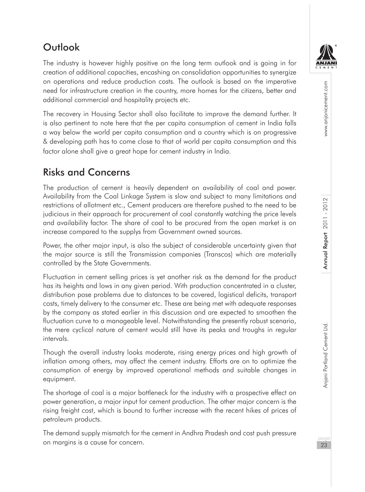

# **Outlook**

The industry is however highly positive on the long term outlook and is going in for creation of additional capacities, encashing on consolidation opportunities to synergize on operations and reduce production costs. The outlook is based on the imperative need for infrastructure creation in the country, more homes for the citizens, better and additional commercial and hospitality projects etc.

The recovery in Housing Sector shall also facilitate to improve the demand further. It is also pertinent to note here that the per capita consumption of cement in India falls a way below the world per capita consumption and a country which is on progressive & developing path has to come close to that of world per capita consumption and this factor alone shall give a great hope for cement industry in India.

# Risks and Concerns

The production of cement is heavily dependent on availability of coal and power. Availability from the Coal Linkage System is slow and subject to many limitations and restrictions of allotment etc., Cement producers are therefore pushed to the need to be judicious in their approach for procurement of coal constantly watching the price levels and availability factor. The share of coal to be procured from the open market is on increase compared to the supplys from Government owned sources.

Power, the other major input, is also the subject of considerable uncertainty given that the major source is still the Transmission companies (Transcos) which are materially controlled by the State Governments.

Fluctuation in cement selling prices is yet another risk as the demand for the product has its heights and lows in any given period. With production concentrated in a cluster, distribution pose problems due to distances to be covered, logistical deficits, transport costs, timely delivery to the consumer etc. These are being met with adequate responses by the company as stated earlier in this discussion and are expected to smoothen the fluctuation curve to a manageable level. Notwithstanding the presently robust scenario, the mere cyclical nature of cement would still have its peaks and troughs in regular intervals.

Though the overall industry looks moderate, rising energy prices and high growth of inflation among others, may affect the cement industry. Efforts are on to optimize the consumption of energy by improved operational methods and suitable changes in equipment.

The shortage of coal is a major bottleneck for the industry with a prospective effect on power generation, a major input for cement production. The other major concern is the rising freight cost, which is bound to further increase with the recent hikes of prices of petroleum products.

The demand supply mismatch for the cement in Andhra Pradesh and cost push pressure on margins is a cause for concern.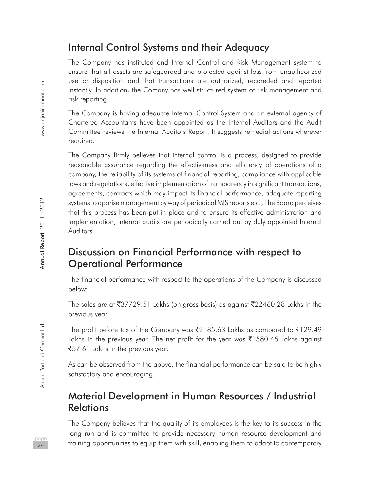## Internal Control Systems and their Adequacy

The Company has instituted and Internal Control and Risk Management system to ensure that all assets are safeguarded and protected against loss from unautheorized use or disposition and that transactions are authorized, recoreded and reported instantly. In addition, the Comany has well structured system of risk management and risk reporting.

The Company is having adequate Internal Control System and an external agency of Chartered Accountants have been appointed as the Internal Auditors and the Audit Committee reviews the Internal Auditors Report. It suggests remedial actions wherever required.

The Company firmly believes that internal control is a process, designed to provide reasonable assurance regarding the effectiveness and efficiency of operations of a company, the reliability of its systems of financial reporting, compliance with applicable laws and regulations, effective implementation of transparency in significant transactions, agreements, contracts which may impact its financial performance, adequate reporting systems to apprise management by way of periodical MIS reports etc., The Board perceives that this process has been put in place and to ensure its effective administration and implementation, internal audits are periodically carried out by duly appointed Internal Auditors.

## Discussion on Financial Performance with respect to Operational Performance

The financial performance with respect to the operations of the Company is discussed below:

The sales are at  $\sqrt[3]{37729.51}$  Lakhs (on gross basis) as against  $\sqrt[3]{22460.28}$  Lakhs in the previous year.

The profit before tax of the Company was  $\bar{\mathfrak{Z}}$ 2185.63 Lakhs as compared to  $\bar{\mathfrak{Z}}$ 129.49 Lakhs in the previous year. The net profit for the year was  $\overline{3}1580.45$  Lakhs against ₹57.61 Lakhs in the previous year.

As can be observed from the above, the financial performance can be said to be highly satisfactory and encouraging.

## Material Development in Human Resources / Industrial Relations

The Company believes that the quality of its employees is the key to its success in the long run and is committed to provide necessary human resource development and training opportunities to equip them with skill, enabling them to adapt to contemporary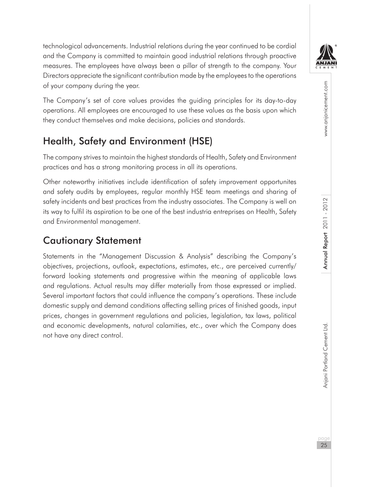technological advancements. Industrial relations during the year continued to be cordial and the Company is committed to maintain good industrial relations through proactive measures. The employees have always been a pillar of strength to the company. Your Directors appreciate the significant contribution made by the employees to the operations of your company during the year.

The Company's set of core values provides the guiding principles for its day-to-day operations. All employees are encouraged to use these values as the basis upon which they conduct themselves and make decisions, policies and standards.

# Health, Safety and Environment (HSE)

The company strives to maintain the highest standards of Health, Safety and Environment practices and has a strong monitoring process in all its operations.

Other noteworthy initiatives include identification of safety improvement opportunites and safety audits by employees, regular monthly HSE team meetings and sharing of safety incidents and best practices from the industry associates. The Company is well on its way to fulfil its aspiration to be one of the best industria entreprises on Health, Safety and Environmental management.

## Cautionary Statement

Statements in the "Management Discussion & Analysis" describing the Company's objectives, projections, outlook, expectations, estimates, etc., are perceived currently/ forward looking statements and progressive within the meaning of applicable laws and regulations. Actual results may differ materially from those expressed or implied. Several important factors that could influence the company's operations. These include domestic supply and demand conditions affecting selling prices of finished goods, input prices, changes in government regulations and policies, legislation, tax laws, political and economic developments, natural calamities, etc., over which the Company does not have any direct control.

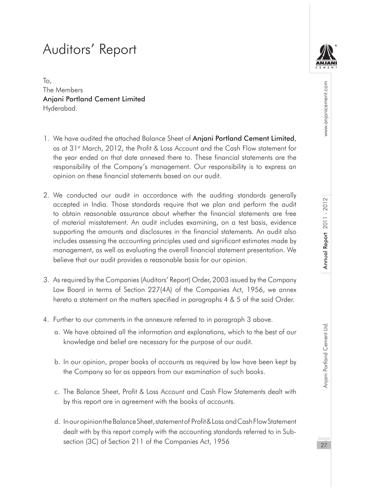# Auditors' Report

To, The Members Anjani Portland Cement Limited Hyderabad.

- 1. We have audited the attached Balance Sheet of **Anjani Portland Cement Limited**, as at 31<sup>st</sup> March, 2012, the Profit & Loss Account and the Cash Flow statement for the year ended on that date annexed there to. These financial statements are the responsibility of the Company's management. Our responsibility is to express an opinion on these financial statements based on our audit.
- 2. We conducted our audit in accordance with the auditing standards generally accepted in India. Those standards require that we plan and perform the audit to obtain reasonable assurance about whether the financial statements are free of material misstatement. An audit includes examining, on a test basis, evidence supporting the amounts and disclosures in the financial statements. An audit also includes assessing the accounting principles used and significant estimates made by management, as well as evaluating the overall financial statement presentation. We believe that our audit provides a reasonable basis for our opinion.
- 3. As required by the Companies (Auditors' Report) Order, 2003 issued by the Company Law Board in terms of Section 227(4A) of the Companies Act, 1956, we annex hereto a statement on the matters specified in paragraphs 4 & 5 of the said Order.
- 4. Further to our comments in the annexure referred to in paragraph 3 above.
	- a. We have obtained all the information and explanations, which to the best of our knowledge and belief are necessary for the purpose of our audit.
	- b. In our opinion, proper books of accounts as required by law have been kept by the Company so far as appears from our examination of such books.
	- c. The Balance Sheet, Profit & Loss Account and Cash Flow Statements dealt with by this report are in agreement with the books of accounts.
	- d. In our opinion the Balance Sheet, statement of Profit & Loss and Cash Flow Statement dealt with by this report comply with the accounting standards referred to in Subsection (3C) of Section 211 of the Companies Act, 1956

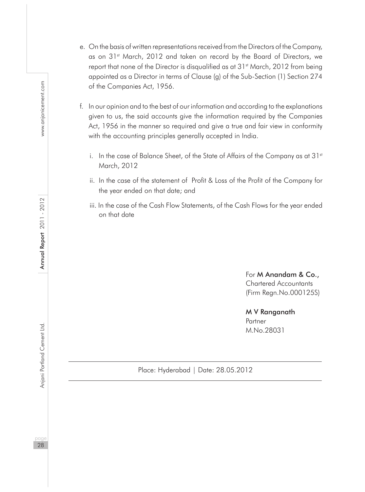- e. On the basis of written representations received from the Directors of the Company, as on 31st March, 2012 and taken on record by the Board of Directors, we report that none of the Director is disqualified as at 31<sup>st</sup> March, 2012 from being appointed as a Director in terms of Clause (g) of the Sub-Section (1) Section 274 of the Companies Act, 1956.
- f. In our opinion and to the best of our information and according to the explanations given to us, the said accounts give the information required by the Companies Act, 1956 in the manner so required and give a true and fair view in conformity with the accounting principles generally accepted in India.
	- i. In the case of Balance Sheet, of the State of Affairs of the Company as at 31st March, 2012
	- ii. In the case of the statement of Profit & Loss of the Profit of the Company for the year ended on that date; and
	- iii. In the case of the Cash Flow Statements, of the Cash Flows for the year ended on that date

For M Anandam & Co., Chartered Accountants (Firm Regn.No.000125S)

#### M V Ranganath **Partner** M.No.28031

Place: Hyderabad | Date: 28.05.2012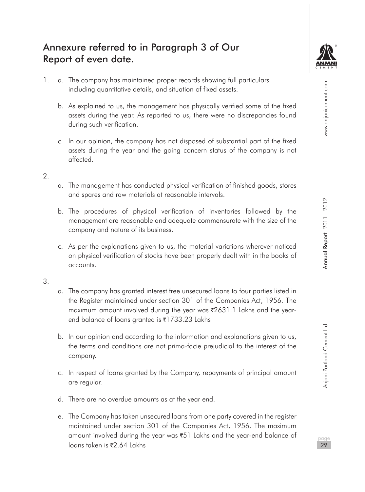## Annexure referred to in Paragraph 3 of Our Report of even date.



pageannia Portland Cement Ltd. Annu**al Report 2011 - 2012** Annual Report 2012 Www.anjanicement.com Annual Report 2011 - 2012

- 1. a. The company has maintained proper records showing full particulars including quantitative details, and situation of fixed assets.
	- b. As explained to us, the management has physically verified some of the fixed assets during the year. As reported to us, there were no discrepancies found during such verification.
	- c. In our opinion, the company has not disposed of substantial part of the fixed assets during the year and the going concern status of the company is not affected.

#### $\mathcal{L}$

- a. The management has conducted physical verification of finished goods, stores and spares and raw materials at reasonable intervals.
- b. The procedures of physical verification of inventories followed by the management are reasonable and adequate commensurate with the size of the company and nature of its business.
- c. As per the explanations given to us, the material variations wherever noticed on physical verification of stocks have been properly dealt with in the books of accounts.

#### 3.

- a. The company has granted interest free unsecured loans to four parties listed in the Register maintained under section 301 of the Companies Act, 1956. The maximum amount involved during the year was  $\overline{2}631.1$  Lakhs and the yearend balance of loans granted is ₹1733.23 Lakhs
- b. In our opinion and according to the information and explanations given to us, the terms and conditions are not prima-facie prejudicial to the interest of the company.
- c. In respect of loans granted by the Company, repayments of principal amount are regular.
- d. There are no overdue amounts as at the year end.
- e. The Company has taken unsecured loans from one party covered in the register maintained under section 301 of the Companies Act, 1956. The maximum amount involved during the year was ₹51 Lakhs and the year-end balance of loans taken is ₹2.64 Lakhs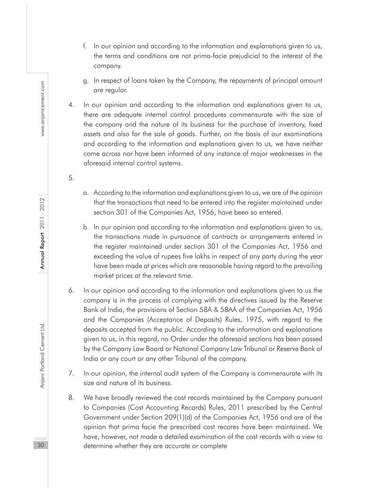- f. In our opinion and according to the information and explanations given to us, the terms and conditions are not prima-facie prejudicial to the interest of the company.
- g. In respect of loans taken by the Company, the repayments of principal amount are regular.
- 4. In our opinion and according to the information and explanations given to us, there are adequate internal control procedures commensurate with the size of the company and the nature of its business for the purchase of inventory, fixed assets and also for the sale of goods. Further, on the basis of our examinations and according to the information and explanations given to us, we have neither come across nor have been informed of any instance of major weaknesses in the aforesaid internal control systems.
	- a. According to the information and explanations given to us, we are of the opinion that the transactions that need to be entered into the register maintained under section 301 of the Companies Act, 1956, have been so entered.
	- b. In our opinion and according to the information and explanations given to us, the transactions made in pursuance of contracts or arrangements entered in the register maintained under section 301 of the Companies Act, 1956 and exceeding the value of rupees five lakhs in respect of any party during the year have been made at prices which are reasonable having regard to the prevailing market prices at the relevant time.
- 6. In our opinion and according to the information and explanations given to us the company is in the process of complying with the directives issued by the Reserve Bank of India, the provisions of Section 58A & 58AA of the Companies Act, 1956 and the Companies (Acceptance of Deposits) Rules, 1975, with regard to the deposits accepted from the public. According to the information and explanations given to us, in this regard, no Order under the aforesaid sections has been passed by the Company Law Board or National Company Law Tribunal or Reserve Bank of India or any court or any other Tribunal of the company.
- 7. In our opinion, the internal audit system of the Company is commensurate with its size and nature of its business.
- 8. We have broadly reviewed the cost records maintained by the Company pursuant to Companies (Cost Accounting Records) Rules, 2011 prescribed by the Central Government under Section 209(1)(d) of the Companies Act, 1956 and are of the opinion that prima facie the prescribed cost recores have been maintained. We have, however, not made a detailed examination of the cost records with a view to determine whether they are accurate or complete

5.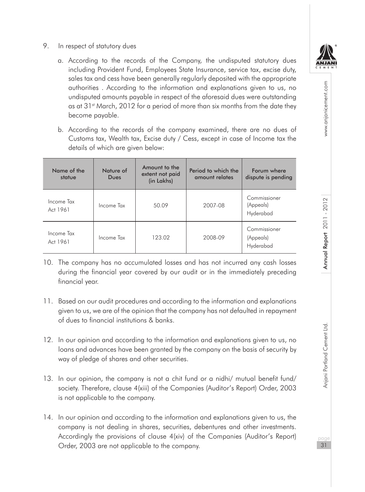**IN JAN** 

www.anjanicement.com

- 9. In respect of statutory dues
	- a. According to the records of the Company, the undisputed statutory dues including Provident Fund, Employees State Insurance, service tax, excise duty, sales tax and cess have been generally regularly deposited with the appropriate authorities . According to the information and explanations given to us, no undisputed amounts payable in respect of the aforesaid dues were outstanding as at 31<sup>st</sup> March, 2012 for a period of more than six months from the date they become payable.
	- b. According to the records of the company examined, there are no dues of Customs tax, Wealth tax, Excise duty / Cess, except in case of Income tax the details of which are given below:

| Name of the<br>statue  | Nature of<br>Dues | Amount to the<br>extent not paid<br>(in Lakhs) | Period to which the<br>amount relates | Forum where<br>dispute is pending      |
|------------------------|-------------------|------------------------------------------------|---------------------------------------|----------------------------------------|
| Income Tax<br>Act 1961 | Income Tax        | 50.09                                          | 2007-08                               | Commissioner<br>(Appeals)<br>Hyderabad |
| Income Tax<br>Act 1961 | Income Tax        | 123.02                                         | 2008-09                               | Commissioner<br>(Appeals)<br>Hyderabad |

- 10. The company has no accumulated losses and has not incurred any cash losses during the financial year covered by our audit or in the immediately preceding financial year.
- 11. Based on our audit procedures and according to the information and explanations given to us, we are of the opinion that the company has not defaulted in repayment of dues to financial institutions & banks.
- 12. In our opinion and according to the information and explanations given to us, no loans and advances have been granted by the company on the basis of security by way of pledge of shares and other securities.
- 13. In our opinion, the company is not a chit fund or a nidhi/ mutual benefit fund/ society. Therefore, clause 4(xiii) of the Companies (Auditor's Report) Order, 2003 is not applicable to the company.
- 14. In our opinion and according to the information and explanations given to us, the company is not dealing in shares, securities, debentures and other investments. Accordingly the provisions of clause 4(xiv) of the Companies (Auditor's Report) Order, 2003 are not applicable to the company.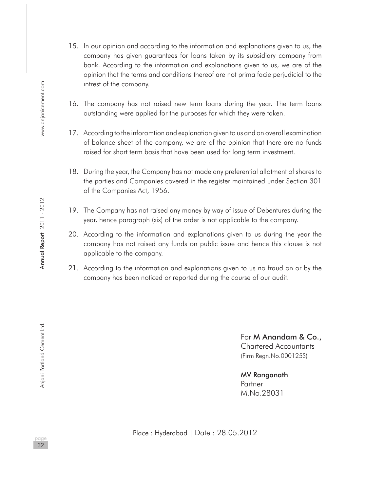- 15. In our opinion and according to the information and explanations given to us, the company has given guarantees for loans taken by its subsidiary company from bank. According to the information and explanations given to us, we are of the opinion that the terms and conditions thereof are not prima facie perjudicial to the intrest of the company.
- 16. The company has not raised new term loans during the year. The term loans outstanding were applied for the purposes for which they were taken.
- 17. According to the inforamtion and explanation given to us and on overall examination of balance sheet of the company, we are of the opinion that there are no funds raised for short term basis that have been used for long term investment.
- 18. During the year, the Company has not made any preferential allotment of shares to the parties and Companies covered in the register maintained under Section 301 of the Companies Act, 1956.
- 19. The Company has not raised any money by way of issue of Debentures during the year, hence paragraph (xix) of the order is not applicable to the company.
- 20. According to the information and explanations given to us during the year the company has not raised any funds on public issue and hence this clause is not applicable to the company.
- 21. According to the information and explanations given to us no fraud on or by the company has been noticed or reported during the course of our audit.

For M Anandam & Co., Chartered Accountants (Firm Regn.No.000125S)

MV Ranganath Partner M.No.28031

www.anjanicement.com

Anjani Portland Cement Ltd.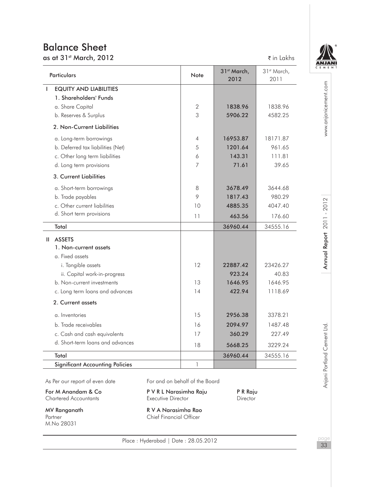## Balance Sheet

as at 31<sup>st</sup> March, 2012 **and 2012 a** in Lakhs

| <b>Particulars</b>                     | Note           | 31 <sup>st</sup> March,<br>2012 | 31 <sup>st</sup> March,<br>2011 |
|----------------------------------------|----------------|---------------------------------|---------------------------------|
| <b>EQUITY AND LIABILITIES</b><br>Т     |                |                                 |                                 |
| 1. Shareholders' Funds                 |                |                                 |                                 |
| a. Share Capital                       | 2              | 1838.96                         | 1838.96                         |
| b. Reserves & Surplus                  | 3              | 5906.22                         | 4582.25                         |
| 2. Non-Current Liabilities             |                |                                 |                                 |
| a. Long-term borrowings                | $\overline{4}$ | 16953.87                        | 18171.87                        |
| b. Deferred tax liabilities (Net)      | 5              | 1201.64                         | 961.65                          |
| c. Other long term liabilities         | 6              | 143.31                          | 111.81                          |
| d. Long term provisions                | $\overline{7}$ | 71.61                           | 39.65                           |
| 3. Current Liabilities                 |                |                                 |                                 |
| a. Short-term borrowings               | 8              | 3678.49                         | 3644.68                         |
| b. Trade payables                      | 9              | 1817.43                         | 980.29                          |
| c. Other current liabilities           | 10             | 4885.35                         | 4047.40                         |
| d. Short term provisions               | 11             | 463.56                          | 176.60                          |
| Total                                  |                | 36960.44                        | 34555.16                        |
| II ASSETS                              |                |                                 |                                 |
| 1. Non-current assets                  |                |                                 |                                 |
| a. Fixed assets                        |                |                                 |                                 |
| i. Tangible assets                     | 12             | 22887.42                        | 23426.27                        |
| ii. Capital work-in-progress           |                | 923.24                          | 40.83                           |
| b. Non-current investments             | 13             | 1646.95                         | 1646.95                         |
| c. Long term loans and advances        | 14             | 422.94                          | 1118.69                         |
| 2. Current assets                      |                |                                 |                                 |
| a. Inventories                         | 15             | 2956.38                         | 3378.21                         |
| b. Trade receivables                   | 16             | 2094.97                         | 1487.48                         |
| c. Cash and cash equivalents           | 17             | 360.29                          | 227.49                          |
| d. Short-term loans and advances       | 18             | 5668.25                         | 3229.24                         |
| Total                                  |                | 36960.44                        | 34555.16                        |
| <b>Significant Accounting Policies</b> | 1              |                                 |                                 |



www.anjanicement.com pageannia Portland Cement Ltd. Annu**al Report 2011 - 2012** Annual Report 2012 Www.anjanicement.com

Anjani Portland Cement Ltd.

For M Anandam & Co **P V R L Narasimha Raju** P R Raju<br>
Chartered Accountants **P R Raju P Executive Director** Director Chartered Accountants

Partner<br>M.No 28031

MV Ranganath R V A Narasimha Rao Chief Financial Officer

Place : Hyderabad | Date : 28.05.2012

page 33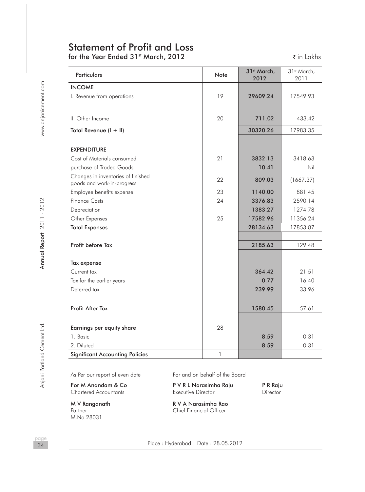# Statement of Profit and Loss

for the Year Ended 31<sup>st</sup> March, 2012 The Year of the Year Ended 31<sup>st</sup> March, 2012 The Market of the Venus of the Venus of the Venus of the Venus of the Venus of the Venus of the Venus of the Venus of the Venus of the Ve

| <b>Particulars</b>                                               | Note         | 31 <sup>st</sup> March,<br>2012 | 31 <sup>st</sup> March,<br>2011 |
|------------------------------------------------------------------|--------------|---------------------------------|---------------------------------|
| <b>INCOME</b>                                                    |              |                                 |                                 |
| I. Revenue from operations                                       | 19           | 29609.24                        | 17549.93                        |
| II. Other Income                                                 | 20           | 711.02                          | 433.42                          |
| Total Revenue (I + II)                                           |              | 30320.26                        | 17983.35                        |
| <b>EXPENDITURE</b>                                               |              |                                 |                                 |
| Cost of Materials consumed<br>purchase of Traded Goods           | 21           | 3832.13<br>10.41                | 3418.63<br>Nil                  |
| Changes in inventories of finished<br>goods and work-in-progress | 22           | 809.03                          | (1667.37)                       |
| Employee benefits expense                                        | 23           | 1140.00                         | 881.45                          |
| <b>Finance Costs</b>                                             | 24           | 3376.83                         | 2590.14                         |
| Depreciation                                                     |              | 1383.27                         | 1274.78                         |
| Other Expenses                                                   | 25           | 17582.96                        | 11356.24                        |
| <b>Total Expenses</b>                                            |              | 28134.63                        | 17853.87                        |
| Profit before Tax                                                |              | 2185.63                         | 129.48                          |
| Tax expense                                                      |              |                                 |                                 |
| Current tax                                                      |              | 364.42                          | 21.51                           |
| Tax for the earlier years                                        |              | 0.77                            | 16.40                           |
| Deferred tax                                                     |              | 239.99                          | 33.96                           |
| Profit After Tax                                                 |              | 1580.45                         | 57.61                           |
| Earnings per equity share                                        | 28           |                                 |                                 |
| 1. Basic                                                         |              | 8.59                            | 0.31                            |
| 2. Diluted                                                       |              | 8.59                            | 0.31                            |
| <b>Significant Accounting Policies</b>                           | $\mathbf{1}$ |                                 |                                 |

M.No 28031

As Per our report of even date For and on behalf of the Board

For M Anandam & Co **P V R L Narasimha Raju** P R Raju<br>
Chartered Accountants **P R Raju P Executive Director** Director Chartered Accountants Executive Director Director

M V Ranganath R V A Narasimha Rao Partner Chief Financial Officer

page 34

Place : Hyderabad | Date : 28.05.2012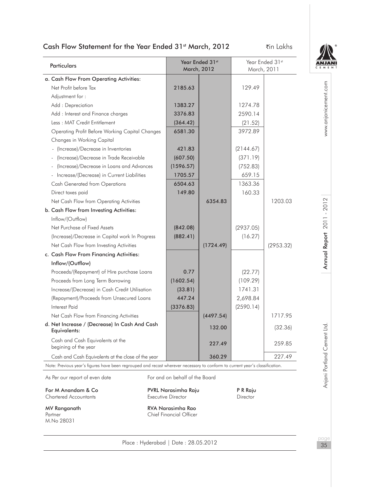# Cash Flow Statement for the Year Ended 31st March, 2012 Tin Lakhs



35

| Particulars                                                                                                                  |                                                            | Year Ended 31st<br><b>March, 2012</b> | Year Ended 31st<br>March, 2011 |           |                      |
|------------------------------------------------------------------------------------------------------------------------------|------------------------------------------------------------|---------------------------------------|--------------------------------|-----------|----------------------|
| a. Cash Flow From Operating Activities:                                                                                      |                                                            |                                       |                                |           |                      |
| Net Profit before Tax                                                                                                        | 2185.63                                                    |                                       | 129.49                         |           | www.anjanicement.com |
| Adjustment for:                                                                                                              |                                                            |                                       |                                |           |                      |
| Add: Depreciation                                                                                                            | 1383.27                                                    |                                       | 1274.78                        |           |                      |
| Add: Interest and Finance charges                                                                                            | 3376.83                                                    |                                       | 2590.14                        |           |                      |
| Less: MAT Credit Entitlement                                                                                                 | (364.42)                                                   |                                       | (21.52)                        |           |                      |
| Operating Profit Before Working Capital Changes                                                                              | 6581.30                                                    |                                       | 3972.89                        |           |                      |
| Changes in Working Capital                                                                                                   |                                                            |                                       |                                |           |                      |
| - (Increase)/Decrease in Inventories                                                                                         | 421.83                                                     |                                       | (2144.67)                      |           |                      |
| (Increase)/Decrease in Trade Receivable                                                                                      | (607.50)                                                   |                                       | (371.19)                       |           |                      |
| (Increase)/Decrease in Loans and Advances                                                                                    | (1596.57)                                                  |                                       | (752.83)                       |           |                      |
| - Increase/(Decrease) in Current Liabilities                                                                                 | 1705.57                                                    |                                       | 659.15                         |           |                      |
| <b>Cash Generated from Operations</b>                                                                                        | 6504.63                                                    |                                       | 1363.36                        |           |                      |
| Direct taxes paid                                                                                                            | 149.80                                                     |                                       | 160.33                         |           |                      |
| Net Cash Flow from Operating Activities                                                                                      |                                                            | 6354.83                               |                                | 1203.03   |                      |
| b. Cash Flow from Investing Activities:                                                                                      |                                                            |                                       |                                |           | $-2012$              |
| Inflow/(Outflow)                                                                                                             |                                                            |                                       |                                |           | 2011                 |
| Net Purchase of Fixed Assets                                                                                                 | (842.08)                                                   |                                       | (2937.05)                      |           |                      |
| (Increase)/Decrease in Capital work In Progress                                                                              | (882.41)                                                   |                                       | (16.27)                        |           |                      |
| Net Cash Flow from Investing Activities                                                                                      |                                                            | (1724.49)                             |                                | (2953.32) |                      |
| c. Cash Flow From Financing Activities:                                                                                      |                                                            |                                       |                                |           | Annual Report        |
| Inflow/(Outflow)                                                                                                             |                                                            |                                       |                                |           |                      |
| Proceeds/(Repayment) of Hire purchase Loans                                                                                  | 0.77                                                       |                                       | (22.77)                        |           |                      |
| Proceeds from Long Term Borrowing                                                                                            | (1602.54)                                                  |                                       | (109.29)                       |           |                      |
| Increase/(Decrease) in Cash Credit Utilisation                                                                               | (33.81)                                                    |                                       | 1741.31                        |           |                      |
| (Repayment)/Proceeds from Unsecured Loans                                                                                    | 447.24                                                     |                                       | 2,698.84                       |           |                      |
| <b>Interest Paid</b>                                                                                                         | (3376.83)                                                  |                                       | (2590.14)                      |           |                      |
| Net Cash Flow from Financing Activities                                                                                      |                                                            | (4497.54)                             |                                | 1717.95   |                      |
| d. Net Increase / (Decrease) In Cash And Cash<br>Equivalents:                                                                |                                                            | 132.00                                |                                | (32.36)   |                      |
| Cash and Cash Equivalents at the<br>begining of the year                                                                     |                                                            | 227.49                                |                                | 259.85    | ortland Cement Ltd   |
| Cash and Cash Equivalents at the close of the year                                                                           |                                                            | 360.29                                |                                | 227.49    |                      |
| Note: Previous year's figures have been regrouped and recast wherever necessary to conform to current year's classification. |                                                            |                                       |                                |           |                      |
| As Per our report of even date                                                                                               | For and on behalf of the Board                             |                                       |                                |           | ட<br>Anjani          |
| For M Anandam & Co<br><b>Chartered Accountants</b>                                                                           | PVRL Narasimha Raju<br>Executive Director                  |                                       | P R Raju<br>Director           |           |                      |
| MV Ranganath<br>Partner<br>M.No 28031                                                                                        | <b>RVA Narasimha Rao</b><br><b>Chief Financial Officer</b> |                                       |                                |           |                      |

Place : Hyderabad | Date : 28.05.2012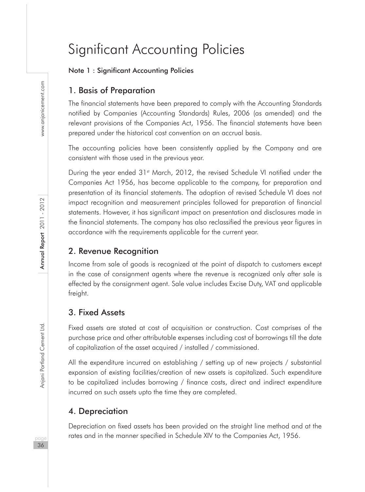# Significant Accounting Policies

#### Note 1 : Significant Accounting Policies

# 1. Basis of Preparation

The financial statements have been prepared to comply with the Accounting Standards notified by Companies (Accounting Standards) Rules, 2006 (as amended) and the relevant provisions of the Companies Act, 1956. The financial statements have been prepared under the historical cost convention on an accrual basis.

The accounting policies have been consistently applied by the Company and are consistent with those used in the previous year.

During the year ended 31<sup>st</sup> March, 2012, the revised Schedule VI notified under the Companies Act 1956, has become applicable to the company, for preparation and presentation of its financial statements. The adoption of revised Schedule VI does not impact recognition and measurement principles followed for preparation of financial statements. However, it has significant impact on presentation and disclosures made in the financial statements. The company has also reclassified the previous year figures in accordance with the requirements applicable for the current year.

# 2. Revenue Recognition

Income from sale of goods is recognized at the point of dispatch to customers except in the case of consignment agents where the revenue is recognized only after sale is effected by the consignment agent. Sale value includes Excise Duty, VAT and applicable freight.

# 3. Fixed Assets

Fixed assets are stated at cost of acquisition or construction. Cost comprises of the purchase price and other attributable expenses including cost of borrowings till the date of capitalization of the asset acquired / installed / commissioned.

All the expenditure incurred on establishing / setting up of new projects / substantial expansion of existing facilities/creation of new assets is capitalized. Such expenditure to be capitalized includes borrowing / finance costs, direct and indirect expenditure incurred on such assets upto the time they are completed.

# 4. Depreciation

Depreciation on fixed assets has been provided on the straight line method and at the rates and in the manner specified in Schedule XIV to the Companies Act, 1956.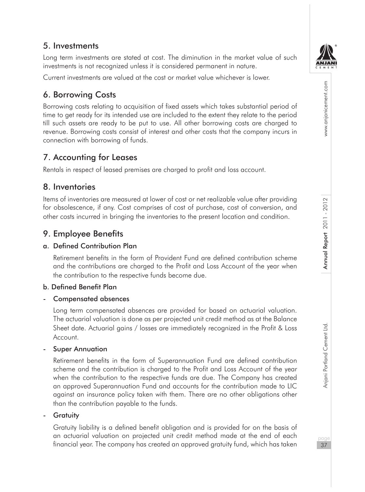5. Investments

Long term investments are stated at cost. The diminution in the market value of such investments is not recognized unless it is considered permanent in nature.

Current investments are valued at the cost or market value whichever is lower.

# 6. Borrowing Costs

Borrowing costs relating to acquisition of fixed assets which takes substantial period of time to get ready for its intended use are included to the extent they relate to the period till such assets are ready to be put to use. All other borrowing costs are charged to revenue. Borrowing costs consist of interest and other costs that the company incurs in connection with borrowing of funds.

# 7. Accounting for Leases

Rentals in respect of leased premises are charged to profit and loss account.

# 8. Inventories

Items of inventories are measured at lower of cost or net realizable value after providing for obsolescence, if any. Cost comprises of cost of purchase, cost of conversion, and other costs incurred in bringing the inventories to the present location and condition.

# 9. Employee Benefits

# a. Defined Contribution Plan

Retirement benefits in the form of Provident Fund are defined contribution scheme and the contributions are charged to the Profit and Loss Account of the year when the contribution to the respective funds become due.

#### b. Defined Benefit Plan

#### - Compensated absences

Long term compensated absences are provided for based on actuarial valuation. The actuarial valuation is done as per projected unit credit method as at the Balance Sheet date. Actuarial gains / losses are immediately recognized in the Profit & Loss Account.

#### Super Annuation

Retirement benefits in the form of Superannuation Fund are defined contribution scheme and the contribution is charged to the Profit and Loss Account of the year when the contribution to the respective funds are due. The Company has created an approved Superannuation Fund and accounts for the contribution made to LIC against an insurance policy taken with them. There are no other obligations other than the contribution payable to the funds.

#### **Gratuity**

Gratuity liability is a defined benefit obligation and is provided for on the basis of an actuarial valuation on projected unit credit method made at the end of each financial year. The company has created an approved gratuity fund, which has taken



www.anjanicement.com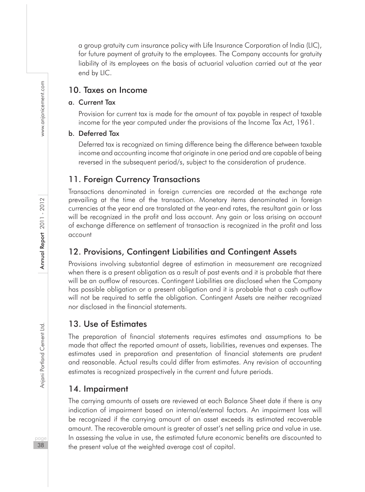a group gratuity cum insurance policy with Life Insurance Corporation of India (LIC), for future payment of aratuity to the employees. The Company accounts for aratuity liability of its employees on the basis of actuarial valuation carried out at the year end by LIC.

# 10. Taxes on Income

# a. Current Tax

Provision for current tax is made for the amount of tax payable in respect of taxable income for the year computed under the provisions of the Income Tax Act, 1961.

#### b. Deferred Tax

Deferred tax is recognized on timing difference being the difference between taxable income and accounting income that originate in one period and are capable of being reversed in the subsequent period/s, subject to the consideration of prudence.

# 11. Foreign Currency Transactions

Transactions denominated in foreign currencies are recorded at the exchange rate prevailing at the time of the transaction. Monetary items denominated in foreign currencies at the year end are translated at the year-end rates, the resultant gain or loss will be recognized in the profit and loss account. Any gain or loss arising on account of exchange difference on settlement of transaction is recognized in the profit and loss account

# 12. Provisions, Contingent Liabilities and Contingent Assets

Provisions involving substantial degree of estimation in measurement are recognized when there is a present obligation as a result of past events and it is probable that there will be an outflow of resources. Contingent Liabilities are disclosed when the Company has possible obligation or a present obligation and it is probable that a cash outflow will not be required to settle the obligation. Contingent Assets are neither recognized nor disclosed in the financial statements.

# 13. Use of Estimates

The preparation of financial statements requires estimates and assumptions to be made that affect the reported amount of assets, liabilities, revenues and expenses. The estimates used in preparation and presentation of financial statements are prudent and reasonable. Actual results could differ from estimates. Any revision of accounting estimates is recognized prospectively in the current and future periods.

# 14. Impairment

The carrying amounts of assets are reviewed at each Balance Sheet date if there is any indication of impairment based on internal/external factors. An impairment loss will be recognized if the carrying amount of an asset exceeds its estimated recoverable amount. The recoverable amount is greater of asset's net selling price and value in use. In assessing the value in use, the estimated future economic benefits are discounted to the present value at the weighted average cost of capital.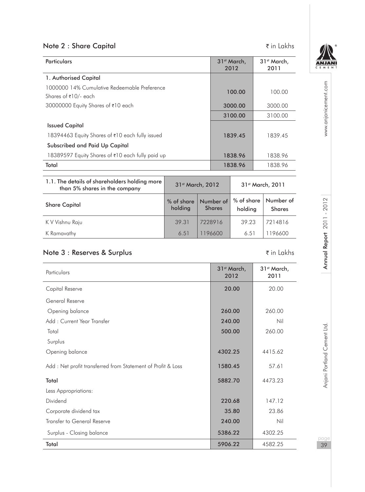# Note 2 : Share Capital and the state of the state of the state of the state of the state of the state of the state of the state of the state of the state of the state of the state of the state of the state of the state of

| <b>Particulars</b>                                                   | 31 <sup>st</sup> March,<br>2012 | 31 <sup>st</sup> March,<br>2011 |
|----------------------------------------------------------------------|---------------------------------|---------------------------------|
| 1. Authorised Capital                                                |                                 |                                 |
| 1000000 14% Cumulative Redeemable Preference<br>Shares of ₹10/- each | 100.00                          | 100.00                          |
| 30000000 Equity Shares of ₹10 each                                   | 3000.00                         | 3000.00                         |
|                                                                      | 3100.00                         | 3100.00                         |
| <b>Issued Capital</b>                                                |                                 |                                 |
| 18394463 Equity Shares of ₹10 each fully issued                      | 1839.45                         | 1839.45                         |
| Subscribed and Paid Up Capital                                       |                                 |                                 |
| 18389597 Equity Shares of ₹10 each fully paid up                     | 1838.96                         | 1838.96                         |
| Total                                                                | 1838.96                         | 1838.96                         |

| 1.1. The details of shareholders holding more<br>than 5% shares in the company | 31st March, 2012      |                            | 31 <sup>st</sup> March, 2011 |                            |
|--------------------------------------------------------------------------------|-----------------------|----------------------------|------------------------------|----------------------------|
| <b>Share Capital</b>                                                           | % of share<br>holding | Number of<br><b>Shares</b> | % of share<br>holding        | Number of<br><b>Shares</b> |
| K V Vishnu Raju                                                                | 39.31                 | 7228916                    | 39.23                        | 7214816                    |
| K Ramavathy                                                                    | 6.51                  | 196600                     | 6.51                         | 196600                     |

# Note 3 : Reserves & Surplus in Lakhs ₹ in Lakhs

| Particulars                                                 | 31 <sup>st</sup> March,<br>2012 | 31 <sup>st</sup> March,<br>2011 |
|-------------------------------------------------------------|---------------------------------|---------------------------------|
| Capital Reserve                                             | 20.00                           | 20.00                           |
| General Reserve                                             |                                 |                                 |
| Opening balance                                             | 260.00                          | 260.00                          |
| Add: Current Year Transfer                                  | 240.00                          | Nil                             |
| Total                                                       | 500.00                          | 260.00                          |
| Surplus                                                     |                                 |                                 |
| Opening balance                                             | 4302.25                         | 4415.62                         |
| Add: Net profit transferred from Statement of Profit & Loss | 1580.45                         | 57.61                           |
| Total                                                       | 5882.70                         | 4473.23                         |
| Less Appropriations:                                        |                                 |                                 |
| Dividend                                                    | 220.68                          | 147.12                          |
| Corporate dividend tax                                      | 35.80                           | 23.86                           |
| Transfer to General Reserve                                 | 240.00                          | Nil                             |
| Surplus - Closing balance                                   | 5386.22                         | 4302.25                         |
| Total                                                       | 5906.22                         | 4582.25                         |

ANJANI

www.anjanicement.com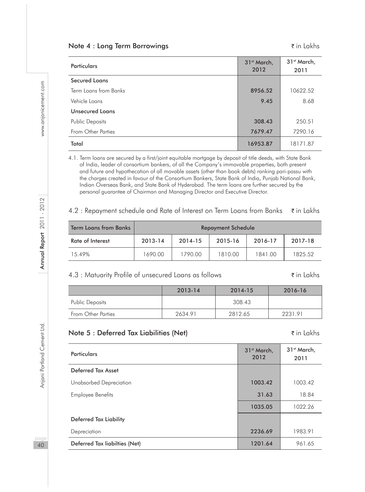#### Note 4 : Long Term Borrowings in Lakhs ₹in Lakhs

| <b>Particulars</b>     | 31 <sup>st</sup> March,<br>2012 | 31 <sup>st</sup> March,<br>2011 |
|------------------------|---------------------------------|---------------------------------|
| <b>Secured Loans</b>   |                                 |                                 |
| Term Loans from Banks  | 8956.52                         | 10622.52                        |
| Vehicle Loans          | 9.45                            | 8.68                            |
| <b>Unsecured Loans</b> |                                 |                                 |
| <b>Public Deposits</b> | 308.43                          | 250.51                          |
| From Other Parties     | 7679.47                         | 7290.16                         |
| Total                  | 16953.87                        | 18171.87                        |

4.1. Term loans are secured by a first/joint equitable mortgage by deposit of title deeds, with State Bank of India, leader of consortium bankers, of all the Company's immovable properties, both present and future and hypothecation of all movable assets (other than book debts) ranking pari-passu with the charges created in favour of the Consortium Bankers, State Bank of India, Punjab National Bank, Indian Overseas Bank, and State Bank of Hyderabad. The term loans are further secured by the personal guarantee of Chairman and Managing Director and Executive Director.

#### 4.2 : Repayment schedule and Rate of Interest on Term Loans from Banks  $\vec{\tau}$  in Lakhs

| <b>Term Loans from Banks</b> | <b>Repayment Schedule</b> |         |         |         |         |
|------------------------------|---------------------------|---------|---------|---------|---------|
| Rate of Interest             | 2013-14                   | 2014-15 | 2015-16 | 2016-17 | 2017-18 |
| 15.49%                       | 1690.00                   | 1790.00 | 1810.00 | 1841.00 | 1825.52 |

#### 4.3 : Matuarity Profile of unsecured Loans as follows ` in Lakhs

|                           | 2013-14 | 2014-15 | 2016-16 |
|---------------------------|---------|---------|---------|
| Public Deposits           |         | 308.43  |         |
| <b>From Other Parties</b> | 2634.91 | 2812.65 | 2231.91 |

#### Note 5 : Deferred Tax Liabilities (Net)  $\bar{\tau}$  in Lakhs

# Particulars 31st March, 31st March, 31st March, 31st March, 31st March, 32st March, 32st March, 32st March, 32<br>- 2012 2012 31<sup>st</sup> March, 2011 Deferred Tax Asset Unabsorbed Depreciation **1003.42** 1003.42 1003.42 Employee Benefits **31.63** 18.84 1035.05 1022.26 Deferred Tax Liability **Depreciation** 2236.69 1983.91 Deferred Tax liabilties (Net) 1201.64 961.65

naa 40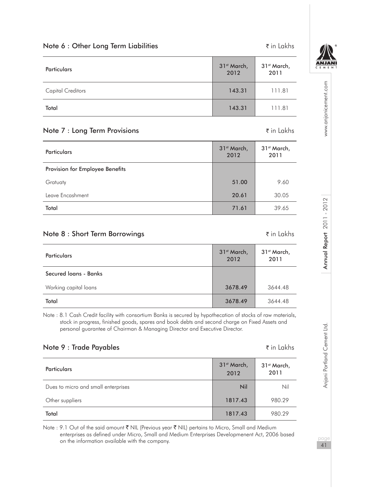| <b>Particulars</b>       | 31 <sup>st</sup> March,<br>2012 | 31 <sup>st</sup> March,<br>2011 |
|--------------------------|---------------------------------|---------------------------------|
| <b>Capital Creditors</b> | 143.31                          | 111.81                          |
| Total                    | 143.31                          | 111.81                          |

Note 6 : Other Long Term Liabilities  $\bar{\tau}$  in Lakhs

#### Note 7 : Long Term Provisions  $\bar{z}$  in Lakhs

|  | ₹in Lakh: |  |
|--|-----------|--|

| Particulars                     | 31 <sup>st</sup> March,<br>2012 | 31 <sup>st</sup> March,<br>2011 |
|---------------------------------|---------------------------------|---------------------------------|
| Provision for Employee Benefits |                                 |                                 |
| Gratuaty                        | 51.00                           | 9.60                            |
| Leave Encashment                | 20.61                           | 30.05                           |
| Total                           | 71.61                           | 39.65                           |

#### Note 8 : Short Term Borrowings **in Lakhs** ₹ in Lakhs

| <b>Particulars</b>    | 31 <sup>st</sup> March,<br>2012 | 31 <sup>st</sup> March,<br>2011 |
|-----------------------|---------------------------------|---------------------------------|
| Secured Joans - Banks |                                 |                                 |
| Working capital loans | 3678.49                         | 3644.48                         |
| Total                 | 3678.49                         | 3644.48                         |

Note : 8.1 Cash Credit facility with consortium Banks is secured by hypothecation of stocks of raw materials, stock in progress, finished goods, spares and book debts and second charge on Fixed Assets and personal guarantee of Chairman & Managing Director and Executive Director.

# Note 9 : Trade Payables and the set of the set of the set of the set of the set of the set of the set of the set of the set of the set of the set of the set of the set of the set of the set of the set of the set of the se

| <b>Particulars</b>                  | 31 <sup>st</sup> March,<br>2012 | 31 <sup>st</sup> March,<br>2011 |
|-------------------------------------|---------------------------------|---------------------------------|
| Dues to micro and small enterprises | Nil                             | Nil                             |
| Other suppliers                     | 1817.43                         | 980.29                          |
| Total                               | 1817.43                         | 980.29                          |

Note : 9.1 Out of the said amount ₹ NIL (Previous year ₹ NIL) pertains to Micro, Small and Medium enterprises as defined under Micro, Small and Medium Enterprises Developmenent Act, 2006 based on the information available with the company.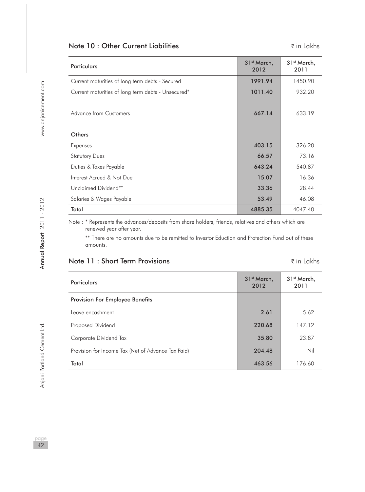# Note 10 : Other Current Liabilities in Lakhs

| Particulars                                        | 31 <sup>st</sup> March,<br>2012 | 31 <sup>st</sup> March,<br>2011 |
|----------------------------------------------------|---------------------------------|---------------------------------|
| Current maturities of long term debts - Secured    | 1991.94                         | 1450.90                         |
| Current maturities of long term debts - Unsecured* | 1011.40                         | 932.20                          |
| Advance from Customers                             | 667.14                          | 633.19                          |
| Others                                             |                                 |                                 |
| Expenses                                           | 403.15                          | 326.20                          |
| <b>Statutory Dues</b>                              | 66.57                           | 73.16                           |
| Duties & Taxes Payable                             | 643.24                          | 540.87                          |
| Interest Acrued & Not Due                          | 15.07                           | 16.36                           |
| Unclaimed Dividend**                               | 33.36                           | 28.44                           |
| Salaries & Wages Payable                           | 53.49                           | 46.08                           |
| Total                                              | 4885.35                         | 4047.40                         |

Note : \* Represents the advances/deposits from share holders, friends, relatives and others which are renewed year after year.

\*\* There are no amounts due to be remitted to Investor Eduction and Protection Fund out of these amounts.

Note 11 : Short Term Provisions in a set of the state of the state of the state of the state of the Sin Lakhs

| Particulars                                        | 31 <sup>st</sup> March,<br>2012 | 31 <sup>st</sup> March,<br>2011 |
|----------------------------------------------------|---------------------------------|---------------------------------|
| Provision For Employee Benefits                    |                                 |                                 |
| Leave encashment                                   | 2.61                            | 5.62                            |
| Proposed Dividend                                  | 220.68                          | 147.12                          |
| Corporate Dividend Tax                             | 35.80                           | 23.87                           |
| Provision for Income Tax (Net of Advance Tax Paid) | 204.48                          | Nil                             |
| Total                                              | 463.56                          | 176.60                          |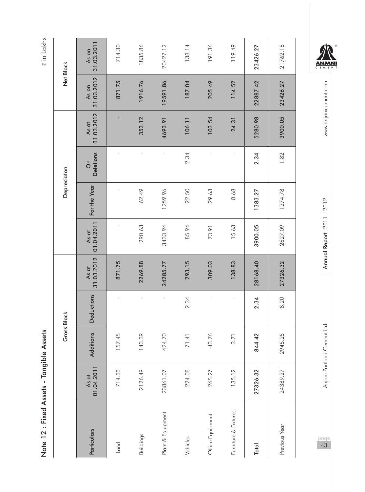| 2<br>í<br>$\frac{1}{2}$<br>)<br>I<br>-<br>י                         |  |
|---------------------------------------------------------------------|--|
| <b>Fixed Assets -</b><br>֡֕<br>֧֚֚֚֚֚֚֚֚֚֚֩֕<br>֧֡֡֡֡֡֘<br>Note 12: |  |

₹ in Lakhs

|             | 31.03.2011<br>As on                      | 714.30 | 1835.86   | 20427.12          | 138.14   | 191.36           | 119.49               | 23426.27 | 21762.18      |
|-------------|------------------------------------------|--------|-----------|-------------------|----------|------------------|----------------------|----------|---------------|
| Net Block   | 31.03.2012<br>As on                      | 871.75 | 1916.76   | 19591.86          | 187.04   | 205.49           | 114.52               | 22887.42 | 23426.27      |
|             | 31.03.2012<br>As at                      | I.     | 353.12    | 4693.91           | 106.11   | 103.54           | 24.31                | 5280.98  | 3900.05       |
| Depreciaton | <b>Deletions</b><br>$\delta$             |        |           |                   | 2.34     |                  |                      | 2.34     | 1.82          |
|             | For the Year                             | ł      | 62.49     | 1259.96           | 22.50    | 29.63            | 8.68                 | 1383.27  | 1274.78       |
|             | 01.04.2011<br>As at                      |        | 290.63    | 3433.94           | 85.94    | 73.91            | 15.63                | 3900.05  | 2627.09       |
|             | 31.03.2012<br>As at                      | 871.75 | 2269.88   | 24285.77          | 293.15   | 309.03           | 138.83               | 28168.40 | 27326.32      |
| Gross Block | <b>Deductions</b>                        |        |           |                   | 2.34     |                  |                      | 2.34     | 8.20          |
|             | Additions                                | 157.45 | 143.39    | 424.70            | 71.41    | 43.76            | 3.71                 | 844.42   | 2945.25       |
|             | $\frac{\text{As of}}{\text{01.04.2011}}$ | 714.30 | 2126.49   | 23861.07          | 224.08   | 265.27           | 135.12               | 27326.32 | 24389.27      |
|             | Particulars                              | Land   | Buildings | Plant & Equipment | Vehicles | Office Equipment | Furniture & Fixtures | Total    | Previous Year |



www.anjanicement.com pageannia Portland Cement Ltd. Annu**al Report 2011 - 2012** Annual Report 2012 Www.anjanicement.com

Annual Report 2011 - 2012

Anjani Portland Cement Ltd.

 $\rho$ <sub>43</sub>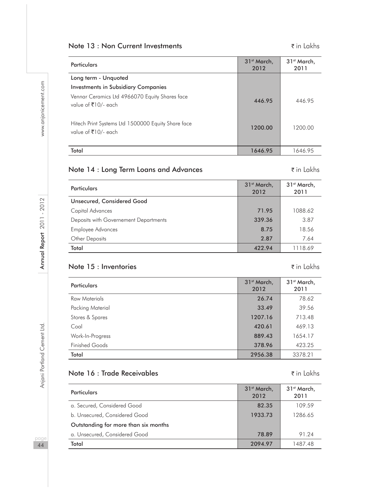# Note 13 : Non Current Investments  $\bar{\tau}$  in Lakhs

| Particulars                                                               | 31 <sup>st</sup> March.<br>2012 | 31 <sup>st</sup> March.<br>2011 |
|---------------------------------------------------------------------------|---------------------------------|---------------------------------|
| Long term - Unquoted                                                      |                                 |                                 |
| <b>Investments in Subsidiary Companies</b>                                |                                 |                                 |
| Vennar Ceramics Ltd 4966070 Equity Shares face<br>value of ₹10/- each     | 446.95                          | 446.95                          |
| Hitech Print Systems Ltd 1500000 Equity Share face<br>value of ₹10/- each | 1200.00                         | 1200.00                         |
| Total                                                                     | 1646.95                         | 1646.95                         |

# Note 14 : Long Term Loans and Advances The Mathematic Research to the 14 in Lakhs

| <b>Particulars</b>                    | 31 <sup>st</sup> March,<br>2012 | 31 <sup>st</sup> March,<br>2011 |
|---------------------------------------|---------------------------------|---------------------------------|
| Unsecured, Considered Good            |                                 |                                 |
| Capital Advances                      | 71.95                           | 1088.62                         |
| Deposits with Governement Departments | 339.36                          | 3.87                            |
| <b>Employee Advances</b>              | 8.75                            | 18.56                           |
| Other Deposits                        | 2.87                            | 7.64                            |
| Total                                 | 422.94                          | 1118.69                         |

# Note 15 : Inventories in Lakhs

#### Particulars 31st March, 31st March, 31st March, 31st March, 31st March, 32, 2012. 2012 31<sup>st</sup> March, 2011 Raw Materials 26.74 78.62 Packing Material 39.56 Stores & Spares 2007.16 713.48 Coal 420.61 469.13 Work-In-Progress 889.43 1654.17 Finished Goods 378.96 423.25 Total 2956.38 | 2378.21 | 2956.38

#### Note 16 : Trade Receivables and the set of the set of the set of the set of the set of the set of the set of th

| Particulars                          | 31 <sup>st</sup> March,<br>2012 | 31 <sup>st</sup> March,<br>2011 |
|--------------------------------------|---------------------------------|---------------------------------|
| a. Secured, Considered Good          | 82.35                           | 109.59                          |
| b. Unsecured, Considered Good        | 1933.73                         | 1286.65                         |
| Outstanding for more than six months |                                 |                                 |
| a. Unsecured, Considered Good        | 78.89                           | 91.24                           |
| Total                                | 2094.97                         | 1487.48                         |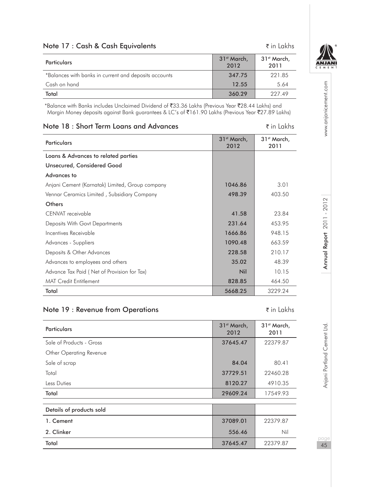| Note 17: Cash & Cash Equivalents                      |                                 | $\bar{\tau}$ in Lakhs           |
|-------------------------------------------------------|---------------------------------|---------------------------------|
| <b>Particulars</b>                                    | 31 <sup>st</sup> March,<br>2012 | 31 <sup>st</sup> March,<br>2011 |
| *Balances with banks in current and deposits accounts | 347.75                          | 221.85                          |
| Cash on hand                                          | 12.55                           | 5.64                            |
| Total                                                 | 360.29                          | 227.49                          |

 \*Balance with Banks includes Unclaimed Dividend of `33.36 Lakhs (Previous Year `28.44 Lakhs) and Margin Money deposits against Bank guarantees & LC's of ₹161.90 Lakhs (Previous Year ₹27.89 Lakhs)

| Note 18: Short Term Loans and Advances          |                                 | $\bar{\tau}$ in Lakhs           |
|-------------------------------------------------|---------------------------------|---------------------------------|
| <b>Particulars</b>                              | 31 <sup>st</sup> March,<br>2012 | 31 <sup>st</sup> March,<br>2011 |
| Loans & Advances to related parties             |                                 |                                 |
| Unsecured, Considered Good                      |                                 |                                 |
| Advances to                                     |                                 |                                 |
| Anjani Cement (Karnatak) Limited, Group company | 1046.86                         | 3.01                            |
| Vennar Ceramics Limited, Subsidiary Company     | 498.39                          | 403.50                          |
| Others                                          |                                 |                                 |
| CENVAT receivable                               | 41.58                           | 23.84                           |
| Deposits With Govt Departments                  | 231.64                          | 453.95                          |
| Incentives Receivable                           | 1666.86                         | 948.15                          |
| Advances - Suppliers                            | 1090.48                         | 663.59                          |
| Deposits & Other Advances                       | 228.58                          | 210.17                          |
| Advances to employees and others                | 35.02                           | 48.39                           |
| Advance Tax Paid (Net of Provision for Tax)     | Nil                             | 10.15                           |
| <b>MAT Credit Entitlement</b>                   | 828.85                          | 464.50                          |
| Total                                           | 5668.25                         | 3229.24                         |

#### Note 19 : Revenue from Operations in Lakhs

| <b>Particulars</b>       | 31 <sup>st</sup> March,<br>2012 | 31 <sup>st</sup> March,<br>2011 |
|--------------------------|---------------------------------|---------------------------------|
| Sale of Products - Gross | 37645.47                        | 22379.87                        |
| Other Operating Revenue  |                                 |                                 |
| Sale of scrap            | 84.04                           | 80.41                           |
| Total                    | 37729.51                        | 22460.28                        |
| Less Duties              | 8120.27                         | 4910.35                         |
| Total                    | 29609.24                        | 17549.93                        |
|                          |                                 |                                 |
| Details of products sold |                                 |                                 |
| 1. Cement                | 37089.01                        | 22379.87                        |
| 2. Clinker               | 556.46                          | Nil                             |
| Total                    | 37645.47                        | 22379.87                        |

**ANJANI** EME

www.anjanicement.com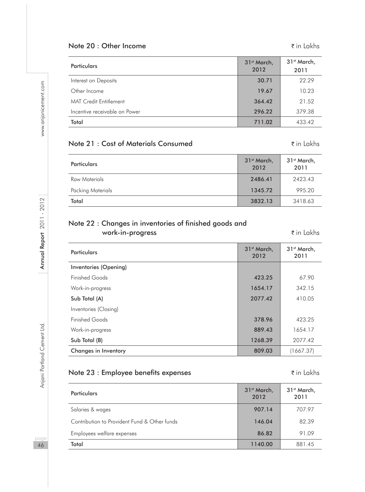# Note 20 : Other Income  $\bar{\tau}$  in Lakhs

| <b>Particulars</b>            | 31 <sup>st</sup> March,<br>2012 | 31 <sup>st</sup> March,<br>2011 |
|-------------------------------|---------------------------------|---------------------------------|
| Interest on Deposits          | 30.71                           | 22.29                           |
| Other Income                  | 19.67                           | 10.23                           |
| <b>MAT Credit Entitlement</b> | 364.42                          | 21.52                           |
| Incentive receivable on Power | 296.22                          | 379.38                          |
| Total                         | 711.02                          | 433.42                          |

#### Note 21 : Cost of Materials Consumed **Value 21** in Lakhs

| <b>Particulars</b> | 31 <sup>st</sup> March,<br>2012 | 31 <sup>st</sup> March,<br>2011 |
|--------------------|---------------------------------|---------------------------------|
| Raw Materials      | 2486.41                         | 2423.43                         |
| Packing Materials  | 1345.72                         | 995.20                          |
| Total              | 3832.13                         | 3418.63                         |

## Note 22 : Changes in inventories of finished goods and work-in-progress  $\bar{z}$  in Lakhs

| <b>Particulars</b>    | 31 <sup>st</sup> March.<br>2012 | 31 <sup>st</sup> March,<br>2011 |
|-----------------------|---------------------------------|---------------------------------|
| Inventories (Opening) |                                 |                                 |
| Finished Goods        | 423.25                          | 67.90                           |
| Work-in-progress      | 1654.17                         | 342.15                          |
| Sub Total (A)         | 2077.42                         | 410.05                          |
| Inventories (Closing) |                                 |                                 |
| Finished Goods        | 378.96                          | 423.25                          |
| Work-in-progress      | 889.43                          | 1654.17                         |
| Sub Total (B)         | 1268.39                         | 2077.42                         |
| Changes in Inventory  | 809.03                          | (1667.37)                       |

#### Note 23 : Employee benefits expenses and the set of the set of the set of the set of the set of the set of the set of the set of the set of the set of the set of the set of the set of the set of the set of the set of the

Particulars 31st March, 31st March, 31st March, 31st March, 31st March, 32st March, 32st March, 32st March, 32<br>- 2012 2012 31st March, 2011 Salaries & wages 907.14 707.97 Contribution to Provident Fund & Other funds 146.04 82.39 Employees welfare expenses and the set of the set of the set of the set of the set of the set of the set of the set of the set of the set of the set of the set of the set of the set of the set of the set of the set of the Total 1140.00 881.45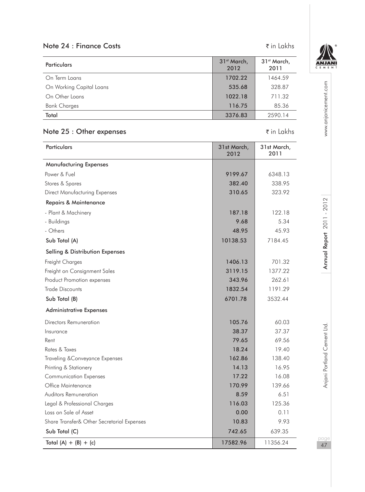# Note 24 : Finance Costs  $\bar{\tau}$  in Lakhs

| <b>Particulars</b>       | 31 <sup>st</sup> March,<br>2012 | 31 <sup>st</sup> March,<br>2011 |
|--------------------------|---------------------------------|---------------------------------|
| On Term Loans            | 1702.22                         | 1464.59                         |
| On Working Capital Loans | 535.68                          | 328.87                          |
| On Other Loans           | 1022.18                         | 711.32                          |
| <b>Bank Charges</b>      | 116.75                          | 85.36                           |
| Total                    | 3376.83                         | 2590.14                         |

# Note 25 : Other expenses  $\bar{\tau}$  in Lakhs

| Particulars                                | 31st March,<br>2012 | 31st March,<br>2011 |
|--------------------------------------------|---------------------|---------------------|
| <b>Manufacturing Expenses</b>              |                     |                     |
| Power & Fuel                               | 9199.67             | 6348.13             |
| Stores & Spares                            | 382.40              | 338.95              |
| <b>Direct Manufacturing Expenses</b>       | 310.65              | 323.92              |
| Repairs & Maintenance                      |                     |                     |
| - Plant & Machinery                        | 187.18              | 122.18              |
| - Buildings                                | 9.68                | 5.34                |
| - Others                                   | 48.95               | 45.93               |
| Sub Total (A)                              | 10138.53            | 7184.45             |
| <b>Selling &amp; Distribution Expenses</b> |                     |                     |
| Freight Charges                            | 1406.13             | 701.32              |
| Freight on Consignment Sales               | 3119.15             | 1377.22             |
| Product Promotion expenses                 | 343.96              | 262.61              |
| Trade Discounts                            | 1832.54             | 1191.29             |
| Sub Total (B)                              | 6701.78             | 3532.44             |
| <b>Administrative Expenses</b>             |                     |                     |
| Directors Remuneration                     | 105.76              | 60.03               |
| Insurance                                  | 38.37               | 37.37               |
| Rent                                       | 79.65               | 69.56               |
| Rates & Taxes                              | 18.24               | 19.40               |
| Traveling & Conveyance Expenses            | 162.86              | 138.40              |
| Printing & Stationery                      | 14.13               | 16.95               |
| <b>Communication Expenses</b>              | 17.22               | 16.08               |
| Office Maintenance                         | 170.99              | 139.66              |
| <b>Auditors Remuneration</b>               | 8.59                | 6.51                |
| Legal & Professional Charges               | 116.03              | 125.36              |
| Loss on Sale of Asset                      | 0.00                | 0.11                |
| Share Transfer& Other Secretarial Expenses | 10.83               | 9.93                |
| Sub Total (C)                              | 742.65              | 639.35              |
| Total $(A) + (B) + (c)$                    | 17582.96            | 11356.24            |



www.anjanicement.com pageannia Portland Cement Ltd. Annu**al Report 2011 - 2012** Annual Report 2012 Www.anjanicement.com

Annual Report 2011 - 2012

Anjani Portland Cement Ltd.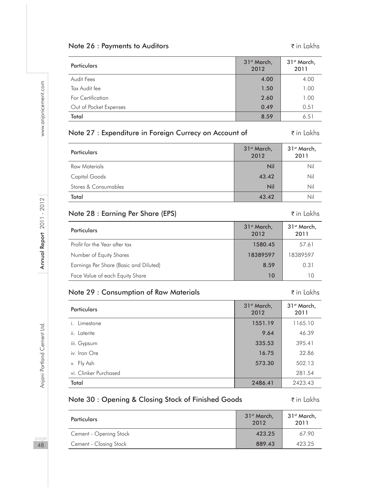#### Note 26 : Payments to Auditors  $\bar{\tau}$  in Lakhs

| Particulars            | 31 <sup>st</sup> March,<br>2012 | 31 <sup>st</sup> March,<br>2011 |
|------------------------|---------------------------------|---------------------------------|
| Audit Fees             | 4.00                            | 4.00                            |
| Tax Audit fee          | 1.50                            | 1.00                            |
| For Certification      | 2.60                            | 1.00                            |
| Out of Pocket Expenses | 0.49                            | 0.51                            |
| Total                  | 8.59                            | 6.51                            |

#### Note 27 : Expenditure in Foreign Currecy on Account of ₹in Lakhs

| Particulars          | 31 <sup>st</sup> March,<br>2012 | 31 <sup>st</sup> March,<br>2011 |
|----------------------|---------------------------------|---------------------------------|
| Raw Materials        | Nil                             | Nil                             |
| Capital Goods        | 43.42                           | Nil                             |
| Stores & Consumables | Nil                             | Nil                             |
| Total                | 43.42                           | Nil                             |

#### Note 28 : Earning Per Share (EPS) The South of the Share (EPS) The South of the South of the South of the South of the South of the South of the South of the South of the South of the South of the South of the South of th

Particulars 31st March, 31st March, 31st March, 31st March, 31st March, 32st March, 32st March, 32st March, 32<br>- 2012 2012 31st March, 2011 Profit for the Year after tax 1580.45 57.61 Number of Equity Shares 18389597 18389597 Earnings Per Share (Basic and Diluted) **8.59** 0.31 Face Value of each Equity Share 10 10

#### Note 29 : Consumption of Raw Materials **in Consumption of Raw Materials in Lakhs**

Particulars 31st March, 31st March, 31st March, 31st March, 31st March, 32st March, 32st March, 32st March, 32<br>- 2012 2012 31st March, 2011 i. Limestone 1551.19 1165.10 ii. Laterite 9.64 46.39 iii. Gypsum 395.41 iv. Iron Ore 32.86 v. Fly Ash 502.13 **573.30** 502.13 vi. Clinker Purchased 281.54 Total 2486.41 2423.43

# Note 30 : Opening & Closing Stock of Finished Goods ₹in Lakhs

| <b>Particulars</b>     | 31 <sup>st</sup> March,<br>2012 | 31 <sup>st</sup> March,<br>2011 |
|------------------------|---------------------------------|---------------------------------|
| Cement - Opening Stock | 423.25                          | 67.90                           |
| Cement - Closing Stock | 889.43                          | 423.25                          |

paa 48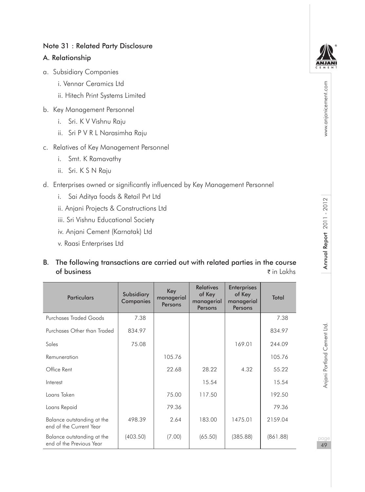#### Note 31 : Related Party Disclosure

#### A. Relationship

- a. Subsidiary Companies
	- i. Vennar Ceramics Ltd
	- ii. Hitech Print Systems Limited
- b. Key Management Personnel
	- i. Sri. K V Vishnu Raju
	- ii. Sri P V R L Narasimha Raju
- c. Relatives of Key Management Personnel
	- i. Smt. K Ramavathy
	- ii. Sri. K S N Raju
- d. Enterprises owned or significantly influenced by Key Management Personnel
	- i. Sai Aditya foods & Retail Pvt Ltd
	- ii. Anjani Projects & Constructions Ltd
	- iii. Sri Vishnu Educational Society
	- iv. Anjani Cement (Karnatak) Ltd
	- v. Raasi Enterprises Ltd

# B. The following transactions are carried out with related parties in the course of business  $\bar{z}$  in Lakhs

| <b>Particulars</b>                                     | Subsidiary<br>Companies | Key<br>managerial<br>Persons | <b>Relatives</b><br>of Key<br>managerial<br>Persons | <b>Enterprises</b><br>of Key<br>managerial<br>Persons | <b>Total</b> |
|--------------------------------------------------------|-------------------------|------------------------------|-----------------------------------------------------|-------------------------------------------------------|--------------|
| Purchases Traded Goods                                 | 7.38                    |                              |                                                     |                                                       | 7.38         |
| Purchases Other than Traded                            | 834.97                  |                              |                                                     |                                                       | 834.97       |
| Sales                                                  | 75.08                   |                              |                                                     | 169.01                                                | 244.09       |
| Remuneration                                           |                         | 105.76                       |                                                     |                                                       | 105.76       |
| Office Rent                                            |                         | 22.68                        | 28.22                                               | 4.32                                                  | 55.22        |
| Interest                                               |                         |                              | 15.54                                               |                                                       | 15.54        |
| Loans Taken                                            |                         | 75.00                        | 117.50                                              |                                                       | 192.50       |
| Loans Repaid                                           |                         | 79.36                        |                                                     |                                                       | 79.36        |
| Balance outstanding at the<br>end of the Current Year  | 498.39                  | 2.64                         | 183.00                                              | 1475.01                                               | 2159.04      |
| Balance outstanding at the<br>end of the Previous Year | (403.50)                | (7.00)                       | (65.50)                                             | (385.88)                                              | (861.88)     |



49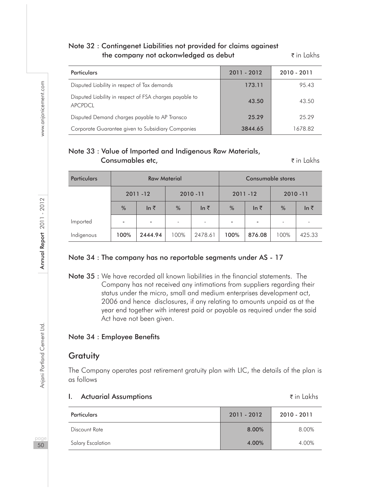#### Note 32 : Contingenet Liabilities not provided for claims againest the company not ackonwledged as debut  $\bar{\tau}$  in Lakhs

| <b>Particulars</b>                                                 | 2011 - 2012 | 2010 - 2011 |
|--------------------------------------------------------------------|-------------|-------------|
| Disputed Liability in respect of Tax demands                       | 173.11      | 95.43       |
| Disputed Liability in respect of FSA charges payable to<br>APCPDCL | 43.50       | 43.50       |
| Disputed Demand charges payable to AP Transco                      | 25.29       | 25.29       |
| Corporate Guarantee given to Subsidiary Companies                  | 3844.65     | 1678.82     |

# Note 33 : Value of Imported and Indigenous Raw Materials, **Consumables etc.**  $\bar{\tau}$  in Lakhs

| <b>Particulars</b> | <b>Raw Material</b>      |                          |      |                          | Consumable stores |              |               |              |
|--------------------|--------------------------|--------------------------|------|--------------------------|-------------------|--------------|---------------|--------------|
|                    |                          | $2011 - 12$              |      | $2010 - 11$              |                   | $2011 - 12$  | $2010 - 11$   |              |
|                    | %                        | In $\bar{z}$             | %    | ln ₹                     | $\frac{0}{6}$     | In $\bar{z}$ | $\frac{0}{0}$ | In $\bar{z}$ |
| Imported           | $\overline{\phantom{a}}$ | $\overline{\phantom{a}}$ |      | $\overline{\phantom{a}}$ |                   |              |               |              |
| Indigenous         | 100%                     | 2444.94                  | 100% | 2478.61                  | 100%              | 876.08       | 100%          | 425.33       |

#### Note 34 : The company has no reportable segments under AS - 17

Note 35 : We have recorded all known liabilities in the financial statements. The Company has not received any intimations from suppliers regarding their status under the micro, small and medium enterprises development act, 2006 and hence disclosures, if any relating to amounts unpaid as at the year end together with interest paid or payable as required under the said Act have not been given.

#### Note 34 : Employee Benefits

#### **Gratuity**

The Company operates post retirement gratuity plan with LIC, the details of the plan is as follows

| <b>Actuarial Assumptions</b> |               | $\bar{\tau}$ in Lakhs |
|------------------------------|---------------|-----------------------|
| Particulars                  | $2011 - 2012$ | 2010 - 2011           |
| Discount Rate                | 8.00%         | 8.00%                 |
| Salary Escalation            | 4.00%         | 4.00%                 |

naa 50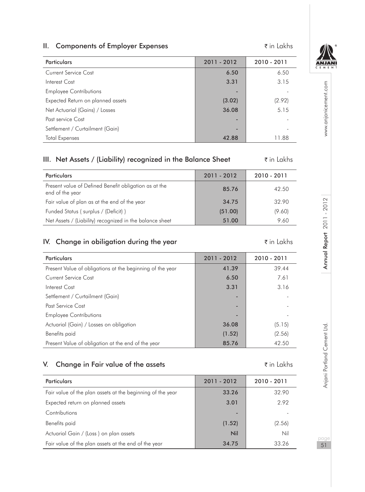#### **II.** Components of Employer Expenses  $\bar{\tau}$  in Lakhs



www.anjanicement.com

Annual Report 2011 - 2012

| Particulars                       | 2011 - 2012 | 2010 - 2011 |
|-----------------------------------|-------------|-------------|
| Current Service Cost              | 6.50        | 6.50        |
| Interest Cost                     | 3.31        | 3.15        |
| <b>Employee Contributions</b>     |             |             |
| Expected Return on planned assets | (3.02)      | (2.92)      |
| Net Actuarial (Gains) / Losses    | 36.08       | 5.15        |
| Past service Cost                 | -           |             |
| Settlement / Curtailment (Gain)   |             |             |
| <b>Total Expenses</b>             | 42.88       | 11.88       |

# III. Net Assets / (Liability) recognized in the Balance Sheet  $\bar{\tau}$  in Lakhs

| <b>Particulars</b>                                                       | 2011 - 2012 | $2010 - 2011$ |
|--------------------------------------------------------------------------|-------------|---------------|
| Present value of Defined Benefit obligation as at the<br>end of the year | 85.76       | 42.50         |
| Fair value of plan as at the end of the year                             | 34.75       | 32.90         |
| Funded Status (surplus / (Deficit))                                      | (51.00)     | (9.60)        |
| Net Assets / (Liability) recognized in the balance sheet                 | 51.00       | 9.60          |

# IV. Change in obiligation during the year  $\tilde{\tau}$  in Lakhs

| Particulars                                               | 2011 - 2012              | 2010 - 2011 |
|-----------------------------------------------------------|--------------------------|-------------|
| Present Value of obligations at the beginning of the year | 41.39                    | 39.44       |
| Current Service Cost                                      | 6.50                     | 7.61        |
| Interest Cost                                             | 3.31                     | 3.16        |
| Settlement / Curtailment (Gain)                           | ٠                        |             |
| Past Service Cost                                         | $\overline{\phantom{a}}$ |             |
| <b>Employee Contributions</b>                             | ۰                        |             |
| Actuarial (Gain) / Losses on obligation                   | 36.08                    | (5.15)      |
| Benefits paid                                             | (1.52)                   | (2.56)      |
| Present Value of obligation at the end of the year        | 85.76                    | 42.50       |

# V. Change in Fair value of the assets  $\zeta$  in Lakhs

| <b>Particulars</b>                                         | 2011 - 2012 | 2010 - 2011 |
|------------------------------------------------------------|-------------|-------------|
| Fair value of the plan assets at the beginning of the year | 33.26       | 32.90       |
| Expected return on planned assets                          | 3.01        | 2.92        |
| Contributions                                              |             |             |
| Benefits paid                                              | (1.52)      | (2.56)      |
| Actuarial Gain / (Loss) on plan assets                     | Nil         | Nil         |
| Fair value of the plan assets at the end of the year       | 34.75       | 33.26       |

pageannia Portland Cement Ltd. Annu**al Report 2011 - 2012** Annual Report 2012 Www.anjanicement.com Anjani Portland Cement Ltd.

51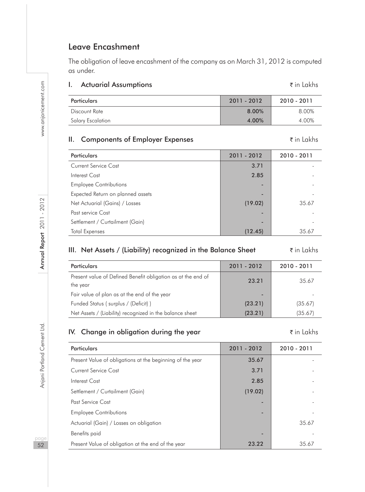# Leave Encashment

The obligation of leave encashment of the company as on March 31, 2012 is computed as under.

#### I. Actuarial Assumptions and the set of the set of the set of the set of the set of the set of the set of the set of the set of the set of the set of the set of the set of the set of the set of the set of the set of the s

| <b>Particulars</b> | $2011 - 2012$ | 2010 - 2011 |
|--------------------|---------------|-------------|
| Discount Rate      | 8.00%         | 8.00%       |
| Salary Escalation  | 4.00%         | 4.00%       |

## **II.** Components of Employer Expenses  $\bar{\tau}$  in Lakhs

| Particulars                       | 2011 - 2012 | 2010 - 2011 |
|-----------------------------------|-------------|-------------|
| Current Service Cost              | 3.71        |             |
| Interest Cost                     | 2.85        |             |
| <b>Employee Contributions</b>     | -           |             |
| Expected Return on planned assets | -           |             |
| Net Actuarial (Gains) / Losses    | (19.02)     | 35.67       |
| Past service Cost                 |             |             |
| Settlement / Curtailment (Gain)   | -           |             |
| <b>Total Expenses</b>             | (12.45)     | 35.67       |

## III. Net Assets / (Liability) recognized in the Balance Sheet  $\bar{\tau}$  in Lakhs

| Particulars                                                              | 2011 - 2012 | 2010 - 2011 |
|--------------------------------------------------------------------------|-------------|-------------|
| Present value of Defined Benefit obligation as at the end of<br>the year | 23.21       | 35.67       |
| Fair value of plan as at the end of the year                             | -           |             |
| Funded Status (surplus / (Deficit))                                      | (23.21)     | (35.67)     |
| Net Assets / (Liability) recognized in the balance sheet                 | (23.21)     | (35.67)     |

# IV. Change in obligation during the year  $\zeta$  in Lakhs

| Particulars                                               | 2011 - 2012 | $2010 - 2011$ |
|-----------------------------------------------------------|-------------|---------------|
| Present Value of obligations at the beginning of the year | 35.67       |               |
| Current Service Cost                                      | 3.71        |               |
| Interest Cost                                             | 2.85        |               |
| Settlement / Curtailment (Gain)                           | (19.02)     |               |
| Past Service Cost                                         |             |               |
| <b>Employee Contributions</b>                             |             |               |
| Actuarial (Gain) / Losses on obligation                   |             | 35.67         |
| Benefits paid                                             |             |               |
| Present Value of obligation at the end of the year        | 23.22       | 35.67         |

www.anjanicement.com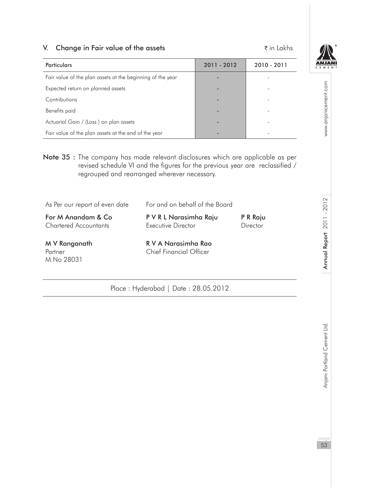#### V. Change in Fair value of the assets  $\bar{\tau}$  in Lakhs

| <b>Particulars</b>                                         | 2011 - 2012 | 2010 - 2011    |
|------------------------------------------------------------|-------------|----------------|
| Fair value of the plan assets at the beginning of the year |             |                |
| Expected return on planned assets                          |             |                |
| Contributions                                              |             |                |
| Benefits paid                                              |             | $\overline{a}$ |
| Actuarial Gain / (Loss) on plan assets                     |             |                |
| Fair value of the plan assets at the end of the year       |             |                |

Note 35 : The company has made relevant disclosures which are applicable as per revised schedule VI and the figures for the previous year are reclassified / regrouped and rearranged wherever necessary.

| الملتم ويمسمون اللابة                              | D.V.A. Nagasiaska Das                        |                      |
|----------------------------------------------------|----------------------------------------------|----------------------|
| For M Anandam & Co<br><b>Chartered Accountants</b> | P V R L Narasimha Raju<br>Executive Director | P R Raju<br>Director |
| As Per our report of even date                     | For and on behalf of the Board               |                      |

M.No 28031

M V Ranganath R V A Narasimha Rao Partner **Chief Financial Officer** 

Place : Hyderabad | Date : 28.05.2012

www.anjanicement.com pageannia Portland Cement Ltd. Annu**al Report 2011 - 2012** Annual Report 2012 Www.anjanicement.com

Annual Report 2011 - 2012

Anjani Portland Cement Ltd.

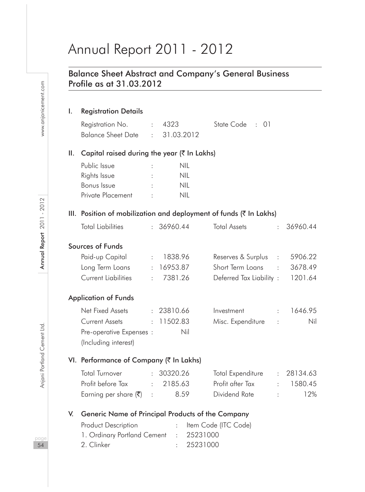# Annual Report 2011 - 2012

# Balance Sheet Abstract and Company's General Business Profile as at 31.03.2012

# I. Registration Details

| Registration No.   | $\therefore$ 4323 | State Code : 01 |  |  |
|--------------------|-------------------|-----------------|--|--|
| Balance Sheet Date | : 31.03.2012      |                 |  |  |

# II. Capital raised during the year  $($ ₹ In Lakhs)

|   | NIL |
|---|-----|
|   | NIL |
| ٠ | NIL |
|   | NIL |
|   |     |

# III. Position of mobilization and deployment of funds  $($ ₹ In Lakhs)

| <b>Total Liabilities</b>                |                            | : 36960.44 | <b>Total Assets</b>     |                   | : 36960.44 |
|-----------------------------------------|----------------------------|------------|-------------------------|-------------------|------------|
| Sources of Funds                        |                            |            |                         |                   |            |
| Paid-up Capital                         | $\sigma_{\rm{eff}}$        | 1838.96    | Reserves & Surplus      | $\sim$ 100 $\sim$ | 5906.22    |
| Long Term Loans                         |                            | : 16953.87 | Short Term Loans        | ÷.                | 3678.49    |
| Current Liabilities                     | ÷.                         | 7381.26    | Deferred Tax Liability: |                   | 1201.64    |
| <b>Application of Funds</b>             |                            |            |                         |                   |            |
| Net Fixed Assets                        |                            | : 23810.66 | Investment              | $\mathbb{R}^n$    | 1646.95    |
| Current Assets                          |                            | : 11502.83 | Misc. Expenditure       |                   | Nil        |
| Pre-operative Expenses :                |                            | Nil        |                         |                   |            |
| (Including interest)                    |                            |            |                         |                   |            |
| VI. Performance of Company (₹ In Lakhs) |                            |            |                         |                   |            |
| Total Turnover                          |                            | : 30320.26 | Total Expenditure       |                   | : 28134.63 |
| Profit before Tax                       | $\mathcal{L}^{\text{max}}$ | 2185.63    | Profit after Tax        | $\mathbf{r}$      | 1580.45    |

Earning per share  $(\bar{\mathbf{\zeta}})$  : 8.59 Dividend Rate : 12%

# V. Generic Name of Principal Products of the Company

| Product Description                    | : Item Code (ITC Code) |
|----------------------------------------|------------------------|
| 1. Ordinary Portland Cement : 25231000 |                        |
| 2. Clinker                             | : 25231000             |

www.anjanicement.com

paa 54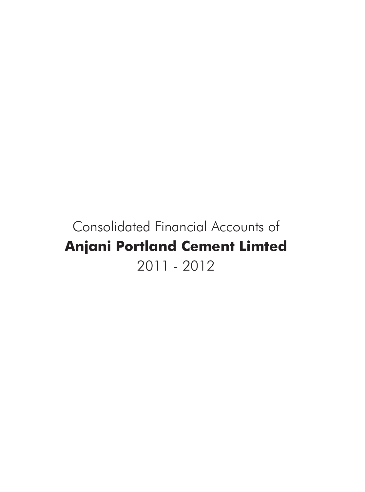# Consolidated Financial Accounts of **Anjani Portland Cement Limted** 2011 - 2012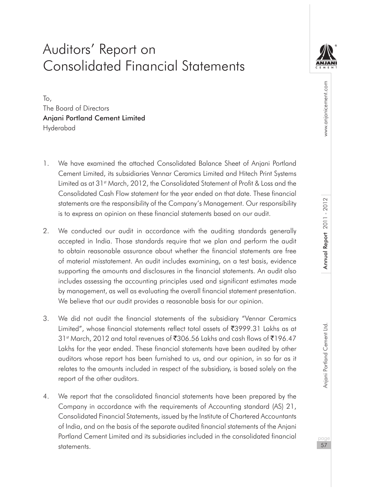# Auditors' Report on Consolidated Financial Statements

To, The Board of Directors Anjani Portland Cement Limited Hyderabad

- 1. We have examined the attached Consolidated Balance Sheet of Anjani Portland Cement Limited, its subsidiaries Vennar Ceramics Limited and Hitech Print Systems Limited as at 31st March, 2012, the Consolidated Statement of Profit & Loss and the Consolidated Cash Flow statement for the year ended on that date. These financial statements are the responsibility of the Company's Management. Our responsibility is to express an opinion on these financial statements based on our audit.
- 2. We conducted our audit in accordance with the auditing standards generally accepted in India. Those standards require that we plan and perform the audit to obtain reasonable assurance about whether the financial statements are free of material misstatement. An audit includes examining, on a test basis, evidence supporting the amounts and disclosures in the financial statements. An audit also includes assessing the accounting principles used and significant estimates made by management, as well as evaluating the overall financial statement presentation. We believe that our audit provides a reasonable basis for our opinion.
- 3. We did not audit the financial statements of the subsidiary "Vennar Ceramics Limited", whose financial statements reflect total assets of ₹3999.31 Lakhs as at  $31$ <sup>st</sup> March, 2012 and total revenues of  $\overline{306}$ .56 Lakhs and cash flows of  $\overline{5196}$ .47 Lakhs for the year ended. These financial statements have been audited by other auditors whose report has been furnished to us, and our opinion, in so far as it relates to the amounts included in respect of the subsidiary, is based solely on the report of the other auditors.
- 4. We report that the consolidated financial statements have been prepared by the Company in accordance with the requirements of Accounting standard (AS) 21, Consolidated Financial Statements, issued by the Institute of Chartered Accountants of India, and on the basis of the separate audited financial statements of the Anjani Portland Cement Limited and its subsidiaries included in the consolidated financial statements.

57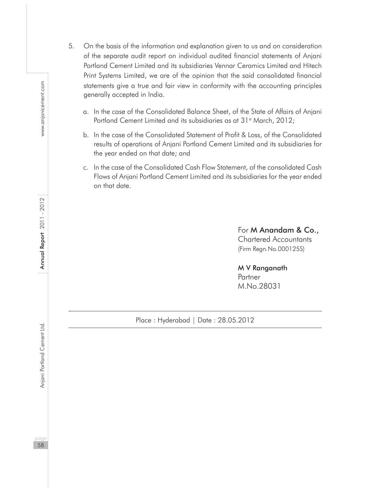- 5. On the basis of the information and explanation given to us and on consideration of the separate audit report on individual audited financial statements of Anjani Portland Cement Limited and its subsidiaries Vennar Ceramics Limited and Hitech Print Systems Limited, we are of the opinion that the said consolidated financial statements give a true and fair view in conformity with the accounting principles generally accepted in India.
	- a. In the case of the Consolidated Balance Sheet, of the State of Affairs of Anjani Portland Cement Limited and its subsidiaries as at 31<sup>st</sup> March, 2012;
	- b. In the case of the Consolidated Statement of Profit & Loss, of the Consolidated results of operations of Anjani Portland Cement Limited and its subsidiaries for the year ended on that date; and
	- c. In the case of the Consolidated Cash Flow Statement, of the consolidated Cash Flows of Anjani Portland Cement Limited and its subsidiaries for the year ended on that date.

For M Anandam & Co., Chartered Accountants (Firm Regn.No.000125S)

M V Ranganath Partner M.No.28031

Place : Hyderabad | Date : 28.05.2012

58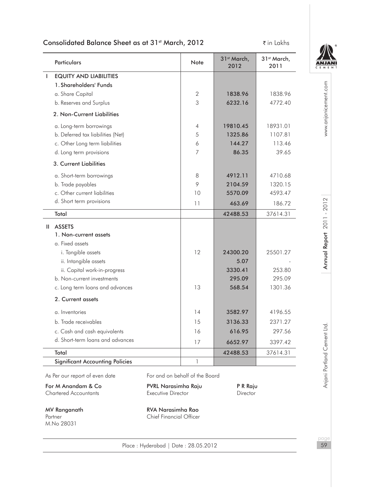# Consolidated Balance Sheet as at 31<sup>st</sup> March, 2012 **The Consolidated Balance Sheet as at 31st March, 2012** The San

| ē | E | Ń | Е | N | Ť |
|---|---|---|---|---|---|

| Particulars                            |                                                     | Note           | 31 <sup>st</sup> March,<br>2012 | 31 <sup>st</sup> March,<br>2011 |                         |
|----------------------------------------|-----------------------------------------------------|----------------|---------------------------------|---------------------------------|-------------------------|
| <b>EQUITY AND LIABILITIES</b><br>-1    |                                                     |                |                                 |                                 |                         |
| 1. Shareholders' Funds                 |                                                     |                |                                 |                                 |                         |
| a. Share Capital                       |                                                     | $\overline{2}$ | 1838.96                         | 1838.96                         |                         |
| b. Reserves and Surplus                |                                                     | 3              | 6232.16                         | 4772.40                         |                         |
| 2. Non-Current Liabilities             |                                                     |                |                                 |                                 | www.anjanicement.com    |
| a. Long-term borrowings                |                                                     | 4              | 19810.45                        | 18931.01                        |                         |
| b. Deferred tax liabilities (Net)      |                                                     | 5              | 1325.86                         | 1107.81                         |                         |
| c. Other Long term liabilities         |                                                     | 6              | 144.27                          | 113.46                          |                         |
| d. Long term provisions                |                                                     | 7              | 86.35                           | 39.65                           |                         |
| 3. Current Liabilities                 |                                                     |                |                                 |                                 |                         |
| a. Short-term borrowings               |                                                     | 8              | 4912.11                         | 4710.68                         |                         |
| b. Trade payables                      |                                                     | 9              | 2104.59                         | 1320.15                         |                         |
| c. Other current liabilities           |                                                     | 10             | 5570.09                         | 4593.47                         |                         |
| d. Short term provisions               |                                                     | 11             | 463.69                          | 186.72                          | Annual Report 2011-2012 |
| Total                                  |                                                     |                | 42488.53                        | 37614.31                        |                         |
| II ASSETS                              |                                                     |                |                                 |                                 |                         |
| 1. Non-current assets                  |                                                     |                |                                 |                                 |                         |
| a. Fixed assets                        |                                                     |                |                                 |                                 |                         |
| i. Tangible assets                     |                                                     | 12             | 24300.20                        | 25501.27                        |                         |
| ii. Intangible assets                  |                                                     |                | 5.07                            |                                 |                         |
| ii. Capital work-in-progress           |                                                     |                | 3330.41                         | 253.80                          |                         |
| b. Non-current investments             |                                                     |                | 295.09                          | 295.09                          |                         |
| c. Long term loans and advances        |                                                     | 13             | 568.54                          | 1301.36                         |                         |
| 2. Current assets                      |                                                     |                |                                 |                                 |                         |
| a. Inventories                         |                                                     | 14             | 3582.97                         | 4196.55                         |                         |
| b. Trade receivables                   |                                                     | 15             | 3136.33                         | 2371.27                         |                         |
| c. Cash and cash equivalents           |                                                     | 16             | 616.95                          | 297.56                          |                         |
| d. Short-term loans and advances       |                                                     | 17             | 6652.97                         | 3397.42                         |                         |
| Total                                  |                                                     |                | 42488.53                        | 37614.31                        | Portland Cement Ltd     |
| <b>Significant Accounting Policies</b> |                                                     | $\mathbf{1}$   |                                 |                                 |                         |
| As Per our report of even date         | For and on behalf of the Board                      |                |                                 |                                 |                         |
| For M Anandam & Co                     | PVRL Narasimha Raju                                 |                | P R Raju                        |                                 | Anjani                  |
| <b>Chartered Accountants</b>           | Executive Director                                  |                | Director                        |                                 |                         |
| MV Ranganath<br>Partner<br>M.No 28031  | RVA Narasimha Rao<br><b>Chief Financial Officer</b> |                |                                 |                                 | page                    |

Place : Hyderabad | Date : 28.05.2012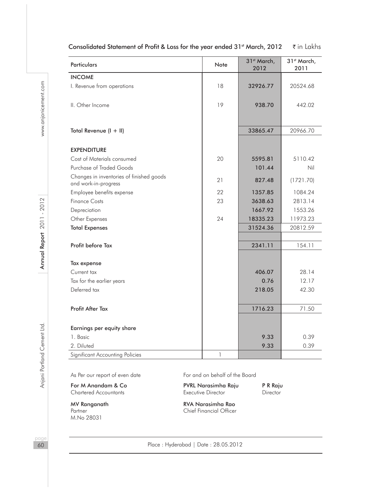| <b>Particulars</b>                                               | Note | 31 <sup>st</sup> March,<br>2012 | 31st March,<br>2011 |
|------------------------------------------------------------------|------|---------------------------------|---------------------|
| <b>INCOME</b>                                                    |      |                                 |                     |
| I. Revenue from operations                                       | 18   | 32926.77                        | 20524.68            |
| II. Other Income                                                 | 19   | 938.70                          | 442.02              |
| Total Revenue (I + II)                                           |      | 33865.47                        | 20966.70            |
| <b>EXPENDITURE</b>                                               |      |                                 |                     |
| Cost of Materials consumed                                       | 20   | 5595.81                         | 5110.42             |
| Purchase of Traded Goods                                         |      | 101.44                          | Nil                 |
| Changes in inventories of finished goods<br>and work-in-progress | 21   | 827.48                          | (1721.70)           |
| Employee benefits expense                                        | 22   | 1357.85                         | 1084.24             |
| <b>Finance Costs</b>                                             | 23   | 3638.63                         | 2813.14             |
| Depreciation                                                     |      | 1667.92                         | 1553.26             |
| Other Expenses                                                   | 24   | 18335.23                        | 11973.23            |
| <b>Total Expenses</b>                                            |      | 31524.36                        | 20812.59            |
| Profit before Tax                                                |      | 2341.11                         | 154.11              |
| Tax expense                                                      |      |                                 |                     |
| Current tax                                                      |      | 406.07                          | 28.14               |
| Tax for the earlier years                                        |      | 0.76                            | 12.17               |
| Deferred tax                                                     |      | 218.05                          | 42.30               |
| Profit After Tax                                                 |      | 1716.23                         | 71.50               |
| Earnings per equity share                                        |      |                                 |                     |
| 1. Basic                                                         |      | 9.33                            | 0.39                |
| 2. Diluted                                                       |      | 9.33                            | 0.39                |
| Significant Accounting Policies                                  | 1    |                                 |                     |

#### Consolidated Statement of Profit & Loss for the year ended 31<sup>st</sup> March, 2012  $\vec{\tau}$  in Lakhs

For M Anandam & Co **PVRL Narasimha Raju** P R Raju<br>
Chartered Accountants **Consumers Executive Director** Director Chartered Accountants

M.No 28031

As Per our report of even date For and on behalf of the Board

MV Ranganath **RVA Narasimha Rao**<br>Partner Partner Chief Financial Officer Chief Financial Officer

Place : Hyderabad | Date : 28.05.2012

paa 60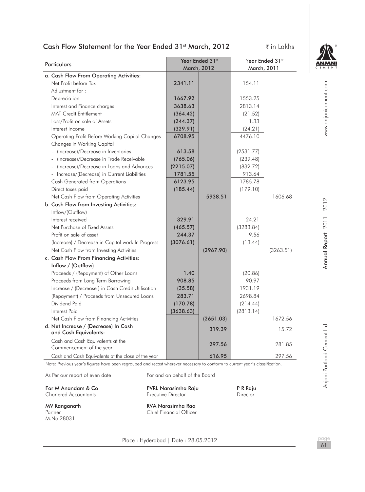# Cash Flow Statement for the Year Ended 31<sup>st</sup> March, 2012 **₹in Lakhs**



| Particulars                                                                                                                  |                                                            | Year Ended 31st<br>March, 2012 | Year Ended 31st<br>March, 2011 |           | ANJA |
|------------------------------------------------------------------------------------------------------------------------------|------------------------------------------------------------|--------------------------------|--------------------------------|-----------|------|
| a. Cash Flow From Operating Activities:                                                                                      |                                                            |                                |                                |           |      |
| Net Profit before Tax                                                                                                        | 2341.11                                                    |                                | 154.11                         |           |      |
| Adiustment for:                                                                                                              |                                                            |                                |                                |           |      |
| Depreciation                                                                                                                 | 1667.92                                                    |                                | 1553.25                        |           |      |
| Interest and Finance charges                                                                                                 | 3638.63                                                    |                                | 2813.14                        |           |      |
| <b>MAT Credit Entitlement</b>                                                                                                | (364.42)                                                   |                                | (21.52)                        |           |      |
| Loss/Profit on sale of Assets                                                                                                | (244.37)                                                   |                                | 1.33                           |           |      |
| Interest Income                                                                                                              | (329.91)                                                   |                                | (24.21)                        |           |      |
| Operating Profit Before Working Capital Changes                                                                              | 6708.95                                                    |                                | 4476.10                        |           |      |
| Changes in Working Capital                                                                                                   |                                                            |                                |                                |           |      |
| - (Increase)/Decrease in Inventories                                                                                         | 613.58                                                     |                                | (2531.77)                      |           |      |
| - (Increase)/Decrease in Trade Receivable                                                                                    | (765.06)                                                   |                                | (239.48)                       |           |      |
| - (Increase)/Decrease in Loans and Advances                                                                                  | (2215.07)                                                  |                                | (832.72)                       |           |      |
| - Increase/(Decrease) in Current Liabilities                                                                                 | 1781.55                                                    |                                | 913.64                         |           |      |
| <b>Cash Generated from Operations</b>                                                                                        | 6123.95                                                    |                                | 1785.78                        |           |      |
| Direct taxes paid                                                                                                            | (185.44)                                                   |                                | (179.10)                       |           |      |
| Net Cash Flow from Operating Activities                                                                                      |                                                            | 5938.51                        |                                | 1606.68   |      |
| b. Cash Flow from Investing Activities:                                                                                      |                                                            |                                |                                |           |      |
| Inflow/(Outflow)                                                                                                             |                                                            |                                |                                |           |      |
| Interest received                                                                                                            | 329.91                                                     |                                | 24.21                          |           |      |
| Net Purchase of Fixed Assets                                                                                                 | (465.57)                                                   |                                | (3283.84)                      |           |      |
| Profit on sale of asset                                                                                                      | 244.37                                                     |                                | 9.56                           |           |      |
| (Increase) / Decrease in Capital work In Progress                                                                            | (3076.61)                                                  |                                | (13.44)                        |           |      |
| Net Cash Flow from Investing Activities                                                                                      |                                                            | (2967.90)                      |                                | (3263.51) |      |
| c. Cash Flow From Financing Activities:                                                                                      |                                                            |                                |                                |           |      |
| Inflow / (Outflow)                                                                                                           |                                                            |                                |                                |           |      |
| Proceeds / (Repayment) of Other Loans                                                                                        | 1.40                                                       |                                | (20.86)                        |           |      |
| Proceeds from Long Term Borrowing                                                                                            | 908.85                                                     |                                | 90.97                          |           |      |
| Increase / (Decrease) in Cash Credit Utilisation                                                                             | (35.58)                                                    |                                | 1931.19                        |           |      |
| (Repayment) / Proceeds from Unsecured Loans                                                                                  | 283.71                                                     |                                | 2698.84                        |           |      |
| Dividend Paid                                                                                                                | (170.78)                                                   |                                | (214.44)                       |           |      |
| <b>Interest Paid</b>                                                                                                         | (3638.63)                                                  |                                | (2813.14)                      |           |      |
| Net Cash Flow from Financing Activities                                                                                      |                                                            | (2651.03)                      |                                | 1672.56   |      |
| d. Net Increase / (Decrease) In Cash<br>and Cash Equivalents:                                                                |                                                            | 319.39                         |                                | 15.72     |      |
| Cash and Cash Equivalents at the<br>Commencement of the year                                                                 |                                                            | 297.56                         |                                | 281.85    |      |
| Cash and Cash Equivalents at the close of the year                                                                           |                                                            | 616.95                         |                                | 297.56    |      |
| Note: Previous year's figures have been regrouped and recast wherever necessary to conform to current year's classification. |                                                            |                                |                                |           |      |
| As Per our report of even date                                                                                               | For and on behalf of the Board                             |                                |                                |           |      |
| For M Anandam & Co                                                                                                           | PVRL Narasimha Raju                                        |                                | P R Raju                       |           |      |
| <b>Chartered Accountants</b>                                                                                                 | Executive Director                                         |                                | Director                       |           |      |
| MV Ranganath<br>Partner                                                                                                      | <b>RVA Narasimha Rao</b><br><b>Chief Financial Officer</b> |                                |                                |           |      |
| M.No 28031                                                                                                                   | $Placo \cdot Hudorabad \cdot Dato \cdot 28052012$          |                                |                                |           |      |

Place : Hyderabad | Date : 28.05.2012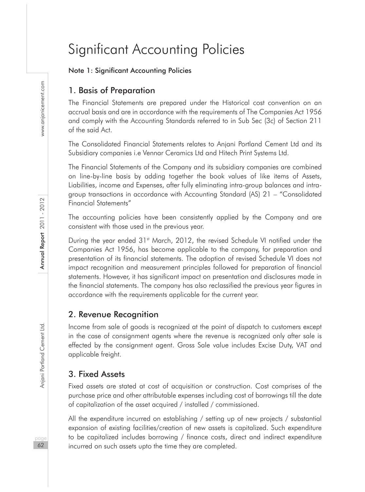# Significant Accounting Policies

#### Note 1: Significant Accounting Policies

# 1. Basis of Preparation

The Financial Statements are prepared under the Historical cost convention on an accrual basis and are in accordance with the requirements of The Companies Act 1956 and comply with the Accounting Standards referred to in Sub Sec (3c) of Section 211 of the said Act.

The Consolidated Financial Statements relates to Anjani Portland Cement Ltd and its Subsidiary companies i.e Vennar Ceramics Ltd and Hitech Print Systems Ltd.

The Financial Statements of the Company and its subsidiary companies are combined on line-by-line basis by adding together the book values of like items of Assets, Liabilities, income and Expenses, after fully eliminating intra-group balances and intragroup transactions in accordance with Accounting Standard (AS) 21 – "Consolidated Financial Statements"

The accounting policies have been consistently applied by the Company and are consistent with those used in the previous year.

During the year ended 31<sup>st</sup> March, 2012, the revised Schedule VI notified under the Companies Act 1956, has become applicable to the company, for preparation and presentation of its financial statements. The adoption of revised Schedule VI does not impact recognition and measurement principles followed for preparation of financial statements. However, it has significant impact on presentation and disclosures made in the financial statements. The company has also reclassified the previous year figures in accordance with the requirements applicable for the current year.

#### 2. Revenue Recognition

Income from sale of goods is recognized at the point of dispatch to customers except in the case of consignment agents where the revenue is recognized only after sale is effected by the consignment agent. Gross Sale value includes Excise Duty, VAT and applicable freight.

#### 3. Fixed Assets

Fixed assets are stated at cost of acquisition or construction. Cost comprises of the purchase price and other attributable expenses including cost of borrowings till the date of capitalization of the asset acquired / installed / commissioned.

All the expenditure incurred on establishing / setting up of new projects / substantial expansion of existing facilities/creation of new assets is capitalized. Such expenditure to be capitalized includes borrowing / finance costs, direct and indirect expenditure incurred on such assets upto the time they are completed.

naa 62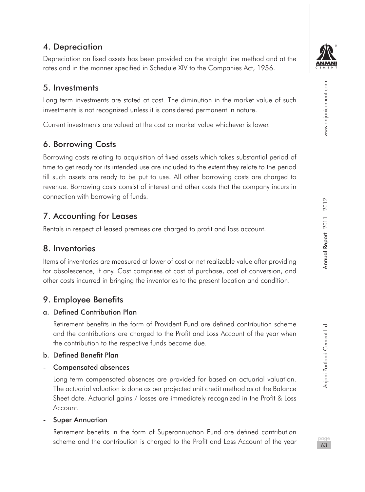# 4. Depreciation

Depreciation on fixed assets has been provided on the straight line method and at the rates and in the manner specified in Schedule XIV to the Companies Act, 1956.

# 5. Investments

Long term investments are stated at cost. The diminution in the market value of such investments is not recognized unless it is considered permanent in nature.

Current investments are valued at the cost or market value whichever is lower.

# 6. Borrowing Costs

Borrowing costs relating to acquisition of fixed assets which takes substantial period of time to get ready for its intended use are included to the extent they relate to the period till such assets are ready to be put to use. All other borrowing costs are charged to revenue. Borrowing costs consist of interest and other costs that the company incurs in connection with borrowing of funds.

# 7. Accounting for Leases

Rentals in respect of leased premises are charged to profit and loss account.

# 8. Inventories

Items of inventories are measured at lower of cost or net realizable value after providing for obsolescence, if any. Cost comprises of cost of purchase, cost of conversion, and other costs incurred in bringing the inventories to the present location and condition.

# 9. Employee Benefits

# a. Defined Contribution Plan

Retirement benefits in the form of Provident Fund are defined contribution scheme and the contributions are charged to the Profit and Loss Account of the year when the contribution to the respective funds become due.

#### b. Defined Benefit Plan

- Compensated absences

Long term compensated absences are provided for based on actuarial valuation. The actuarial valuation is done as per projected unit credit method as at the Balance Sheet date. Actuarial gains / losses are immediately recognized in the Profit & Loss Account.

#### **Super Annuation**

Retirement benefits in the form of Superannuation Fund are defined contribution scheme and the contribution is charged to the Profit and Loss Account of the year



www.anjanicement.com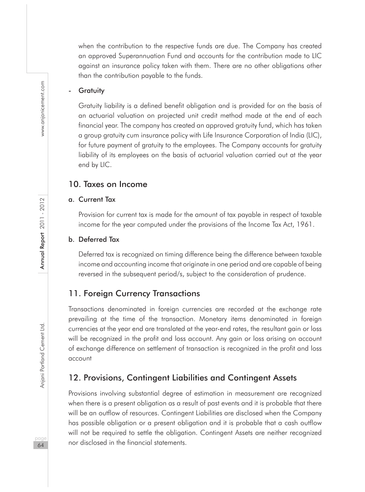when the contribution to the respective funds are due. The Company has created an approved Superannuation Fund and accounts for the contribution made to LIC against an insurance policy taken with them. There are no other obligations other than the contribution payable to the funds.

#### **Gratuity**

Gratuity liability is a defined benefit obligation and is provided for on the basis of an actuarial valuation on projected unit credit method made at the end of each financial year. The company has created an approved gratuity fund, which has taken a group gratuity cum insurance policy with Life Insurance Corporation of India (LIC), for future payment of gratuity to the employees. The Company accounts for gratuity liability of its employees on the basis of actuarial valuation carried out at the year end by LIC.

# 10. Taxes on Income

#### a. Current Tax

Provision for current tax is made for the amount of tax payable in respect of taxable income for the year computed under the provisions of the Income Tax Act, 1961.

#### b. Deferred Tax

Deferred tax is recognized on timing difference being the difference between taxable income and accounting income that originate in one period and are capable of being reversed in the subsequent period/s, subject to the consideration of prudence.

# 11. Foreign Currency Transactions

Transactions denominated in foreign currencies are recorded at the exchange rate prevailing at the time of the transaction. Monetary items denominated in foreign currencies at the year end are translated at the year-end rates, the resultant gain or loss will be recognized in the profit and loss account. Any gain or loss arising on account of exchange difference on settlement of transaction is recognized in the profit and loss account

# 12. Provisions, Contingent Liabilities and Contingent Assets

Provisions involving substantial degree of estimation in measurement are recognized when there is a present obligation as a result of past events and it is probable that there will be an outflow of resources. Contingent Liabilities are disclosed when the Company has possible obligation or a present obligation and it is probable that a cash outflow will not be required to settle the obligation. Contingent Assets are neither recognized nor disclosed in the financial statements.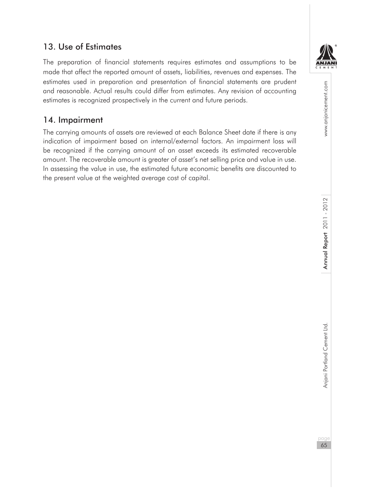# 13. Use of Estimates

The preparation of financial statements requires estimates and assumptions to be made that affect the reported amount of assets, liabilities, revenues and expenses. The estimates used in preparation and presentation of financial statements are prudent and reasonable. Actual results could differ from estimates. Any revision of accounting estimates is recognized prospectively in the current and future periods.

# 14. Impairment

The carrying amounts of assets are reviewed at each Balance Sheet date if there is any indication of impairment based on internal/external factors. An impairment loss will be recognized if the carrying amount of an asset exceeds its estimated recoverable amount. The recoverable amount is greater of asset's net selling price and value in use. In assessing the value in use, the estimated future economic benefits are discounted to the present value at the weighted average cost of capital.

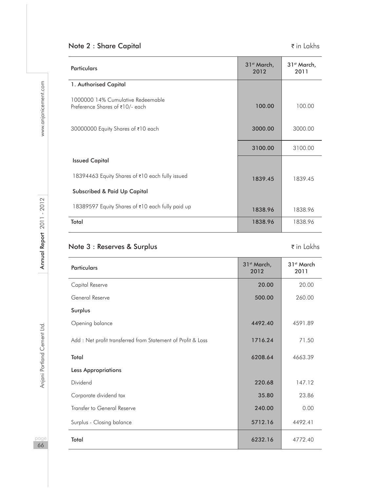# Note 2 : Share Capital and the state of the state of the state of the state of the state of the state of the state of the state of the state of the state of the state of the state of the state of the state of the state of

| <b>Particulars</b>                                                   | 31 <sup>st</sup> March,<br>2012 | 31 <sup>st</sup> March,<br>2011 |
|----------------------------------------------------------------------|---------------------------------|---------------------------------|
| 1. Authorised Capital                                                |                                 |                                 |
| 1000000 14% Cumulative Redeemable<br>Preference Shares of ₹10/- each | 100.00                          | 100.00                          |
| 30000000 Equity Shares of ₹10 each                                   | 3000.00                         | 3000.00                         |
|                                                                      | 3100.00                         | 3100.00                         |
| <b>Issued Capital</b>                                                |                                 |                                 |
| 18394463 Equity Shares of ₹10 each fully issued                      | 1839.45                         | 1839.45                         |
| <b>Subscribed &amp; Paid Up Capital</b>                              |                                 |                                 |
| 18389597 Equity Shares of ₹10 each fully paid up                     | 1838.96                         | 1838.96                         |
| Total                                                                | 1838.96                         | 1838.96                         |

# Note 3 : Reserves & Surplus  $\bar{z}$  in Lakhs

| <b>Particulars</b>                                           | 31 <sup>st</sup> March,<br>2012 | 31 <sup>st</sup> March<br>2011 |
|--------------------------------------------------------------|---------------------------------|--------------------------------|
| Capital Reserve                                              | 20.00                           | 20.00                          |
| General Reserve                                              | 500.00                          | 260.00                         |
| Surplus                                                      |                                 |                                |
| Opening balance                                              | 4492.40                         | 4591.89                        |
| Add : Net profit transferred from Statement of Profit & Loss | 1716.24                         | 71.50                          |
| Total                                                        | 6208.64                         | 4663.39                        |
| <b>Less Appropriations</b>                                   |                                 |                                |
| Dividend                                                     | 220.68                          | 147.12                         |
| Corporate dividend tax                                       | 35.80                           | 23.86                          |
| Transfer to General Reserve                                  | 240.00                          | 0.00                           |
| Surplus - Closing balance                                    | 5712.16                         | 4492.41                        |
| Total                                                        | 6232.16                         | 4772.40                        |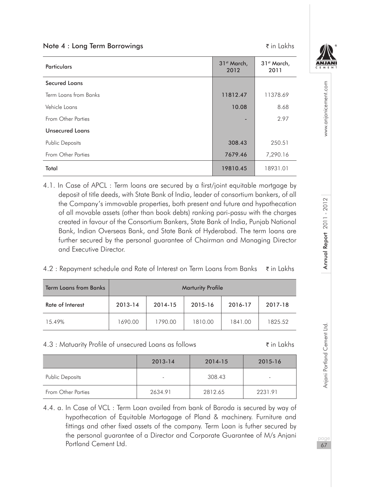| Note 4 : Long Term Borrowings |                                 | $\bar{\tau}$ in Lakhs           |
|-------------------------------|---------------------------------|---------------------------------|
| <b>Particulars</b>            | 31 <sup>st</sup> March,<br>2012 | 31 <sup>st</sup> March,<br>2011 |
| <b>Secured Loans</b>          |                                 |                                 |
| Term Loans from Banks         | 11812.47                        | 11378.69                        |
| Vehicle Loans                 | 10.08                           | 8.68                            |
| From Other Parties            |                                 | 2.97                            |
| <b>Unsecured Loans</b>        |                                 |                                 |
| <b>Public Deposits</b>        | 308.43                          | 250.51                          |
| From Other Parties            | 7679.46                         | 7,290.16                        |
| Total                         | 19810.45                        | 18931.01                        |

4.1. In Case of APCL : Term loans are secured by a first/joint equitable mortgage by deposit of title deeds, with State Bank of India, leader of consortium bankers, of all the Company's immovable properties, both present and future and hypothecation of all movable assets (other than book debts) ranking pari-passu with the charges created in favour of the Consortium Bankers, State Bank of India, Punjab National Bank, Indian Overseas Bank, and State Bank of Hyderabad. The term loans are further secured by the personal guarantee of Chairman and Managing Director and Executive Director.

4.2 : Repayment schedule and Rate of Interest on Term Loans from Banks  $\vec{\tau}$  in Lakhs

| <b>Term Loans from Banks</b> | <b>Marturity Profile</b> |         |         |         |         |  |
|------------------------------|--------------------------|---------|---------|---------|---------|--|
| Rate of Interest             | 2013-14                  | 2014-15 | 2015-16 | 2016-17 | 2017-18 |  |
| 15.49%                       | 1690.00                  | 1790.00 | 1810.00 | 1841.00 | 1825.52 |  |

#### 4.3 : Matuarity Profile of unsecured Loans as follows ` in Lakhs

|                        | 2013-14 | 2014-15 | 2015-16 |
|------------------------|---------|---------|---------|
| <b>Public Deposits</b> |         | 308.43  |         |
| From Other Parties     | 2634.91 | 2812.65 | 2231.91 |

<sup>4.4.</sup> a. In Case of VCL : Term Loan availed from bank of Baroda is secured by way of hypothecation of Equitable Mortagage of Pland & machinery. Furniture and fittings and other fixed assets of the company. Term Loan is futher secured by the personal guarantee of a Director and Corporate Guarantee of M/s Anjani Portland Cement Ltd.

www.anjanicement.com

67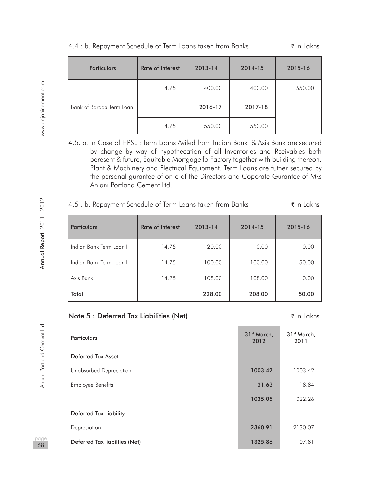| <b>Particulars</b>       | <b>Rate of Interest</b> | 2013-14 | 2014-15 | 2015-16 |
|--------------------------|-------------------------|---------|---------|---------|
|                          | 14.75                   | 400.00  | 400.00  | 550.00  |
| Bank of Barada Term Loan |                         | 2016-17 | 2017-18 |         |
|                          | 14.75                   | 550.00  | 550.00  |         |

#### 4.4 : b. Repayment Schedule of Term Loans taken from Banks  $\bar{\tau}$  in Lakhs

4.5. a. In Case of HPSL : Term Loans Aviled from Indian Bank & Axis Bank are secured by change by way of hypothecation of all Inventories and Rceivables both peresent & future, Equitable Mortgage fo Factory together with building thereon. Plant & Machinery and Electrical Equipment. Term Loans are futher secured by the personal gurantee of on e of the Directors and Coporate Gurantee of M\s Anjani Portland Cement Ltd.

#### 4.5 : b. Repayment Schedule of Term Loans taken from Banks  $\tilde{\tau}$  in Lakhs

| <b>Particulars</b>       | <b>Rate of Interest</b> | 2013-14 | 2014-15 | 2015-16 |
|--------------------------|-------------------------|---------|---------|---------|
| Indian Bank Term Loan I  | 14.75                   | 20.00   | 0.00    | 0.00    |
| Indian Bank Term Loan II | 14.75                   | 100.00  | 100.00  | 50.00   |
| Axis Bank                | 14.25                   | 108.00  | 108.00  | 0.00    |
| Total                    |                         | 228.00  | 208.00  | 50.00   |

# Note 5 : Deferred Tax Liabilities (Net) in Lakhs ₹in Lakhs

| <b>Particulars</b>            | 31 <sup>st</sup> March,<br>2012 | 31 <sup>st</sup> March,<br>2011 |
|-------------------------------|---------------------------------|---------------------------------|
| <b>Deferred Tax Asset</b>     |                                 |                                 |
| Unabsorbed Depreciation       | 1003.42                         | 1003.42                         |
| <b>Employee Benefits</b>      | 31.63                           | 18.84                           |
|                               | 1035.05                         | 1022.26                         |
| Deferred Tax Liability        |                                 |                                 |
| Depreciation                  | 2360.91                         | 2130.07                         |
| Deferred Tax liabilties (Net) | 1325.86                         | 1107.81                         |

naa 68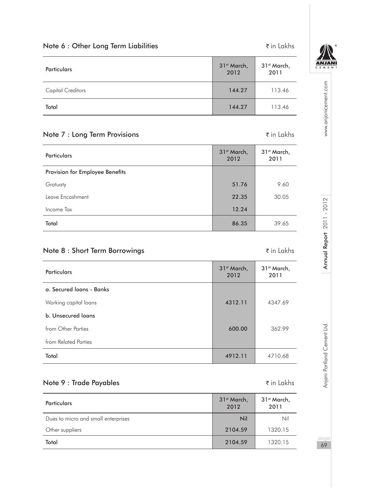| Note 6 : Other Long Term Liabilities |                     | $\bar{\tau}$ in Lakhs           |
|--------------------------------------|---------------------|---------------------------------|
| <b>Particulars</b>                   | 31st March,<br>2012 | 31 <sup>st</sup> March,<br>2011 |
| <b>Capital Creditors</b>             | 144.27              | 113.46                          |
| Total                                | 144.27              | 113.46                          |

# Note 7 : Long Term Provisions and the set of the set of the set of the set of the set of the set of the set of the set of the set of the set of the set of the set of the set of the set of the set of the set of the set of

|  | ₹ in Lakh |  |
|--|-----------|--|
|  |           |  |

| <b>Particulars</b>              | 31 <sup>st</sup> March,<br>2012 | 31 <sup>st</sup> March,<br>2011 |
|---------------------------------|---------------------------------|---------------------------------|
| Provision for Employee Benefits |                                 |                                 |
| Gratuaty                        | 51.76                           | 9.60                            |
| Leave Encashment                | 22.35                           | 30.05                           |
| Income Tax                      | 12.24                           |                                 |
| Total                           | 86.35                           | 39.65                           |

# Note 8 : Short Term Borrowings in Lakhs

| <b>Particulars</b>       | 31 <sup>st</sup> March,<br>2012 | 31 <sup>st</sup> March,<br>2011 |
|--------------------------|---------------------------------|---------------------------------|
| a. Secured Joans - Banks |                                 |                                 |
| Working capital loans    | 4312.11                         | 4347.69                         |
| b. Unsecured loans       |                                 |                                 |
| from Other Parties       | 600.00                          | 362.99                          |
| from Related Parties     |                                 |                                 |
| Total                    | 4912.11                         | 4710.68                         |

# Note 9 : Trade Payables and the set of the set of the set of the set of the set of the set of the set of the set of the set of the set of the set of the set of the set of the set of the set of the set of the set of the se

| <b>Particulars</b>                  | 31 <sup>st</sup> March,<br>2012 | 31st March,<br>2011 |
|-------------------------------------|---------------------------------|---------------------|
| Dues to micro and small enterprises | Nil                             | Nil                 |
| Other suppliers                     | 2104.59                         | 1320.15             |
| Total                               | 2104.59                         | 1320.15             |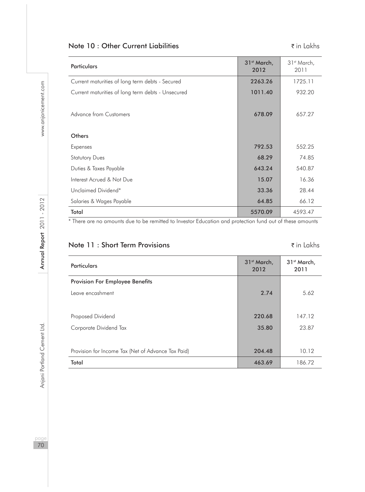# Note 10 : Other Current Liabilities in Lakhs

| <b>Particulars</b>                                | 31 <sup>st</sup> March,<br>2012 | 31 <sup>st</sup> March,<br>2011 |
|---------------------------------------------------|---------------------------------|---------------------------------|
| Current maturities of long term debts - Secured   | 2263.26                         | 1725.11                         |
| Current maturities of long term debts - Unsecured | 1011.40                         | 932.20                          |
| Advance from Customers                            | 678.09                          | 657.27                          |
| Others                                            |                                 |                                 |
| Expenses                                          | 792.53                          | 552.25                          |
| <b>Statutory Dues</b>                             | 68.29                           | 74.85                           |
| Duties & Taxes Payable                            | 643.24                          | 540.87                          |
| Interest Acrued & Not Due                         | 15.07                           | 16.36                           |
| Unclaimed Dividend*                               | 33.36                           | 28.44                           |
| Salaries & Wages Payable                          | 64.85                           | 66.12                           |
| Total                                             | 5570.09                         | 4593.47                         |

\* There are no amounts due to be remitted to Investor Education and protection fund out of these amounts

# Note 11 : Short Term Provisions **in Lakhs** ₹ in Lakhs

| <b>Particulars</b>                                 | 31 <sup>st</sup> March,<br>2012 | 31 <sup>st</sup> March,<br>2011 |
|----------------------------------------------------|---------------------------------|---------------------------------|
| <b>Provision For Employee Benefits</b>             |                                 |                                 |
| Leave encashment                                   | 2.74                            | 5.62                            |
|                                                    |                                 |                                 |
| Proposed Dividend                                  | 220.68                          | 147.12                          |
| Corporate Dividend Tax                             | 35.80                           | 23.87                           |
|                                                    |                                 |                                 |
| Provision for Income Tax (Net of Advance Tax Paid) | 204.48                          | 10.12                           |
| Total                                              | 463.69                          | 186.72                          |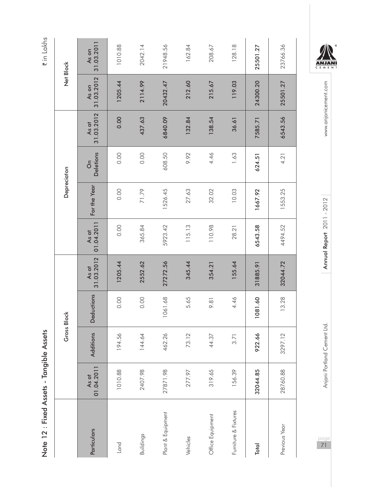| 2<br>S<br>)<br>$\ddot{\phantom{a}}$<br>ı<br>$\frac{1}{2}$<br>֧֧֦֧֦֧֦֧֦֧֦֧֜֜֜֜<br>č |  |
|------------------------------------------------------------------------------------|--|
| ixea<br>֖֖֖֖֖֚֚֚֞֘֕֕֕<br>֚֚֚֚֚֘֩֩<br>.<br> <br>Note 1.                             |  |

₹ in Lakhs

|                      |                     | Gross Block |                   |                     |                     | Depreciaton  |                |                     |                     | Net Block           |
|----------------------|---------------------|-------------|-------------------|---------------------|---------------------|--------------|----------------|---------------------|---------------------|---------------------|
| Particulars          | 01.04.2011<br>As at | Additions   | <b>Deductions</b> | 31.03.2012<br>As at | 01.04.2011<br>As at | For the Year | Deletions<br>δ | 31.03.2012<br>As at | 31.03.2012<br>As on | 31.03.2011<br>As on |
| Land                 | 1010.88             | 194.56      | 0.00              | 1205.44             | 0.00                | 0.00         | 0.00           | 0.00                | 1205.44             | 1010.88             |
| Buildings            | 2407.98             | 144.64      | 0.00              | 2552.62             | 365.84              | 71.79        | 0.00           | 437.63              | 2114.99             | 2042.14             |
| Plant & Equipment    | 27871.98            | 462.26      | 1061.68           | 27272.56            | 5923.42             | 1526.45      | 608.50         | 6840.09             | 20432.47            | 21948.56            |
| Vehicles             | 277.97              | 73.12       | 5.65              | 345.44              | 115.13              | 27.63        | 9.92           | 132.84              | 212.60              | 162.84              |
| Office Equipment     | 319.65              | 44.37       | 9.81              | 354.21              | 110.98              | 32.02        | 4.46           | 138.54              | 215.67              | 208.67              |
| Furniture & Fixtures | 156.39              | 3.71        | 4.46              | 155.64              | 28.21               | 10.03        | 1.63           | 36.61               | 119.03              | 128.18              |
| Total                | 32044.85            | 922.66      | 1081.60           | 31885.91            | 6543.58             | 1667.92      | 624.51         | 7585.71             | 24300.20            | 25501.27            |
| Previous Year        | 28760.88            | 3297.12     | 13.28             | 32044.72            | 4494.52             | 1553.25      | 4.21           | 6543.56             | 25501.27            | 23766.36            |

ANJANI

www.anjanicement.com pageannia Portland Cement Ltd. Annu**al Report 2011 - 2012** Annual Report 2012 Www.anjanicement.com

Annual Report 2011 - 2012

Anjani Portland Cement Ltd.

page<br>71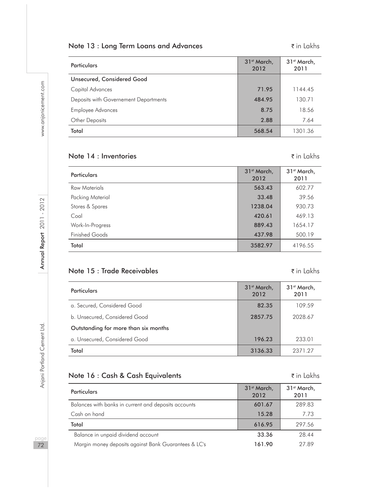## Note 13 : Long Term Loans and Advances The Mathematic Research of the Lakhs

| <b>Particulars</b>                    | 31 <sup>st</sup> March,<br>2012 | 31 <sup>st</sup> March,<br>2011 |
|---------------------------------------|---------------------------------|---------------------------------|
| Unsecured, Considered Good            |                                 |                                 |
| Capital Advances                      | 71.95                           | 1144.45                         |
| Deposits with Governement Departments | 484.95                          | 130.71                          |
| Employee Advances                     | 8.75                            | 18.56                           |
| Other Deposits                        | 2.88                            | 7.64                            |
| Total                                 | 568.54                          | 1301.36                         |

## Note 14 : Inventories  $\zeta$  in Lakhs

| <b>Particulars</b>    | 31 <sup>st</sup> March,<br>2012 | 31 <sup>st</sup> March,<br>2011 |
|-----------------------|---------------------------------|---------------------------------|
| Raw Materials         | 563.43                          | 602.77                          |
| Packing Material      | 33.48                           | 39.56                           |
| Stores & Spares       | 1238.04                         | 930.73                          |
| Coal                  | 420.61                          | 469.13                          |
| Work-In-Progress      | 889.43                          | 1654.17                         |
| <b>Finished Goods</b> | 437.98                          | 500.19                          |
| Total                 | 3582.97                         | 4196.55                         |

## Note 15 : Trade Receivables  $\bar{z}$  in Lakhs

| <b>Particulars</b>                   | 31 <sup>st</sup> March.<br>2012 | 31 <sup>st</sup> March.<br>2011 |
|--------------------------------------|---------------------------------|---------------------------------|
| a. Secured, Considered Good          | 82.35                           | 109.59                          |
| b. Unsecured, Considered Good        | 2857.75                         | 2028.67                         |
| Outstanding for more than six months |                                 |                                 |
| a. Unsecured, Considered Good        | 196.23                          | 233.01                          |
| Total                                | 3136.33                         | 2371 27                         |

## Note 16 : Cash & Cash Equivalents **a** in Lakhs

Particulars 31st March, 31st March, 31st March, 31st March, 31st March, 31st March, 32st March, 32st March, 32<br>- 2012 2012 31<sup>st</sup> March, 2011 Balances with banks in current and deposits accounts 601.67 601.67 289.83 **Cash on hand 15.28 7.73** 15.28 7.73 Total 616.95 297.56 Balance in unpaid dividend account 33.36 28.44 Margin money deposits against Bank Guarantees & LC's 161.90 27.89

paa 72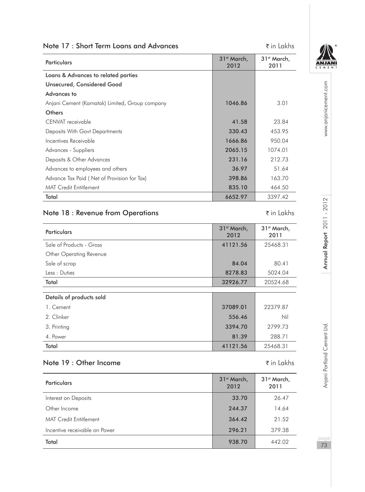| Note 17: Short Term Loans and Advances          |                                 | ₹ in Lakhs                      |                             |
|-------------------------------------------------|---------------------------------|---------------------------------|-----------------------------|
| <b>Particulars</b>                              | 31 <sup>st</sup> March,<br>2012 | 31st March,<br>2011             |                             |
| Loans & Advances to related parties             |                                 |                                 |                             |
| Unsecured, Considered Good                      |                                 |                                 |                             |
| Advances to                                     |                                 |                                 |                             |
| Anjani Cement (Karnatak) Limited, Group company | 1046.86                         | 3.01                            | www.anjanicement.com        |
| Others                                          |                                 |                                 |                             |
| CENVAT receivable                               | 41.58                           | 23.84                           |                             |
| Deposits With Govt Departments                  | 330.43                          | 453.95                          |                             |
| Incentives Receivable                           | 1666.86                         | 950.04                          |                             |
| Advances - Suppliers                            | 2065.15                         | 1074.01                         |                             |
| Deposits & Other Advances                       | 231.16                          | 212.73                          |                             |
| Advances to employees and others                | 36.97                           | 51.64                           |                             |
| Advance Tax Paid (Net of Provision for Tax)     | 398.86                          | 163.70                          |                             |
| <b>MAT Credit Entitlement</b>                   | 835.10                          | 464.50                          |                             |
| Total                                           | 6652.97                         | 3397.42                         |                             |
| Note 18 : Revenue from Operations               |                                 | ₹ in Lakhs                      | Annual Report 2011-2012     |
| <b>Particulars</b>                              | 31 <sup>st</sup> March,<br>2012 | 31 <sup>st</sup> March,<br>2011 |                             |
| Sale of Products - Gross                        | 41121.56                        | 25468.31                        |                             |
| Other Operating Revenue                         |                                 |                                 |                             |
| Sale of scrap                                   | 84.04                           | 80.41                           |                             |
| Less: Duties                                    | 8278.83                         | 5024.04                         |                             |
| Total                                           | 32926.77                        | 20524.68                        |                             |
|                                                 |                                 |                                 |                             |
| Details of products sold                        |                                 |                                 |                             |
| 1. Cement                                       | 37089.01                        | 22379.87                        |                             |
| 2. Clinker                                      | 556.46                          | Nil                             |                             |
| 3. Printing                                     | 3394.70                         | 2799.73                         |                             |
| 4. Power                                        | 81.39                           | 288.71                          |                             |
| Total                                           | 41121.56                        | 25468.31                        |                             |
| Note 19: Other Income                           |                                 | ₹ in Lakhs                      | Anjani Portland Cement Ltd. |
| <b>Particulars</b>                              | 31 <sup>st</sup> March,<br>2012 | 31 <sup>st</sup> March,<br>2011 |                             |
| Interest on Deposits                            | 33.70                           | 26.47                           |                             |
| Other Income                                    | 244.37                          | 14.64                           |                             |
| <b>MAT Credit Entitlement</b>                   | 364.42                          | 21.52                           |                             |
|                                                 |                                 |                                 |                             |
| Incentive receivable on Power                   | 296.21                          | 379.38                          | page                        |
|                                                 |                                 |                                 |                             |

MAT Credit Entitlement 21.52 Incentive receivable on Power 296.21 379.38 Total 938.70 442.02

page 73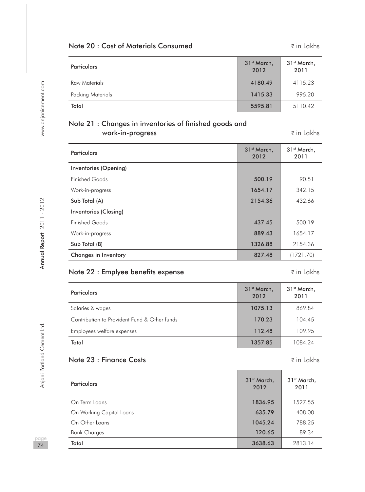## Note 20 : Cost of Materials Consumed **in America** ₹ in Lakhs

| <b>Particulars</b> | 31 <sup>st</sup> March,<br>2012 | 31 <sup>st</sup> March,<br>2011 |
|--------------------|---------------------------------|---------------------------------|
| Raw Materials      | 4180.49                         | 4115.23                         |
| Packing Materials  | 1415.33                         | 995.20                          |
| Total              | 5595.81                         | 5110.42                         |

## Note 21 : Changes in inventories of finished goods and work-in-progress and the set of the set of the set of the set of the set of the set of the set of the set of th

| <b>Particulars</b>    | 31 <sup>st</sup> March,<br>2012 | 31 <sup>st</sup> March,<br>2011 |
|-----------------------|---------------------------------|---------------------------------|
| Inventories (Opening) |                                 |                                 |
| <b>Finished Goods</b> | 500.19                          | 90.51                           |
| Work-in-progress      | 1654.17                         | 342.15                          |
| Sub Total (A)         | 2154.36                         | 432.66                          |
| Inventories (Closing) |                                 |                                 |
| <b>Finished Goods</b> | 437.45                          | 500.19                          |
| Work-in-progress      | 889.43                          | 1654.17                         |
| Sub Total (B)         | 1326.88                         | 2154.36                         |
| Changes in Inventory  | 827.48                          | (1721.70)                       |

## Note 22 : Emplyee benefits expense in Lakhs ₹in Lakhs

| <b>Particulars</b>                           | 31 <sup>st</sup> March,<br>2012 | 31 <sup>st</sup> March,<br>2011 |
|----------------------------------------------|---------------------------------|---------------------------------|
| Salaries & wages                             | 1075.13                         | 869.84                          |
| Contribution to Provident Fund & Other funds | 170.23                          | 104.45                          |
| Employees welfare expenses                   | 112.48                          | 109.95                          |
| Total                                        | 1357.85                         | 1084.24                         |

## Note 23 : Finance Costs **in Lakhs** ₹ in Lakhs

| <b>Particulars</b>       | 31 <sup>st</sup> March,<br>2012 | 31 <sup>st</sup> March,<br>2011 |
|--------------------------|---------------------------------|---------------------------------|
| On Term Loans            | 1836.95                         | 1527.55                         |
| On Working Capital Loans | 635.79                          | 408.00                          |
| On Other Loans           | 1045.24                         | 788.25                          |
| <b>Bank Charges</b>      | 120.65                          | 89.34                           |
| Total                    | 3638.63                         | 2813.14                         |

page 74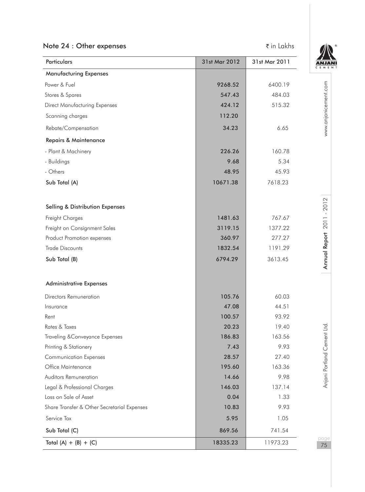## Note 24 : Other expenses  $\bar{\tau}$  in Lakhs



| Particulars                                 | 31st Mar 2012 | 31st Mar 2011 | CEME                      |
|---------------------------------------------|---------------|---------------|---------------------------|
| <b>Manufacturing Expenses</b>               |               |               |                           |
| Power & Fuel                                | 9268.52       | 6400.19       |                           |
| Stores & Spares                             | 547.43        | 484.03        |                           |
| <b>Direct Manufacturing Expenses</b>        | 424.12        | 515.32        |                           |
| Scanning charges                            | 112.20        |               |                           |
| Rebate/Compensation                         | 34.23         | 6.65          | www.anjanicement.com      |
| Repairs & Maintenance                       |               |               |                           |
| - Plant & Machinery                         | 226.26        | 160.78        |                           |
| - Buildings                                 | 9.68          | 5.34          |                           |
| - Others                                    | 48.95         | 45.93         |                           |
| Sub Total (A)                               | 10671.38      | 7618.23       |                           |
|                                             |               |               |                           |
| <b>Selling &amp; Distribution Expenses</b>  |               |               |                           |
| Freight Charges                             | 1481.63       | 767.67        |                           |
| Freight on Consignment Sales                | 3119.15       | 1377.22       |                           |
| Product Promotion expenses                  | 360.97        | 277.27        |                           |
| <b>Trade Discounts</b>                      | 1832.54       | 1191.29       |                           |
| Sub Total (B)                               | 6794.29       | 3613.45       | Annual Report 2011 - 2012 |
| <b>Administrative Expenses</b>              |               |               |                           |
| Directors Remuneration                      | 105.76        | 60.03         |                           |
| Insurance                                   | 47.08         | 44.51         |                           |
| Rent                                        | 100.57        | 93.92         |                           |
| Rates & Taxes                               | 20.23         | 19.40         |                           |
| Traveling & Conveyance Expenses             | 186.83        | 163.56        |                           |
| Printing & Stationery                       | 7.43          | 9.93          |                           |
| <b>Communication Expenses</b>               | 28.57         | 27.40         |                           |
| Office Maintenance                          | 195.60        | 163.36        | Portland Cement Ltd       |
| Auditors Remuneration                       | 14.66         | 9.98          |                           |
| Legal & Professional Charges                | 146.03        | 137.14        | Anjani                    |
| Loss on Sale of Asset                       | 0.04          | 1.33          |                           |
| Share Transfer & Other Secretarial Expenses | 10.83         | 9.93          |                           |
| Service Tax                                 | 5.95          | 1.05          |                           |
| Sub Total (C)                               | 869.56        | 741.54        |                           |
| Total $(A) + (B) + (C)$                     | 18335.23      | 11973.23      | page<br>75                |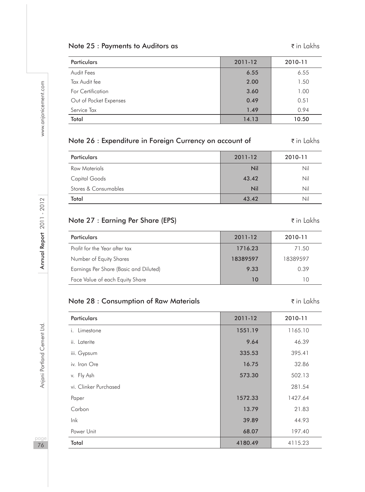## Note 25 : Payments to Auditors as  $\tilde{\tau}$  in Lakhs

| <b>Particulars</b>     | 2011-12 | 2010-11 |
|------------------------|---------|---------|
| Audit Fees             | 6.55    | 6.55    |
| Tax Audit fee          | 2.00    | 1.50    |
| For Certification      | 3.60    | 1.00    |
| Out of Pocket Expenses | 0.49    | 0.51    |
| Service Tax            | 1.49    | 0.94    |
| Total                  | 14.13   | 10.50   |

| Note 26 : Expenditure in Foreign Currency on account of | ₹in Lakhs |
|---------------------------------------------------------|-----------|
|---------------------------------------------------------|-----------|

| Particulars          | 2011-12 | 2010-11 |
|----------------------|---------|---------|
| Raw Materials        | Nil     | Nil     |
| Capital Goods        | 43.42   | Nil     |
| Stores & Consumables | Nil     | Nil     |
| Total                | 43.42   | Nil     |

## Note 27 : Earning Per Share (EPS) The South of the Share (EPS) and the Share Theorem of the Lakhs

| <b>Particulars</b>                     | 2011-12  | 2010-11  |
|----------------------------------------|----------|----------|
| Profit for the Year after tax          | 1716.23  | 71.50    |
| Number of Equity Shares                | 18389597 | 18389597 |
| Earnings Per Share (Basic and Diluted) | 9.33     | 0.39     |
| Face Value of each Equity Share        | 10       | 10       |

## Note 28 : Consumption of Raw Materials **in Lakhs** ₹ in Lakhs

Particulars 2011-12 2010-11 i. Limestone 1165.10 ii. Laterite 9.64 46.39 iii. Gypsum 335.53 395.41 iv. Iron Ore 16.75 32.86 v. Fly Ash 573.30  $\hbox{502.13}$ vi. Clinker Purchased 281.54 Paper 1427.64 **1572.33** 1427.64 Carbon 13.79 21.83 Ink 39.89 44.93 Power Unit 197.40 Total 4180.49 4115.23

paa 76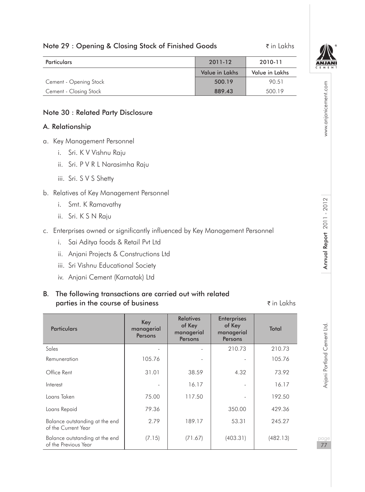## Note 29 : Opening & Closing Stock of Finished Goods ₹ in Lakhs



www.anjanicement.com

| <b>Particulars</b>     | 2011-12        | 2010-11        |
|------------------------|----------------|----------------|
|                        | Value in Lakhs | Value in Lakhs |
| Cement - Opening Stock | 500.19         | 90.51          |
| Cement - Closing Stock | 889.43         | 500.19         |

#### Note 30 : Related Party Disclosure

#### A. Relationship

- a. Key Management Personnel
	- i. Sri. K V Vishnu Raju
	- ii. Sri. P V R L Narasimha Raju
	- iii. Sri. S V S Shetty
- b. Relatives of Key Management Personnel
	- i. Smt. K Ramavathy
	- ii. Sri. K S N Raju
- c. Enterprises owned or significantly influenced by Key Management Personnel
	- i. Sai Aditya foods & Retail Pvt Ltd
	- ii. Anjani Projects & Constructions Ltd
	- iii. Sri Vishnu Educational Society
	- iv. Anjani Cement (Karnatak) Ltd

### B. The following transactions are carried out with related parties in the course of business  $\bar{\tau}$  in Lakhs

| <b>Particulars</b>                                     | Key<br>managerial<br>Persons | <b>Relatives</b><br>of Key<br>managerial<br>Persons | <b>Enterprises</b><br>of Key<br>managerial<br>Persons | Total    |
|--------------------------------------------------------|------------------------------|-----------------------------------------------------|-------------------------------------------------------|----------|
| Sales                                                  |                              |                                                     | 210.73                                                | 210.73   |
| Remuneration                                           | 105.76                       |                                                     |                                                       | 105.76   |
| Office Rent                                            | 31.01                        | 38.59                                               | 4.32                                                  | 73.92    |
| Interest                                               |                              | 16.17                                               |                                                       | 16.17    |
| Loans Taken                                            | 75.00                        | 117.50                                              |                                                       | 192.50   |
| Loans Repaid                                           | 79.36                        |                                                     | 350.00                                                | 429.36   |
| Balance outstanding at the end<br>of the Current Year  | 2.79                         | 189.17                                              | 53.31                                                 | 245.27   |
| Balance outstanding at the end<br>of the Previous Year | (7.15)                       | (71.67)                                             | (403.31)                                              | (482.13) |

pageannia Portland Cement Ltd. Annu**al Report 2011 - 2012** Annual Report 2012 Www.anjanicement.com Anjani Portland Cement Ltd.

77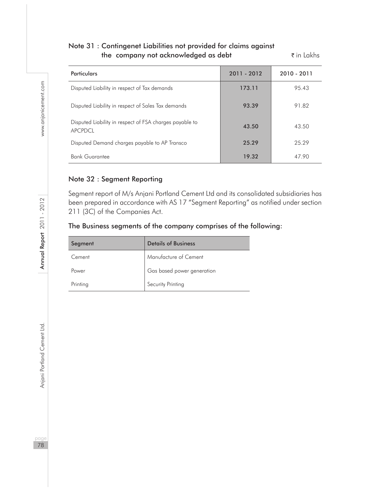## Note 31 : Contingenet Liabilities not provided for claims against the company not acknowledged as debt  $\bar{\tau}$  in Lakhs

| <b>Particulars</b>                                                 | 2011 - 2012 | 2010 - 2011 |
|--------------------------------------------------------------------|-------------|-------------|
| Disputed Liability in respect of Tax demands                       | 173.11      | 95.43       |
| Disputed Liability in respect of Sales Tax demands                 | 93.39       | 91.82       |
| Disputed Liability in respect of FSA charges payable to<br>APCPDCL | 43.50       | 43.50       |
| Disputed Demand charges payable to AP Transco                      | 25.29       | 25.29       |
| <b>Bank Guarantee</b>                                              | 19.32       | 47.90       |

### Note 32 : Segment Reporting

Segment report of M/s Anjani Portland Cement Ltd and its consolidated subsidiaries has been prepared in accordance with AS 17 "Segment Reporting" as notified under section 211 (3C) of the Companies Act.

## The Business segments of the company comprises of the following:

| Segment  | <b>Details of Business</b> |
|----------|----------------------------|
| Cement   | Manufacture of Cement      |
| Power    | Gas based power generation |
| Printing | Security Printing          |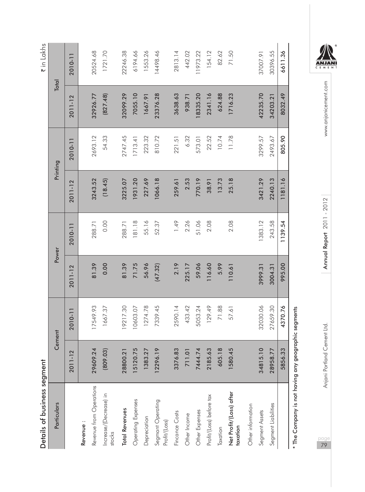| ï          |
|------------|
|            |
| י המוחיר ה |
|            |
|            |
| こくらこ       |
|            |
|            |
|            |
|            |
|            |
|            |
|            |

| Details of business segment                         |                           |          |         |         |          |         |          | ₹ in Lakhs |
|-----------------------------------------------------|---------------------------|----------|---------|---------|----------|---------|----------|------------|
| Particulars                                         |                           | Cement   |         | Power   | Printing |         |          | Total      |
|                                                     | 2011-12                   | 2010-11  | 2011-12 | 2010-11 | 2011-12  | 2010-11 | 2011-12  | 2010-11    |
| Revenue:                                            |                           |          |         |         |          |         |          |            |
| Revenue from Operations                             | 29609.24                  | 17549.93 | 81.39   | 288.71  | 3243.52  | 2693.12 | 32926.77 | 20524.68   |
| Increase/(Decrease) in<br>stocks                    | (809.03)                  | 1667.37  | 0.00    | 0.00    | (18.45)  | 54.33   | (827.48) | 1721.70    |
| <b>Total Revenues</b>                               | $\overline{21}$<br>28800. | 9217.30  | 81.39   | 288.71  | 3225.07  | 2747.45 | 32099.29 | 22246.38   |
| Operating Expenses                                  | 15120.75                  | 0603.07  | 71.75   | 181.18  | 1931.20  | 1713.41 | 7055.10  | 6194.66    |
| Depreciation                                        | 1383.27                   | 1274.78  | 56.96   | 55.16   | 227.69   | 223.32  | 1667.91  | 1553.26    |
| Segmant Operating<br>Profit/(Loss)                  | 12296.19                  | 7339.45  | (47.32) | 52.37   | 1066.18  | 810.72  | 23376.28 | 14498.46   |
| Fincance Costs                                      | 83<br>3376.               | 2590.14  | 2.19    | 1.49    | 259.61   | 221.51  | 3638.63  | 2813.14    |
| Other Income                                        | $\overline{a}$<br>71.     | 433.42   | 225.17  | 2.26    | 2.53     | 6.32    | 938.71   | 442.02     |
| Other Expenses                                      | 7444.74                   | 5053.24  | 59.06   | 51.06   | 770.19   | 573.01  | 18335.20 | 11973.22   |
| Profit/(Loss) before tax                            | .63<br>2185.              | 129.49   | 116.60  | 2.08    | 38.91    | 22.52   | 2341.16  | 154.12     |
| Taxation                                            | 605.18                    | 71.88    | 5.99    |         | 13.73    | 10.74   | 624.88   | 82.62      |
| Net Profit/(Loss) after<br>taxation                 | 1580.45                   | 57.61    | 110.61  | 2.08    | 25.18    | 11.78   | 1716.23  | 71.50      |
| Other information                                   |                           |          |         |         |          |         |          |            |
| Segment Assets                                      | 34815.10                  | 32030.06 | 3999.31 | 1383.12 | 3421.29  | 3299.57 | 42235.70 | 37007.91   |
| Segment Liabilities                                 | 28958.77                  | 27659.30 | 3004.31 | 243.58  | 2240.13  | 2493.67 | 34203.21 | 30396.55   |
|                                                     | 33<br>5856.               | 4370.76  | 995.00  | 1139.54 | 1181.16  | 805.90  | 8032.49  | 6611.36    |
| * The Company is not having any geographic segments |                           |          |         |         |          |         |          |            |

 $\frac{\overbrace{\text{ANJAN}}}{\overbrace{\text{CE MEN}}}$ 

www.anjanicement.com pageannia Portland Cement Ltd. Annu**al Report 2011 - 2012** Annual Report 2012 Www.anjanicement.com

Annual Report 2011 - 2012

Anjani Portland Cement Ltd.

page<br>79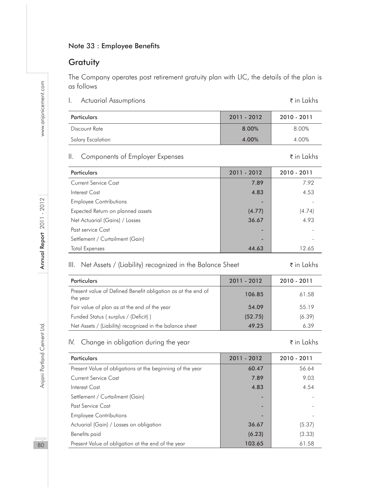## Note 33 : Employee Benefits

## **Gratuity**

The Company operates post retirement gratuity plan with LIC, the details of the plan is as follows

I. Actuarial Assumptions **in Lakhs** ₹ in Lakhs

| Particulars       | 2011 - 2012 | 2010 - 2011 |
|-------------------|-------------|-------------|
| Discount Rate     | 8.00%       | 8.00%       |
| Salary Escalation | 4.00%       | 4.00%       |

## II. Components of Employer Expenses  $\bar{\tau}$  in Lakhs

| <b>Particulars</b>                | 2011 - 2012 | $2010 - 2011$ |
|-----------------------------------|-------------|---------------|
| Current Service Cost              | 7.89        | 7.92          |
| Interest Cost                     | 4.83        | 4.53          |
| <b>Employee Contributions</b>     |             |               |
| Expected Return on planned assets | (4.77)      | (4.74)        |
| Net Actuarial (Gains) / Losses    | 36.67       | 4.93          |
| Past service Cost                 |             |               |
| Settlement / Curtailment (Gain)   | -           |               |
| <b>Total Expenses</b>             | 44.63       | 12.65         |

## III. Net Assets / (Liability) recognized in the Balance Sheet  $\bar{\tau}$  in Lakhs

| <b>Particulars</b>                                                       | 2011 - 2012 | 2010 - 2011 |
|--------------------------------------------------------------------------|-------------|-------------|
| Present value of Defined Benefit obligation as at the end of<br>the year | 106.85      | 61.58       |
| Fair value of plan as at the end of the year                             | 54.09       | 55.19       |
| Funded Status (surplus / (Deficit))                                      | (52.75)     | (6.39)      |
| Net Assets / (Liability) recognized in the balance sheet                 | 49.25       | 6.39        |

## IV. Change in obligation during the year  $\vec{\tau}$  in Lakhs

| Particulars                                               | 2011 - 2012 | $2010 - 2011$ |
|-----------------------------------------------------------|-------------|---------------|
| Present Value of obligations at the beginning of the year | 60.47       | 56.64         |
| Current Service Cost                                      | 7.89        | 9.03          |
| Interest Cost                                             | 4.83        | 4.54          |
| Settlement / Curtailment (Gain)                           | ۰           |               |
| Past Service Cost                                         | ۰           |               |
| <b>Employee Contributions</b>                             | ۰           |               |
| Actuarial (Gain) / Losses on obligation                   | 36.67       | (5.37)        |
| Benefits paid                                             | (6.23)      | (3.33)        |
| Present Value of obligation at the end of the year        | 103.65      | 61.58         |

paa 80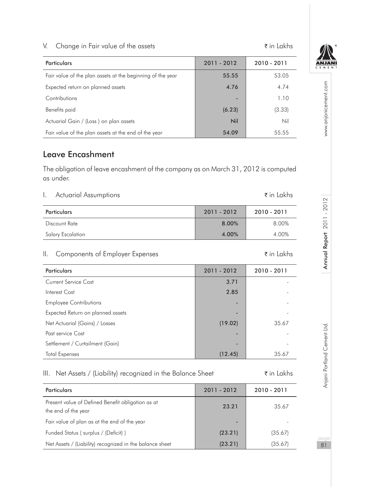## V. Change in Fair value of the assets  $\zeta$  in Lakhs

| <b>Particulars</b>                                         | 2011 - 2012 | 2010 - 2011 |
|------------------------------------------------------------|-------------|-------------|
| Fair value of the plan assets at the beginning of the year | 55.55       | 53.05       |
| Expected return on planned assets                          | 4.76        | 4.74        |
| Contributions                                              |             | 1.10        |
| Benefits paid                                              | (6.23)      | (3.33)      |
| Actuarial Gain / (Loss) on plan assets                     | Nil         | Nil         |
| Fair value of the plan assets at the end of the year       | 54.09       | 55.55       |

## Leave Encashment

The obligation of leave encashment of the company as on March 31, 2012 is computed as under.

| Actuarial Assumptions | ₹in Lakhs |
|-----------------------|-----------|
|-----------------------|-----------|

| Particulars       | 2011 - 2012 | 2010 - 2011 |
|-------------------|-------------|-------------|
| Discount Rate     | 8.00%       | 8.00%       |
| Salary Escalation | 4.00%       | 4.00%       |

## II. Components of Employer Expenses  $\bar{\tau}$  in Lakhs

| Particulars                       | 2011 - 2012 | 2010 - 2011 |
|-----------------------------------|-------------|-------------|
| Current Service Cost              | 3.71        |             |
| Interest Cost                     | 2.85        |             |
| <b>Employee Contributions</b>     | ۰           |             |
| Expected Return on planned assets | -           |             |
| Net Actuarial (Gains) / Losses    | (19.02)     | 35.67       |
| Past service Cost                 | ۰           |             |
| Settlement / Curtailment (Gain)   | -           |             |
| <b>Total Expenses</b>             | (12.45)     | 35.67       |

## III. Net Assets / (Liability) recognized in the Balance Sheet  $\bar{\tau}$  in Lakhs

| <b>Particulars</b>                                                       | 2011 - 2012 | 2010 - 2011 |
|--------------------------------------------------------------------------|-------------|-------------|
| Present value of Defined Benefit obligation as at<br>the end of the year | 23.21       | 35.67       |
| Fair value of plan as at the end of the year                             | -           |             |
| Funded Status (surplus / (Deficit))                                      | (23.21)     | (35.67)     |
| Net Assets / (Liability) recognized in the balance sheet                 | (23.21)     | (35.67)     |

**ANIA** 

81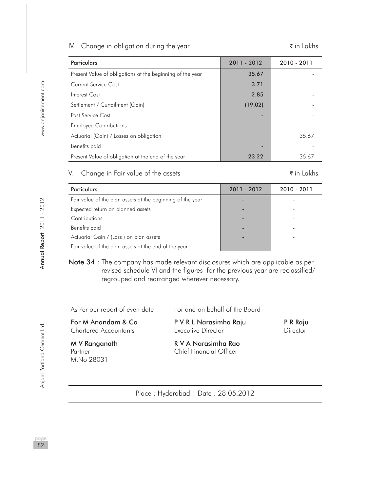#### IV. Change in obligation during the year  $\bar{\tau}$  in Lakhs

| <b>Particulars</b>                                        | 2011 - 2012 | $2010 - 2011$ |
|-----------------------------------------------------------|-------------|---------------|
| Present Value of obligations at the beginning of the year | 35.67       |               |
| Current Service Cost                                      | 3.71        |               |
| Interest Cost                                             | 2.85        |               |
| Settlement / Curtailment (Gain)                           | (19.02)     |               |
| Past Service Cost                                         |             |               |
| <b>Employee Contributions</b>                             |             |               |
| Actuarial (Gain) / Losses on obligation                   |             | 35.67         |
| Benefits paid                                             |             |               |
| Present Value of obligation at the end of the year        | 23.22       | 35.67         |

## V. Change in Fair value of the assets  $\bar{\tau}$  in Lakhs

| Particulars                                                | 2011 - 2012 | $2010 - 2011$ |
|------------------------------------------------------------|-------------|---------------|
| Fair value of the plan assets at the beginning of the year |             |               |
| Expected return on planned assets                          |             |               |
| Contributions                                              |             |               |
| Benefits paid                                              |             |               |
| Actuarial Gain / (Loss) on plan assets                     |             |               |
| Fair value of the plan assets at the end of the year       |             |               |
|                                                            |             |               |

## Note 34 : The company has made relevant disclosures which are applicable as per revised schedule VI and the figures for the previous year are reclassified/ regrouped and rearranged wherever necessary.

As Per our report of even date For and on behalf of the Board

For M Anandam & Co P V R L Narasimha Raju P R Raju Chartered Accountants Executive Director Director

M.No 28031

M V Ranganath R V A Narasimha Rao Partner **Chief Financial Officer** 

Place : Hyderabad | Date : 28.05.2012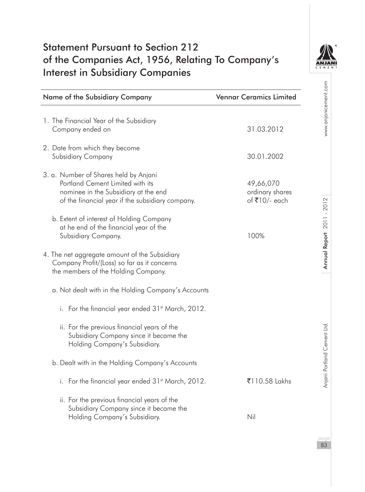## Statement Pursuant to Section 212 of the Companies Act, 1956, Relating To Company's Interest in Subsidiary Companies



| Name of the Subsidiary Company                                                                                                                                        | <b>Vennar Ceramics Limited</b>                |
|-----------------------------------------------------------------------------------------------------------------------------------------------------------------------|-----------------------------------------------|
| 1. The Financial Year of the Subsidiary<br>Company ended on                                                                                                           | 31.03.2012                                    |
| 2. Date from which they become<br>Subsidiary Company                                                                                                                  | 30.01.2002                                    |
| 3. a. Number of Shares held by Anjani<br>Portland Cement Limited with its<br>nominee in the Subsidiary at the end<br>of the financial year if the subsidiary company. | 49,66,070<br>ordinary shares<br>of ₹10/- each |
| b. Extent of interest of Holding Company<br>at he end of the financial year of the<br>Subsidiary Company.                                                             | 100%                                          |
| 4. The net aggregate amount of the Subsidiary<br>Company Profit/(Loss) so far as it concerns<br>the members of the Holding Company.                                   |                                               |
| a. Not dealt with in the Holding Company's Accounts                                                                                                                   |                                               |
| i. For the financial year ended 31st March, 2012.                                                                                                                     |                                               |
| ii. For the previous financial years of the<br>Subsidiary Company since it became the<br>Holding Company's Subsidiary.                                                |                                               |
| b. Dealt with in the Holding Company's Accounts                                                                                                                       |                                               |
| i. For the financial year ended 31 <sup>st</sup> March, 2012.                                                                                                         | ₹110.58 Lakhs                                 |
| ii. For the previous financial years of the<br>Subsidiary Company since it became the<br>Holding Company's Subsidiary.                                                | Nil                                           |
|                                                                                                                                                                       |                                               |

83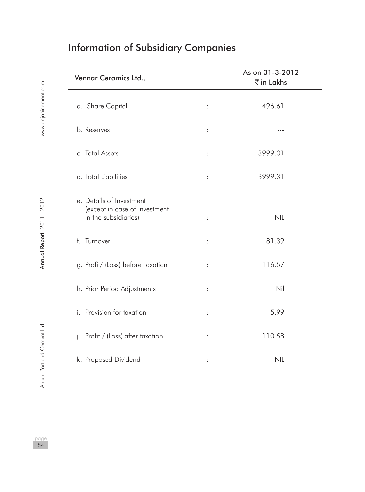| <b>Information of Subsidiary Companies</b> |  |  |  |
|--------------------------------------------|--|--|--|

| Vennar Ceramics Ltd.,                                                             |                | As on 31-3-2012<br>₹ in Lakhs |
|-----------------------------------------------------------------------------------|----------------|-------------------------------|
| a. Share Capital                                                                  | $\ddot{\cdot}$ | 496.61                        |
| b. Reserves                                                                       | $\vdots$       |                               |
| c. Total Assets                                                                   | $\vdots$       | 3999.31                       |
| d. Total Liabilities                                                              | $\vdots$       | 3999.31                       |
| e. Details of Investment<br>(except in case of investment<br>in the subsidiaries) | $\vdots$       | <b>NIL</b>                    |
| f. Turnover                                                                       | :              | 81.39                         |
| g. Profit/ (Loss) before Taxation                                                 | $\vdots$       | 116.57                        |
| h. Prior Period Adjustments                                                       | $\ddot{\cdot}$ | Nil                           |
| i. Provision for taxation                                                         | $\vdots$       | 5.99                          |
| j. Profit / (Loss) after taxation                                                 | $\vdots$       | 110.58                        |
| k. Proposed Dividend                                                              |                | <b>NIL</b>                    |

 $\frac{page}{84}$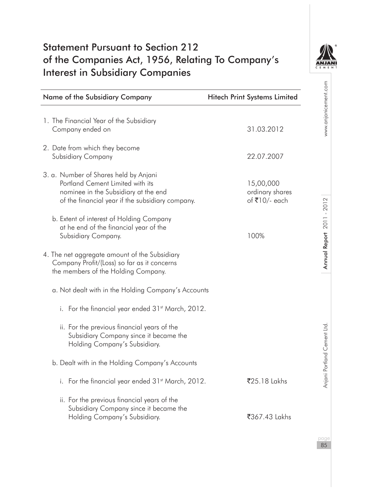## Statement Pursuant to Section 212 of the Companies Act, 1956, Relating To Company's Interest in Subsidiary Companies



| Name of the Subsidiary Company                                                                                                                                        | <b>Hitech Print Systems Limited</b>           |
|-----------------------------------------------------------------------------------------------------------------------------------------------------------------------|-----------------------------------------------|
| 1. The Financial Year of the Subsidiary<br>Company ended on                                                                                                           | 31.03.2012                                    |
| 2. Date from which they become<br>Subsidiary Company                                                                                                                  | 22.07.2007                                    |
| 3. a. Number of Shares held by Anjani<br>Portland Cement Limited with its<br>nominee in the Subsidiary at the end<br>of the financial year if the subsidiary company. | 15,00,000<br>ordinary shares<br>of ₹10/- each |
| b. Extent of interest of Holding Company<br>at he end of the financial year of the<br>Subsidiary Company.                                                             | 100%                                          |
| 4. The net aggregate amount of the Subsidiary<br>Company Profit/(Loss) so far as it concerns<br>the members of the Holding Company.                                   |                                               |
| a. Not dealt with in the Holding Company's Accounts                                                                                                                   |                                               |
| i. For the financial year ended 31st March, 2012.                                                                                                                     |                                               |
| ii. For the previous financial years of the<br>Subsidiary Company since it became the<br>Holding Company's Subsidiary.                                                |                                               |
| b. Dealt with in the Holding Company's Accounts                                                                                                                       |                                               |
| i. For the financial year ended 31 <sup>st</sup> March, 2012.                                                                                                         | ₹25.18 Lakhs                                  |
| ii. For the previous financial years of the<br>Subsidiary Company since it became the<br>Holding Company's Subsidiary.                                                | ₹367.43 Lakhs                                 |
|                                                                                                                                                                       |                                               |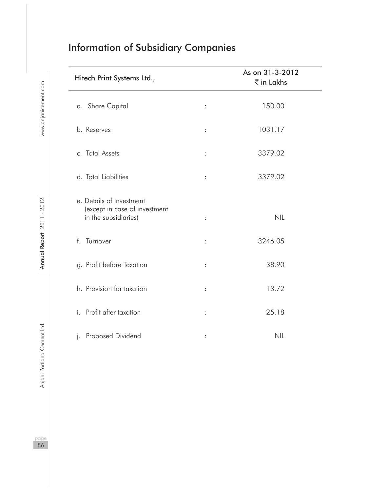| <b>Information of Subsidiary Companies</b> |  |  |  |
|--------------------------------------------|--|--|--|
|                                            |  |  |  |

| Hitech Print Systems Ltd.,                                                        |                      | As on 31-3-2012<br>₹ in Lakhs |  |
|-----------------------------------------------------------------------------------|----------------------|-------------------------------|--|
| a. Share Capital                                                                  | $\ddot{\cdot}$       | 150.00                        |  |
| b. Reserves                                                                       | $\ddot{\phantom{a}}$ | 1031.17                       |  |
| c. Total Assets                                                                   | $\ddot{\cdot}$       | 3379.02                       |  |
| d. Total Liabilities                                                              | $\ddot{\cdot}$       | 3379.02                       |  |
| e. Details of Investment<br>(except in case of investment<br>in the subsidiaries) | $\vdots$             | <b>NIL</b>                    |  |
| Turnover<br>$\mathsf{f}$                                                          | $\ddot{\cdot}$       | 3246.05                       |  |
| g. Profit before Taxation                                                         | $\ddot{\cdot}$       | 38.90                         |  |
| h. Provision for taxation                                                         | $\ddot{\cdot}$       | 13.72                         |  |
| Profit after taxation<br>i.                                                       | $\vdots$             | 25.18                         |  |
| Proposed Dividend<br>j.                                                           |                      | <b>NIL</b>                    |  |

l,

l,

page<br>86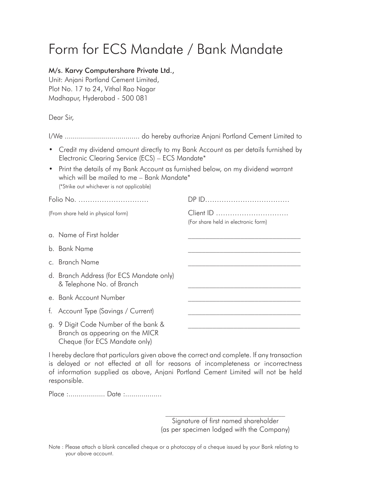# Form for ECS Mandate / Bank Mandate

## M/s. Karvy Computershare Private Ltd.,

Unit: Anjani Portland Cement Limited, Plot No. 17 to 24, Vithal Rao Nagar Madhapur, Hyderabad - 500 081

Dear Sir,

- Credit my dividend amount directly to my Bank Account as per details furnished by Electronic Clearing Service (ECS) – ECS Mandate\*
- Print the details of my Bank Account as furnished below, on my dividend warrant which will be mailed to me - Bank Mandate\* (\*Strike out whichever is not applicable)

| Folio No.                                                               |                                                  |
|-------------------------------------------------------------------------|--------------------------------------------------|
| (From share held in physical form)                                      | Client ID<br>(For share held in electronic form) |
| a. Name of First holder                                                 |                                                  |
| b Bank Name                                                             |                                                  |
| c. Branch Name                                                          |                                                  |
| d. Branch Address (for ECS Mandate only)<br>& Telephone No. of Branch   |                                                  |
| e Bank Account Number                                                   |                                                  |
| f. Account Type (Savings / Current)                                     |                                                  |
| g. 9 Digit Code Number of the bank &<br>Branch as appearing on the MICR |                                                  |

I hereby declare that particulars given above the correct and complete. If any transaction is delayed or not effected at all for reasons of incompleteness or incorrectness of information supplied as above, Anjani Portland Cement Limited will not be held responsible.

Place :.................. Date :..................

Cheque (for ECS Mandate only)

 $\mathcal{L}_\text{max}$ Signature of first named shareholder (as per specimen lodged with the Company)

Note : Please attach a blank cancelled cheque or a photocopy of a cheque issued by your Bank relating to your above account.